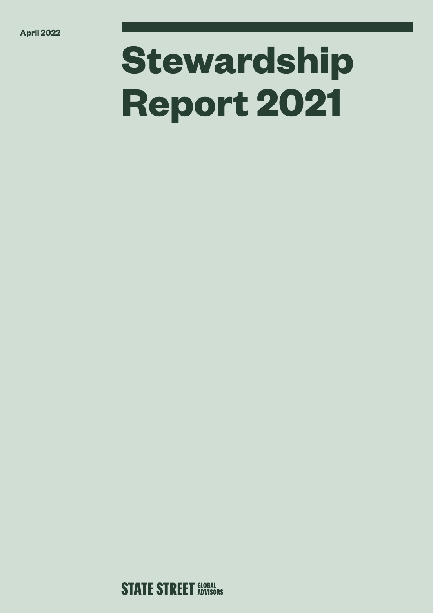# **Stewardship Report 2021**

## **STATE STREET GLOBAL**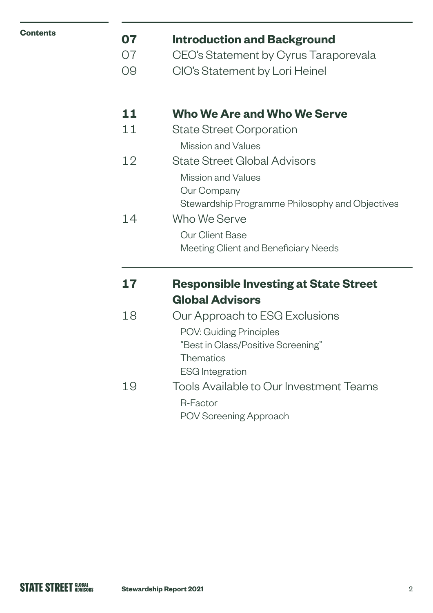| <b>Contents</b> |
|-----------------|
|-----------------|

### **[07 Introduction and Background](#page-6-0)**

- 07 [CEO's Statement by Cyrus Taraporevala](#page-6-0)
- [09 CIO's Statement by Lori Heinel](#page-9-0)

### **11 [Who We Are and Who We Serve](#page-10-0)**

- 11 State Street Corporation Mission and Values
- 12 State Street Global Advisors Mission and Values
	- Our Company Stewardship Programme Philosophy and Objectives

### 14 Who We Serve Our Client Base Meeting Client and Beneficiary Needs

### **[17 Responsible Investing at State Street](#page-16-0)  [Global Advisors](#page-16-0)**

| 18 | Our Approach to ESG Exclusions          |
|----|-----------------------------------------|
|    | <b>POV: Guiding Principles</b>          |
|    | "Best in Class/Positive Screening"      |
|    | <b>Thematics</b>                        |
|    | <b>ESG</b> Integration                  |
| 19 | Tools Available to Our Investment Teams |
|    | R-Factor                                |
|    | POV Screening Approach                  |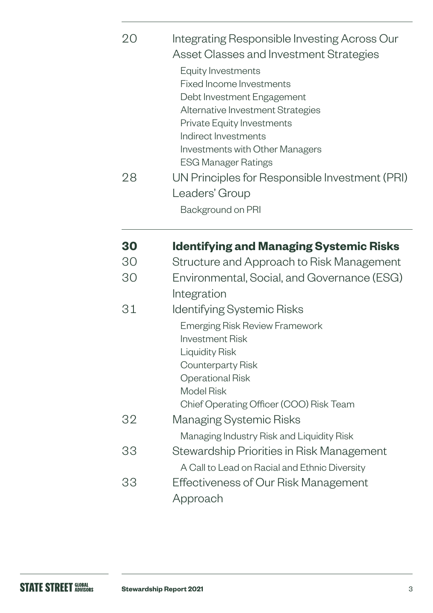| 28 | Indirect Investments<br><b>Investments with Other Managers</b><br><b>ESG Manager Ratings</b><br>UN Principles for Responsible Investment (PRI) |
|----|------------------------------------------------------------------------------------------------------------------------------------------------|
|    | Leaders' Group<br>Background on PRI                                                                                                            |
|    | <b>Identifying and Managing Systemic Risks</b>                                                                                                 |

- 30Structure and Approach to Risk Management
- 30Environmental, Social, and Governance (ESG) Integration
- 31Identifying Systemic Risks Emerging Risk Review Framework Investment Risk Liquidity Risk Counterparty Risk Operational Risk Model Risk Chief Operating Officer (COO) Risk Team 32Managing Systemic Risks Managing Industry Risk and Liquidity Risk 33Stewardship Priorities in Risk Management
- A Call to Lead on Racial and Ethnic Diversity 33Effectiveness of Our Risk Management Approach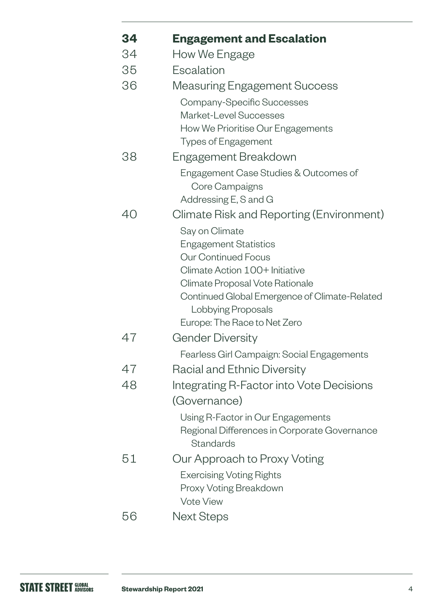| 34 | <b>Engagement and Escalation</b>                                                  |
|----|-----------------------------------------------------------------------------------|
| 34 | How We Engage                                                                     |
| 35 | Escalation                                                                        |
| 36 | <b>Measuring Engagement Success</b>                                               |
|    | Company-Specific Successes                                                        |
|    | <b>Market-Level Successes</b>                                                     |
|    | How We Prioritise Our Engagements                                                 |
|    | <b>Types of Engagement</b>                                                        |
| 38 | Engagement Breakdown                                                              |
|    | Engagement Case Studies & Outcomes of                                             |
|    | Core Campaigns<br>Addressing E, S and G                                           |
| 40 | Climate Risk and Reporting (Environment)                                          |
|    | Say on Climate                                                                    |
|    | <b>Engagement Statistics</b>                                                      |
|    | <b>Our Continued Focus</b>                                                        |
|    | Climate Action 100+ Initiative                                                    |
|    | Climate Proposal Vote Rationale                                                   |
|    | Continued Global Emergence of Climate-Related                                     |
|    | Lobbying Proposals<br>Europe: The Race to Net Zero                                |
| 47 | <b>Gender Diversity</b>                                                           |
|    |                                                                                   |
| 47 | Fearless Girl Campaign: Social Engagements                                        |
|    | Racial and Ethnic Diversity                                                       |
| 48 | Integrating R-Factor into Vote Decisions                                          |
|    | (Governance)                                                                      |
|    | Using R-Factor in Our Engagements<br>Regional Differences in Corporate Governance |
|    | <b>Standards</b>                                                                  |
| 51 | Our Approach to Proxy Voting                                                      |
|    | <b>Exercising Voting Rights</b>                                                   |
|    | Proxy Voting Breakdown                                                            |
|    | <b>Vote View</b>                                                                  |
| 56 | <b>Next Steps</b>                                                                 |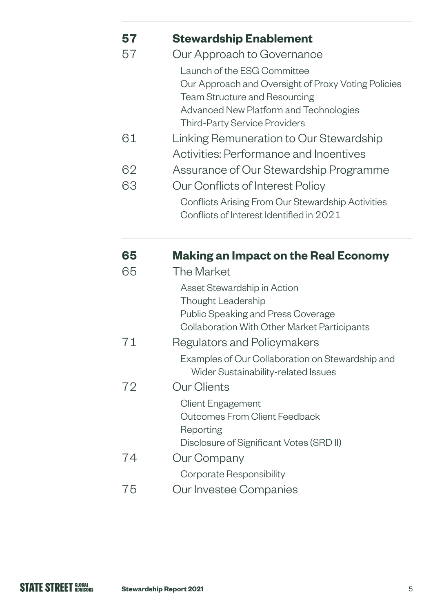| 57 | <b>Stewardship Enablement</b>                                                  |
|----|--------------------------------------------------------------------------------|
| 57 | Our Approach to Governance                                                     |
|    | Launch of the ESG Committee                                                    |
|    | Our Approach and Oversight of Proxy Voting Policies                            |
|    | <b>Team Structure and Resourcing</b>                                           |
|    | Advanced New Platform and Technologies<br><b>Third-Party Service Providers</b> |
| 61 |                                                                                |
|    | Linking Remuneration to Our Stewardship                                        |
|    | <b>Activities: Performance and Incentives</b>                                  |
| 62 | Assurance of Our Stewardship Programme                                         |
| 63 | Our Conflicts of Interest Policy                                               |
|    | Conflicts Arising From Our Stewardship Activities                              |
|    | Conflicts of Interest Identified in 2021                                       |
| 65 | <b>Making an Impact on the Real Economy</b>                                    |
| 65 | <b>The Market</b>                                                              |
|    | Asset Stewardship in Action                                                    |
|    | Thought Leadership                                                             |
|    | Public Speaking and Press Coverage                                             |
|    | <b>Collaboration With Other Market Participants</b>                            |
| 71 | Regulators and Policymakers                                                    |
|    | Examples of Our Collaboration on Stewardship and                               |

- Wider Sustainability-related Issues [72](#page-68-0) Our Clients Client Engagement Outcomes From Client Feedback
- Reporting Disclosure of Significant Votes (SRD II) [74](#page-70-0) Our Company Corporate Responsibility
- 75 Our Investee Companies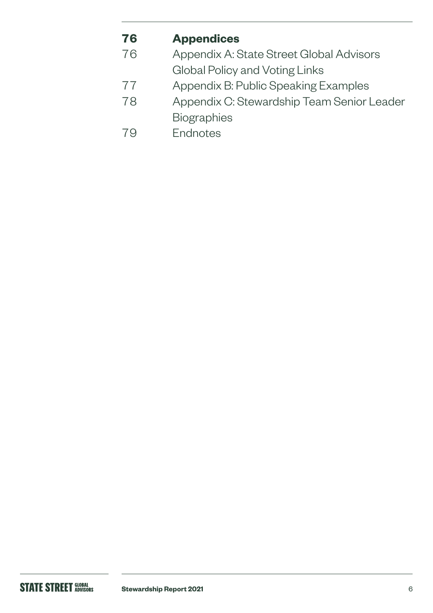### **76 [Appendices](#page-75-0)**

- [76](#page-75-0) Appendix A: State Street Global Advisors
	- Global Policy and Voting Links
- 77 [Appendix B: Public Speaking Examples](#page-76-0)
- [78 Appendix C: Stewardship Team Senior Leader](#page-77-0)  [Biographies](#page-77-0)
- 79Endnotes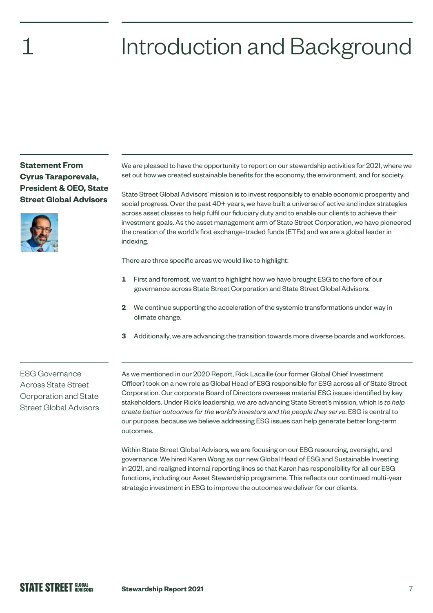# <span id="page-6-0"></span>Introduction and Background

**Statement From Cyrus Taraporevala, President & CEO, State Street Global Advisors**



We are pleased to have the opportunity to report on our stewardship activities for 2021, where we set out how we created sustainable benefits for the economy, the environment, and for society.

State Street Global Advisors' mission is to invest responsibly to enable economic prosperity and social progress. Over the past 40+ years, we have built a universe of active and index strategies across asset classes to help fulfil our fiduciary duty and to enable our clients to achieve their investment goals. As the asset management arm of State Street Corporation, we have pioneered the creation of the world's first exchange-traded funds (ETFs) and we are a global leader in indexing.

There are three specific areas we would like to highlight:

- **1** First and foremost, we want to highlight how we have brought ESG to the fore of our governance across State Street Corporation and State Street Global Advisors.
- **2** We continue supporting the acceleration of the systemic transformations under way in climate change.
- **3** Additionally, we are advancing the transition towards more diverse boards and workforces.

ESG Governance Across State Street Corporation and State Street Global Advisors As we mentioned in our 2020 Report, Rick Lacaille (our former Global Chief Investment Officer) took on a new role as Global Head of ESG responsible for ESG across all of State Street Corporation. Our corporate Board of Directors oversees material ESG issues identified by key stakeholders. Under Rick's leadership, we are advancing State Street's mission, which is *to help create better outcomes for the world's investors and the people they serve*. ESG is central to our purpose, because we believe addressing ESG issues can help generate better long-term outcomes.

Within State Street Global Advisors, we are focusing on our ESG resourcing, oversight, and governance. We hired Karen Wong as our new Global Head of ESG and Sustainable Investing in 2021, and realigned internal reporting lines so that Karen has responsibility for all our ESG functions, including our Asset Stewardship programme. This reflects our continued multi-year strategic investment in ESG to improve the outcomes we deliver for our clients.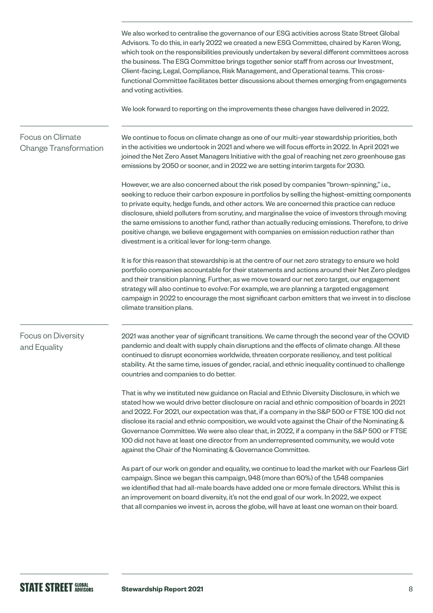We also worked to centralise the governance of our ESG activities across State Street Global Advisors. To do this, in early 2022 we created a new ESG Committee, chaired by Karen Wong, which took on the responsibilities previously undertaken by several different committees across the business. The ESG Committee brings together senior staff from across our Investment, Client-facing, Legal, Compliance, Risk Management, and Operational teams. This crossfunctional Committee facilitates better discussions about themes emerging from engagements and voting activities. We look forward to reporting on the improvements these changes have delivered in 2022. We continue to focus on climate change as one of our multi-year stewardship priorities, both in the activities we undertook in 2021 and where we will focus efforts in 2022. In April 2021 we joined the Net Zero Asset Managers Initiative with the goal of reaching net zero greenhouse gas emissions by 2050 or sooner, and in 2022 we are setting interim targets for 2030. However, we are also concerned about the risk posed by companies "brown-spinning," i.e., seeking to reduce their carbon exposure in portfolios by selling the highest-emitting components to private equity, hedge funds, and other actors. We are concerned this practice can reduce disclosure, shield polluters from scrutiny, and marginalise the voice of investors through moving the same emissions to another fund, rather than actually reducing emissions. Therefore, to drive positive change, we believe engagement with companies on emission reduction rather than divestment is a critical lever for long-term change. It is for this reason that stewardship is at the centre of our net zero strategy to ensure we hold portfolio companies accountable for their statements and actions around their Net Zero pledges and their transition planning. Further, as we move toward our net zero target, our engagement strategy will also continue to evolve: For example, we are planning a targeted engagement campaign in 2022 to encourage the most significant carbon emitters that we invest in to disclose climate transition plans. 2021 was another year of significant transitions. We came through the second year of the COVID pandemic and dealt with supply chain disruptions and the effects of climate change. All these continued to disrupt economies worldwide, threaten corporate resiliency, and test political stability. At the same time, issues of gender, racial, and ethnic inequality continued to challenge countries and companies to do better. That is why we instituted new guidance on Racial and Ethnic Diversity Disclosure, in which we stated how we would drive better disclosure on racial and ethnic composition of boards in 2021 and 2022. For 2021, our expectation was that, if a company in the S&P 500 or FTSE 100 did not disclose its racial and ethnic composition, we would vote against the Chair of the Nominating & Governance Committee. We were also clear that, in 2022, if a company in the S&P 500 or FTSE 100 did not have at least one director from an underrepresented community, we would vote against the Chair of the Nominating & Governance Committee. As part of our work on gender and equality, we continue to lead the market with our Fearless Girl campaign. Since we began this campaign, 948 (more than 60%) of the 1,548 companies we identified that had all-male boards have added one or more female directors. Whilst this is an improvement on board diversity, it's not the end goal of our work. In 2022, we expect that all companies we invest in, across the globe, will have at least one woman on their board. Focus on Climate Change Transformation Focus on Diversity and Equality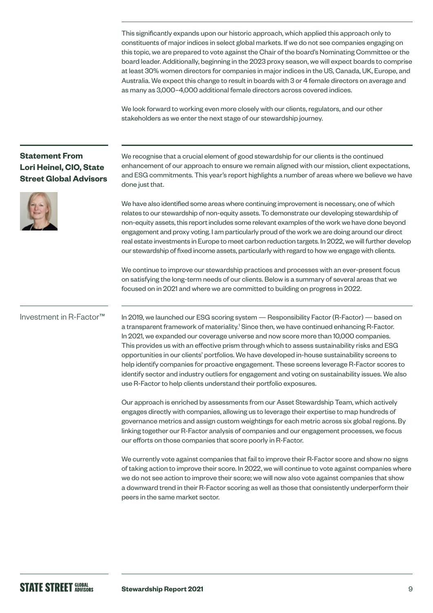This significantly expands upon our historic approach, which applied this approach only to constituents of major indices in select global markets. If we do not see companies engaging on this topic, we are prepared to vote against the Chair of the board's Nominating Committee or the board leader. Additionally, beginning in the 2023 proxy season, we will expect boards to comprise at least 30% women directors for companies in major indices in the US, Canada, UK, Europe, and Australia. We expect this change to result in boards with 3 or 4 female directors on average and as many as 3,000–4,000 additional female directors across covered indices.

We look forward to working even more closely with our clients, regulators, and our other stakeholders as we enter the next stage of our stewardship journey.

#### **Statement From Lori Heinel, CIO, State Street Global Advisors**



We recognise that a crucial element of good stewardship for our clients is the continued enhancement of our approach to ensure we remain aligned with our mission, client expectations, and ESG commitments. This year's report highlights a number of areas where we believe we have done just that.

We have also identified some areas where continuing improvement is necessary, one of which relates to our stewardship of non-equity assets. To demonstrate our developing stewardship of non-equity assets, this report includes some relevant examples of the work we have done beyond engagement and proxy voting. I am particularly proud of the work we are doing around our direct real estate investments in Europe to meet carbon reduction targets. In 2022, we will further develop our stewardship of fixed income assets, particularly with regard to how we engage with clients.

We continue to improve our stewardship practices and processes with an ever-present focus on satisfying the long-term needs of our clients. Below is a summary of several areas that we focused on in 2021 and where we are committed to building on progress in 2022.

#### Investment in R-Factor™

In 2019, we launched our ESG scoring system — Responsibility Factor (R-Factor) — based on a transparent framework of materiality.<sup>1</sup> Since then, we have continued enhancing R-Factor. In 2021, we expanded our coverage universe and now score more than 10,000 companies. This provides us with an effective prism through which to assess sustainability risks and ESG opportunities in our clients' portfolios. We have developed in-house sustainability screens to help identify companies for proactive engagement. These screens leverage R-Factor scores to identify sector and industry outliers for engagement and voting on sustainability issues. We also use R-Factor to help clients understand their portfolio exposures.

Our approach is enriched by assessments from our Asset Stewardship Team, which actively engages directly with companies, allowing us to leverage their expertise to map hundreds of governance metrics and assign custom weightings for each metric across six global regions. By linking together our R-Factor analysis of companies and our engagement processes, we focus our efforts on those companies that score poorly in R-Factor.

We currently vote against companies that fail to improve their R-Factor score and show no signs of taking action to improve their score. In 2022, we will continue to vote against companies where we do not see action to improve their score; we will now also vote against companies that show a downward trend in their R-Factor scoring as well as those that consistently underperform their peers in the same market sector.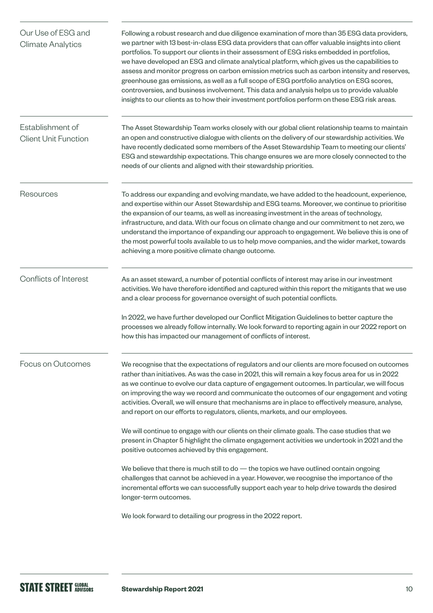<span id="page-9-0"></span>

| Our Use of ESG and<br><b>Climate Analytics</b>  | Following a robust research and due diligence examination of more than 35 ESG data providers,<br>we partner with 13 best-in-class ESG data providers that can offer valuable insights into client<br>portfolios. To support our clients in their assessment of ESG risks embedded in portfolios,<br>we have developed an ESG and climate analytical platform, which gives us the capabilities to<br>assess and monitor progress on carbon emission metrics such as carbon intensity and reserves,<br>greenhouse gas emissions, as well as a full scope of ESG portfolio analytics on ESG scores,<br>controversies, and business involvement. This data and analysis helps us to provide valuable<br>insights to our clients as to how their investment portfolios perform on these ESG risk areas. |
|-------------------------------------------------|----------------------------------------------------------------------------------------------------------------------------------------------------------------------------------------------------------------------------------------------------------------------------------------------------------------------------------------------------------------------------------------------------------------------------------------------------------------------------------------------------------------------------------------------------------------------------------------------------------------------------------------------------------------------------------------------------------------------------------------------------------------------------------------------------|
| Establishment of<br><b>Client Unit Function</b> | The Asset Stewardship Team works closely with our global client relationship teams to maintain<br>an open and constructive dialogue with clients on the delivery of our stewardship activities. We<br>have recently dedicated some members of the Asset Stewardship Team to meeting our clients'<br>ESG and stewardship expectations. This change ensures we are more closely connected to the<br>needs of our clients and aligned with their stewardship priorities.                                                                                                                                                                                                                                                                                                                              |
| Resources                                       | To address our expanding and evolving mandate, we have added to the headcount, experience,<br>and expertise within our Asset Stewardship and ESG teams. Moreover, we continue to prioritise<br>the expansion of our teams, as well as increasing investment in the areas of technology,<br>infrastructure, and data. With our focus on climate change and our commitment to net zero, we<br>understand the importance of expanding our approach to engagement. We believe this is one of<br>the most powerful tools available to us to help move companies, and the wider market, towards<br>achieving a more positive climate change outcome.                                                                                                                                                     |
| Conflicts of Interest                           | As an asset steward, a number of potential conflicts of interest may arise in our investment<br>activities. We have therefore identified and captured within this report the mitigants that we use<br>and a clear process for governance oversight of such potential conflicts.<br>In 2022, we have further developed our Conflict Mitigation Guidelines to better capture the                                                                                                                                                                                                                                                                                                                                                                                                                     |
|                                                 | processes we already follow internally. We look forward to reporting again in our 2022 report on<br>how this has impacted our management of conflicts of interest.                                                                                                                                                                                                                                                                                                                                                                                                                                                                                                                                                                                                                                 |
| Focus on Outcomes                               | We recognise that the expectations of regulators and our clients are more focused on outcomes<br>rather than initiatives. As was the case in 2021, this will remain a key focus area for us in 2022<br>as we continue to evolve our data capture of engagement outcomes. In particular, we will focus<br>on improving the way we record and communicate the outcomes of our engagement and voting<br>activities. Overall, we will ensure that mechanisms are in place to effectively measure, analyse,<br>and report on our efforts to regulators, clients, markets, and our employees.                                                                                                                                                                                                            |
|                                                 | We will continue to engage with our clients on their climate goals. The case studies that we<br>present in Chapter 5 highlight the climate engagement activities we undertook in 2021 and the<br>positive outcomes achieved by this engagement.                                                                                                                                                                                                                                                                                                                                                                                                                                                                                                                                                    |
|                                                 | We believe that there is much still to $do$ — the topics we have outlined contain ongoing<br>challenges that cannot be achieved in a year. However, we recognise the importance of the<br>incremental efforts we can successfully support each year to help drive towards the desired<br>longer-term outcomes.                                                                                                                                                                                                                                                                                                                                                                                                                                                                                     |
|                                                 | We look forward to detailing our progress in the 2022 report.                                                                                                                                                                                                                                                                                                                                                                                                                                                                                                                                                                                                                                                                                                                                      |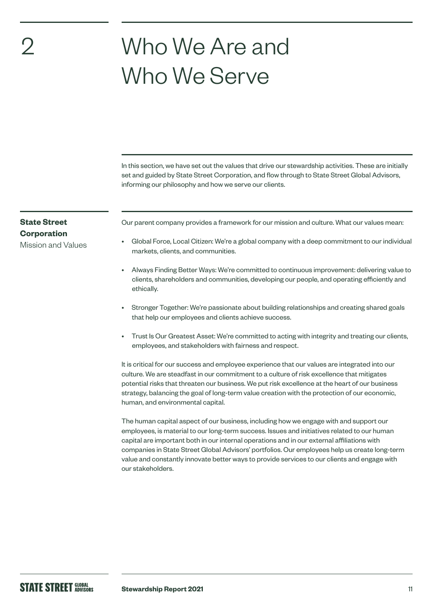# Who We Are and Who We Serve

In this section, we have set out the values that drive our stewardship activities. These are initially set and guided by State Street Corporation, and flow through to State Street Global Advisors, informing our philosophy and how we serve our clients.

#### **State Street Corporation**

<span id="page-10-0"></span>2

Mission and Values

Our parent company provides a framework for our mission and culture. What our values mean:

- Global Force, Local Citizen: We're a global company with a deep commitment to our individual markets, clients, and communities.
- Always Finding Better Ways: We're committed to continuous improvement: delivering value to clients, shareholders and communities, developing our people, and operating efficiently and ethically.
- Stronger Together: We're passionate about building relationships and creating shared goals that help our employees and clients achieve success.
- Trust Is Our Greatest Asset: We're committed to acting with integrity and treating our clients, employees, and stakeholders with fairness and respect.

It is critical for our success and employee experience that our values are integrated into our culture. We are steadfast in our commitment to a culture of risk excellence that mitigates potential risks that threaten our business. We put risk excellence at the heart of our business strategy, balancing the goal of long-term value creation with the protection of our economic, human, and environmental capital.

The human capital aspect of our business, including how we engage with and support our employees, is material to our long-term success. Issues and initiatives related to our human capital are important both in our internal operations and in our external affiliations with companies in State Street Global Advisors' portfolios. Our employees help us create long-term value and constantly innovate better ways to provide services to our clients and engage with our stakeholders.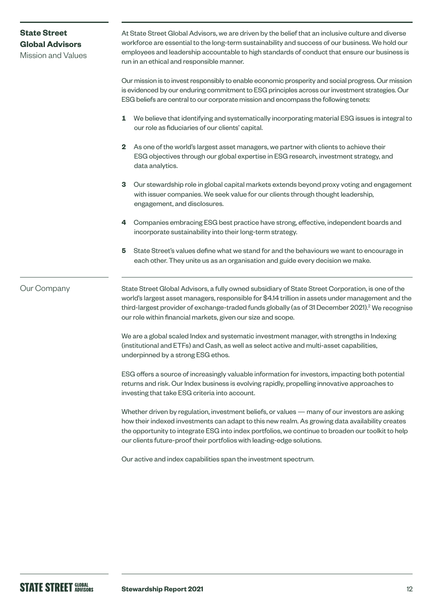### At State Street Global Advisors, we are driven by the belief that an inclusive culture and diverse workforce are essential to the long-term sustainability and success of our business. We hold our employees and leadership accountable to high standards of conduct that ensure our business is run in an ethical and responsible manner. Our mission is to invest responsibly to enable economic prosperity and social progress. Our mission is evidenced by our enduring commitment to ESG principles across our investment strategies. Our ESG beliefs are central to our corporate mission and encompass the following tenets: **1** We believe that identifying and systematically incorporating material ESG issues is integral to our role as fiduciaries of our clients' capital. **2** As one of the world's largest asset managers, we partner with clients to achieve their ESG objectives through our global expertise in ESG research, investment strategy, and data analytics. **3** Our stewardship role in global capital markets extends beyond proxy voting and engagement with issuer companies. We seek value for our clients through thought leadership, engagement, and disclosures. **4** Companies embracing ESG best practice have strong, effective, independent boards and incorporate sustainability into their long-term strategy. **5** State Street's values define what we stand for and the behaviours we want to encourage in each other. They unite us as an organisation and guide every decision we make. State Street Global Advisors, a fully owned subsidiary of State Street Corporation, is one of the world's largest asset managers, responsible for \$4.14 trillion in assets under management and the third-largest provider of exchange-traded funds globally (as of 31 December 2021).<sup>2</sup> We recognise our role within financial markets, given our size and scope. We are a global scaled Index and systematic investment manager, with strengths in Indexing (institutional and ETFs) and Cash, as well as select active and multi-asset capabilities, underpinned by a strong ESG ethos. ESG offers a source of increasingly valuable information for investors, impacting both potential returns and risk. Our Index business is evolving rapidly, propelling innovative approaches to investing that take ESG criteria into account. Whether driven by regulation, investment beliefs, or values — many of our investors are asking how their indexed investments can adapt to this new realm. As growing data availability creates the opportunity to integrate ESG into index portfolios, we continue to broaden our toolkit to help our clients future-proof their portfolios with leading-edge solutions. Our active and index capabilities span the investment spectrum. Our Company **State Street Global Advisors**  Mission and Values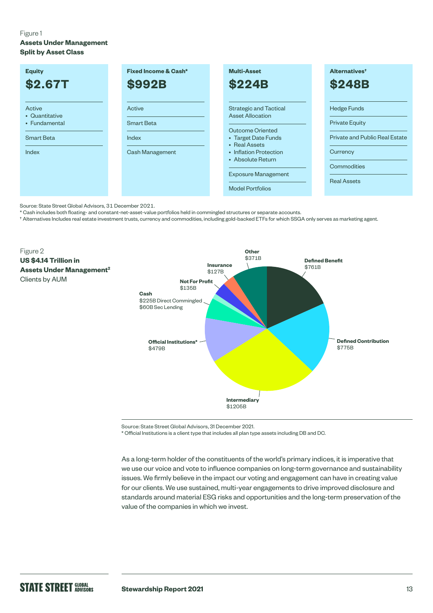#### Figure 1

**Assets Under Management Split by Asset Class**

| <b>Equity</b>                                                           | Fixed Income & Cash*                             | <b>Multi-Asset</b>                                                                                                                                                                                                           | Alternatives <sup>+</sup>                                                                                                      |
|-------------------------------------------------------------------------|--------------------------------------------------|------------------------------------------------------------------------------------------------------------------------------------------------------------------------------------------------------------------------------|--------------------------------------------------------------------------------------------------------------------------------|
| <b>\$2.67T</b>                                                          | <b>\$992B</b>                                    | <b>\$224B</b>                                                                                                                                                                                                                | <b>\$248B</b>                                                                                                                  |
| Active<br>• Quantitative<br>• Fundamental<br><b>Smart Beta</b><br>Index | Active<br>Smart Beta<br>Index<br>Cash Management | <b>Strategic and Tactical</b><br><b>Asset Allocation</b><br>Outcome Oriented<br>• Target Date Funds<br>• Real Assets<br>• Inflation Protection<br>• Absolute Return<br><b>Exposure Management</b><br><b>Model Portfolios</b> | <b>Hedge Funds</b><br><b>Private Equity</b><br>Private and Public Real Estate<br>Currency<br>Commodities<br><b>Real Assets</b> |

Source: State Street Global Advisors, 31 December 2021.

\* Cash includes both floating- and constant-net-asset-value portfolios held in commingled structures or separate accounts.

† Alternatives Includes real estate investment trusts, currency and commodities, including gold-backed ETFs for which SSGA only serves as marketing agent.



Source: State Street Global Advisors, 31 December 2021.

\* Official Institutions is a client type that includes all plan type assets including DB and DC.

As a long-term holder of the constituents of the world's primary indices, it is imperative that we use our voice and vote to influence companies on long-term governance and sustainability issues. We firmly believe in the impact our voting and engagement can have in creating value for our clients. We use sustained, multi-year engagements to drive improved disclosure and standards around material ESG risks and opportunities and the long-term preservation of the value of the companies in which we invest.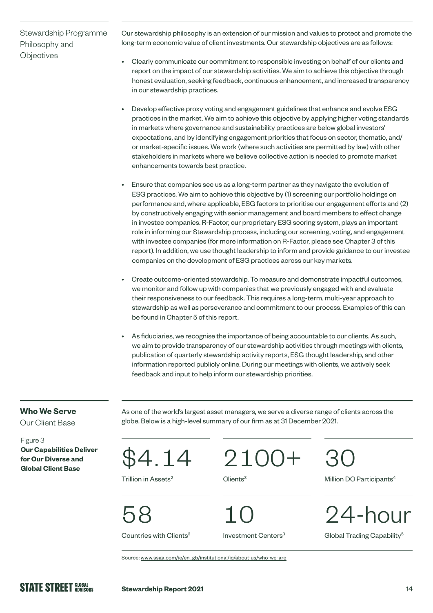#### Stewardship Programme Philosophy and **Objectives**

Our stewardship philosophy is an extension of our mission and values to protect and promote the long-term economic value of client investments. Our stewardship objectives are as follows:

- Clearly communicate our commitment to responsible investing on behalf of our clients and report on the impact of our stewardship activities. We aim to achieve this objective through honest evaluation, seeking feedback, continuous enhancement, and increased transparency in our stewardship practices.
- Develop effective proxy voting and engagement guidelines that enhance and evolve ESG practices in the market. We aim to achieve this objective by applying higher voting standards in markets where governance and sustainability practices are below global investors' expectations, and by identifying engagement priorities that focus on sector, thematic, and/ or market-specific issues. We work (where such activities are permitted by law) with other stakeholders in markets where we believe collective action is needed to promote market enhancements towards best practice.
- Ensure that companies see us as a long-term partner as they navigate the evolution of ESG practices. We aim to achieve this objective by (1) screening our portfolio holdings on performance and, where applicable, ESG factors to prioritise our engagement efforts and (2) by constructively engaging with senior management and board members to effect change in investee companies. R-Factor, our proprietary ESG scoring system, plays an important role in informing our Stewardship process, including our screening, voting, and engagement with investee companies (for more information on R-Factor, please see Chapter 3 of this report). In addition, we use thought leadership to inform and provide guidance to our investee companies on the development of ESG practices across our key markets.
- Create outcome-oriented stewardship. To measure and demonstrate impactful outcomes, we monitor and follow up with companies that we previously engaged with and evaluate their responsiveness to our feedback. This requires a long-term, multi-year approach to stewardship as well as perseverance and commitment to our process. Examples of this can be found in Chapter 5 of this report.
- As fiduciaries, we recognise the importance of being accountable to our clients. As such, we aim to provide transparency of our stewardship activities through meetings with clients, publication of quarterly stewardship activity reports, ESG thought leadership, and other information reported publicly online. During our meetings with clients, we actively seek feedback and input to help inform our stewardship priorities.

#### **Who We Serve**

Our Client Base

Figure 3 **Our Capabilities Deliver for Our Diverse and**  For Our Diverse and<br>Global Client Base<br>Global Client Base

As one of the world's largest asset managers, we serve a diverse range of clients across the globe. Below is a high-level summary of our firm as at 31 December 2021.

Trillion in Assets<sup>2</sup>

2100+ Clients<sup>3</sup>

58

Countries with Clients<sup>3</sup>

10

Investment Centers<sup>3</sup>

30

Million DC Participants<sup>4</sup>



Global Trading Capability<sup>5</sup>

Source: [www.ssga.com/ie/en\\_gb/institutional/ic/about-us/who-we-are](https://www.ssga.com/ie/en_gb/institutional/ic/about-us/who-we-are)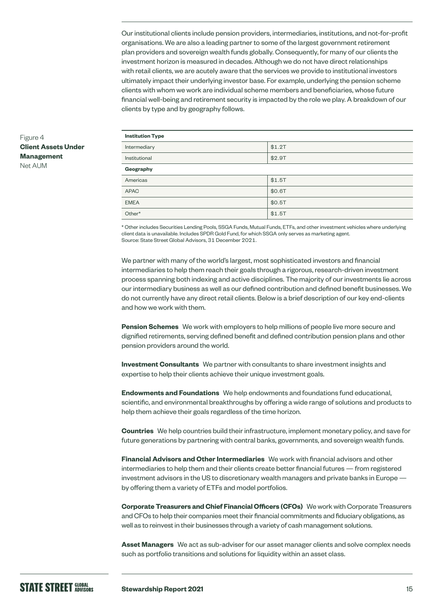Our institutional clients include pension providers, intermediaries, institutions, and not-for-profit organisations. We are also a leading partner to some of the largest government retirement plan providers and sovereign wealth funds globally. Consequently, for many of our clients the investment horizon is measured in decades. Although we do not have direct relationships with retail clients, we are acutely aware that the services we provide to institutional investors ultimately impact their underlying investor base. For example, underlying the pension scheme clients with whom we work are individual scheme members and beneficiaries, whose future financial well-being and retirement security is impacted by the role we play. A breakdown of our clients by type and by geography follows.

| <b>Institution Type</b> |        |
|-------------------------|--------|
| Intermediary            | \$1.2T |
| Institutional           | \$2.9T |
| Geography               |        |
| Americas                | \$1.5T |
| <b>APAC</b>             | \$0.6T |
| <b>EMEA</b>             | \$0.5T |
| Other*                  | \$1.5T |

\* Other includes Securities Lending Pools, SSGA Funds, Mutual Funds, ETFs, and other investment vehicles where underlying client data is unavailable. Includes SPDR Gold Fund, for which SSGA only serves as marketing agent. Source: State Street Global Advisors, 31 December 2021.

We partner with many of the world's largest, most sophisticated investors and financial intermediaries to help them reach their goals through a rigorous, research-driven investment process spanning both indexing and active disciplines. The majority of our investments lie across our intermediary business as well as our defined contribution and defined benefit businesses. We do not currently have any direct retail clients. Below is a brief description of our key end-clients and how we work with them.

**Pension Schemes** We work with employers to help millions of people live more secure and dignified retirements, serving defined benefit and defined contribution pension plans and other pension providers around the world.

**Investment Consultants** We partner with consultants to share investment insights and expertise to help their clients achieve their unique investment goals.

**Endowments and Foundations** We help endowments and foundations fund educational, scientific, and environmental breakthroughs by offering a wide range of solutions and products to help them achieve their goals regardless of the time horizon.

**Countries** We help countries build their infrastructure, implement monetary policy, and save for future generations by partnering with central banks, governments, and sovereign wealth funds.

**Financial Advisors and Other Intermediaries** We work with financial advisors and other intermediaries to help them and their clients create better financial futures — from registered investment advisors in the US to discretionary wealth managers and private banks in Europe by offering them a variety of ETFs and model portfolios.

**Corporate Treasurers and Chief Financial Officers (CFOs)** We work with Corporate Treasurers and CFOs to help their companies meet their financial commitments and fiduciary obligations, as well as to reinvest in their businesses through a variety of cash management solutions.

**Asset Managers** We act as sub-adviser for our asset manager clients and solve complex needs such as portfolio transitions and solutions for liquidity within an asset class.

#### Figure 4 **Client Assets Under Management** Net AUM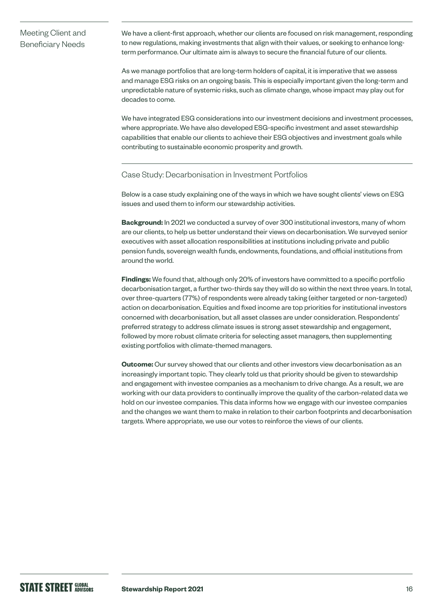#### Meeting Client and Beneficiary Needs

We have a client-first approach, whether our clients are focused on risk management, responding to new regulations, making investments that align with their values, or seeking to enhance longterm performance. Our ultimate aim is always to secure the financial future of our clients.

As we manage portfolios that are long-term holders of capital, it is imperative that we assess and manage ESG risks on an ongoing basis. This is especially important given the long-term and unpredictable nature of systemic risks, such as climate change, whose impact may play out for decades to come.

We have integrated ESG considerations into our investment decisions and investment processes, where appropriate. We have also developed ESG-specific investment and asset stewardship capabilities that enable our clients to achieve their ESG objectives and investment goals while contributing to sustainable economic prosperity and growth.

#### Case Study: Decarbonisation in Investment Portfolios

Below is a case study explaining one of the ways in which we have sought clients' views on ESG issues and used them to inform our stewardship activities.

**Background:** In 2021 we conducted a survey of over 300 institutional investors, many of whom are our clients, to help us better understand their views on decarbonisation. We surveyed senior executives with asset allocation responsibilities at institutions including private and public pension funds, sovereign wealth funds, endowments, foundations, and official institutions from around the world.

**Findings:** We found that, although only 20% of investors have committed to a specific portfolio decarbonisation target, a further two-thirds say they will do so within the next three years. In total, over three-quarters (77%) of respondents were already taking (either targeted or non-targeted) action on decarbonisation. Equities and fixed income are top priorities for institutional investors concerned with decarbonisation, but all asset classes are under consideration. Respondents' preferred strategy to address climate issues is strong asset stewardship and engagement, followed by more robust climate criteria for selecting asset managers, then supplementing existing portfolios with climate-themed managers.

**Outcome:** Our survey showed that our clients and other investors view decarbonisation as an increasingly important topic. They clearly told us that priority should be given to stewardship and engagement with investee companies as a mechanism to drive change. As a result, we are working with our data providers to continually improve the quality of the carbon-related data we hold on our investee companies. This data informs how we engage with our investee companies and the changes we want them to make in relation to their carbon footprints and decarbonisation targets. Where appropriate, we use our votes to reinforce the views of our clients.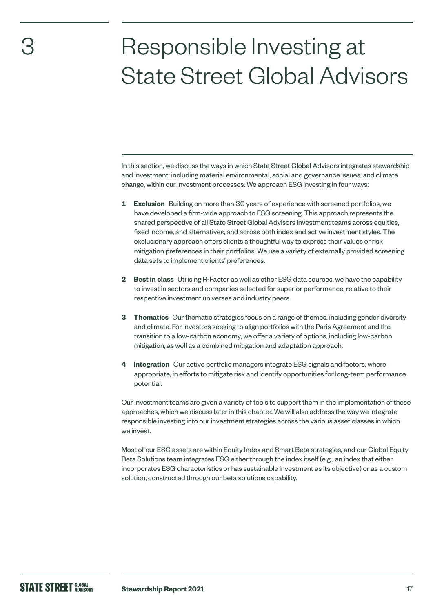# Responsible Investing at State Street Global Advisors

In this section, we discuss the ways in which State Street Global Advisors integrates stewardship and investment, including material environmental, social and governance issues, and climate change, within our investment processes. We approach ESG investing in four ways:

- **1 Exclusion** Building on more than 30 years of experience with screened portfolios, we have developed a firm-wide approach to ESG screening. This approach represents the shared perspective of all State Street Global Advisors investment teams across equities, fixed income, and alternatives, and across both index and active investment styles. The exclusionary approach offers clients a thoughtful way to express their values or risk mitigation preferences in their portfolios. We use a variety of externally provided screening data sets to implement clients' preferences.
- **2 Best in class** Utilising R-Factor as well as other ESG data sources, we have the capability to invest in sectors and companies selected for superior performance, relative to their respective investment universes and industry peers.
- **3 Thematics** Our thematic strategies focus on a range of themes, including gender diversity and climate. For investors seeking to align portfolios with the Paris Agreement and the transition to a low-carbon economy, we offer a variety of options, including low-carbon mitigation, as well as a combined mitigation and adaptation approach.
- **4 Integration** Our active portfolio managers integrate ESG signals and factors, where appropriate, in efforts to mitigate risk and identify opportunities for long-term performance potential.

Our investment teams are given a variety of tools to support them in the implementation of these approaches, which we discuss later in this chapter. We will also address the way we integrate responsible investing into our investment strategies across the various asset classes in which we invest.

Most of our ESG assets are within Equity Index and Smart Beta strategies, and our Global Equity Beta Solutions team integrates ESG either through the index itself (e.g., an index that either incorporates ESG characteristics or has sustainable investment as its objective) or as a custom solution, constructed through our beta solutions capability.

<span id="page-16-0"></span>3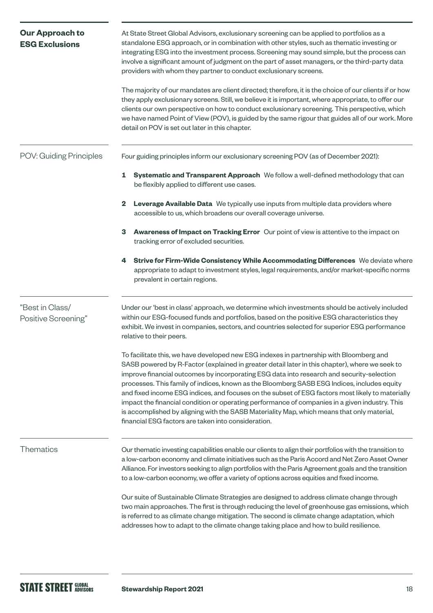| <b>Our Approach to</b><br><b>ESG Exclusions</b> | At State Street Global Advisors, exclusionary screening can be applied to portfolios as a<br>standalone ESG approach, or in combination with other styles, such as thematic investing or<br>integrating ESG into the investment process. Screening may sound simple, but the process can<br>involve a significant amount of judgment on the part of asset managers, or the third-party data<br>providers with whom they partner to conduct exclusionary screens.<br>The majority of our mandates are client directed; therefore, it is the choice of our clients if or how<br>they apply exclusionary screens. Still, we believe it is important, where appropriate, to offer our<br>clients our own perspective on how to conduct exclusionary screening. This perspective, which<br>we have named Point of View (POV), is guided by the same rigour that guides all of our work. More<br>detail on POV is set out later in this chapter. |
|-------------------------------------------------|--------------------------------------------------------------------------------------------------------------------------------------------------------------------------------------------------------------------------------------------------------------------------------------------------------------------------------------------------------------------------------------------------------------------------------------------------------------------------------------------------------------------------------------------------------------------------------------------------------------------------------------------------------------------------------------------------------------------------------------------------------------------------------------------------------------------------------------------------------------------------------------------------------------------------------------------|
| POV: Guiding Principles                         | Four guiding principles inform our exclusionary screening POV (as of December 2021):                                                                                                                                                                                                                                                                                                                                                                                                                                                                                                                                                                                                                                                                                                                                                                                                                                                       |
|                                                 | 1<br>Systematic and Transparent Approach We follow a well-defined methodology that can<br>be flexibly applied to different use cases.                                                                                                                                                                                                                                                                                                                                                                                                                                                                                                                                                                                                                                                                                                                                                                                                      |
|                                                 | 2<br>Leverage Available Data We typically use inputs from multiple data providers where<br>accessible to us, which broadens our overall coverage universe.                                                                                                                                                                                                                                                                                                                                                                                                                                                                                                                                                                                                                                                                                                                                                                                 |
|                                                 | Awareness of Impact on Tracking Error Our point of view is attentive to the impact on<br>3<br>tracking error of excluded securities.                                                                                                                                                                                                                                                                                                                                                                                                                                                                                                                                                                                                                                                                                                                                                                                                       |
|                                                 | Strive for Firm-Wide Consistency While Accommodating Differences We deviate where<br>4<br>appropriate to adapt to investment styles, legal requirements, and/or market-specific norms<br>prevalent in certain regions.                                                                                                                                                                                                                                                                                                                                                                                                                                                                                                                                                                                                                                                                                                                     |
| "Best in Class/<br>Positive Screening"          | Under our 'best in class' approach, we determine which investments should be actively included<br>within our ESG-focused funds and portfolios, based on the positive ESG characteristics they<br>exhibit. We invest in companies, sectors, and countries selected for superior ESG performance<br>relative to their peers.                                                                                                                                                                                                                                                                                                                                                                                                                                                                                                                                                                                                                 |
|                                                 | To facilitate this, we have developed new ESG indexes in partnership with Bloomberg and<br>SASB powered by R-Factor (explained in greater detail later in this chapter), where we seek to<br>improve financial outcomes by incorporating ESG data into research and security-selection<br>processes. This family of indices, known as the Bloomberg SASB ESG Indices, includes equity<br>and fixed income ESG indices, and focuses on the subset of ESG factors most likely to materially<br>impact the financial condition or operating performance of companies in a given industry. This<br>is accomplished by aligning with the SASB Materiality Map, which means that only material,<br>financial ESG factors are taken into consideration.                                                                                                                                                                                           |
| Thematics                                       | Our thematic investing capabilities enable our clients to align their portfolios with the transition to<br>a low-carbon economy and climate initiatives such as the Paris Accord and Net Zero Asset Owner<br>Alliance. For investors seeking to align portfolios with the Paris Agreement goals and the transition<br>to a low-carbon economy, we offer a variety of options across equities and fixed income.                                                                                                                                                                                                                                                                                                                                                                                                                                                                                                                             |
|                                                 | Our suite of Sustainable Climate Strategies are designed to address climate change through<br>two main approaches. The first is through reducing the level of greenhouse gas emissions, which<br>is referred to as climate change mitigation. The second is climate change adaptation, which<br>addresses how to adapt to the climate change taking place and how to build resilience.                                                                                                                                                                                                                                                                                                                                                                                                                                                                                                                                                     |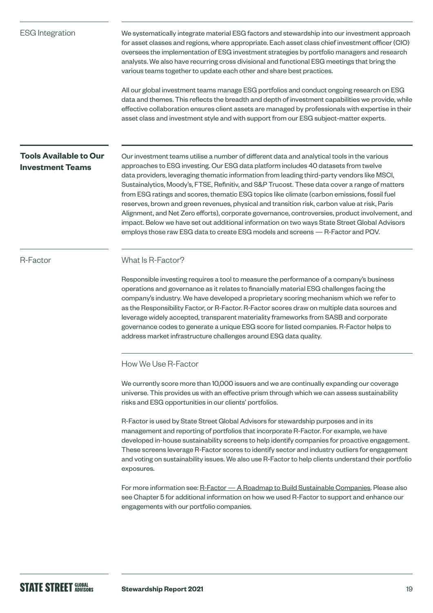<span id="page-18-0"></span>

| <b>ESG</b> Integration                                   | We systematically integrate material ESG factors and stewardship into our investment approach<br>for asset classes and regions, where appropriate. Each asset class chief investment officer (CIO)<br>oversees the implementation of ESG investment strategies by portfolio managers and research<br>analysts. We also have recurring cross divisional and functional ESG meetings that bring the<br>various teams together to update each other and share best practices.<br>All our global investment teams manage ESG portfolios and conduct ongoing research on ESG<br>data and themes. This reflects the breadth and depth of investment capabilities we provide, while<br>effective collaboration ensures client assets are managed by professionals with expertise in their<br>asset class and investment style and with support from our ESG subject-matter experts.                                                                                                                                                       |
|----------------------------------------------------------|------------------------------------------------------------------------------------------------------------------------------------------------------------------------------------------------------------------------------------------------------------------------------------------------------------------------------------------------------------------------------------------------------------------------------------------------------------------------------------------------------------------------------------------------------------------------------------------------------------------------------------------------------------------------------------------------------------------------------------------------------------------------------------------------------------------------------------------------------------------------------------------------------------------------------------------------------------------------------------------------------------------------------------|
| <b>Tools Available to Our</b><br><b>Investment Teams</b> | Our investment teams utilise a number of different data and analytical tools in the various<br>approaches to ESG investing. Our ESG data platform includes 40 datasets from twelve<br>data providers, leveraging thematic information from leading third-party vendors like MSCI,<br>Sustainalytics, Moody's, FTSE, Refinitiv, and S&P Trucost. These data cover a range of matters<br>from ESG ratings and scores, thematic ESG topics like climate (carbon emissions, fossil fuel<br>reserves, brown and green revenues, physical and transition risk, carbon value at risk, Paris<br>Alignment, and Net Zero efforts), corporate governance, controversies, product involvement, and<br>impact. Below we have set out additional information on two ways State Street Global Advisors<br>employs those raw ESG data to create ESG models and screens - R-Factor and POV.                                                                                                                                                        |
| R-Factor                                                 | What Is R-Factor?<br>Responsible investing requires a tool to measure the performance of a company's business<br>operations and governance as it relates to financially material ESG challenges facing the<br>company's industry. We have developed a proprietary scoring mechanism which we refer to<br>as the Responsibility Factor, or R-Factor. R-Factor scores draw on multiple data sources and<br>leverage widely accepted, transparent materiality frameworks from SASB and corporate<br>governance codes to generate a unique ESG score for listed companies. R-Factor helps to<br>address market infrastructure challenges around ESG data quality.                                                                                                                                                                                                                                                                                                                                                                      |
|                                                          | How We Use R-Factor<br>We currently score more than 10,000 issuers and we are continually expanding our coverage<br>universe. This provides us with an effective prism through which we can assess sustainability<br>risks and ESG opportunities in our clients' portfolios.<br>R-Factor is used by State Street Global Advisors for stewardship purposes and in its<br>management and reporting of portfolios that incorporate R-Factor. For example, we have<br>developed in-house sustainability screens to help identify companies for proactive engagement.<br>These screens leverage R-Factor scores to identify sector and industry outliers for engagement<br>and voting on sustainability issues. We also use R-Factor to help clients understand their portfolio<br>exposures.<br>For more information see: R-Factor - A Roadmap to Build Sustainable Companies. Please also<br>see Chapter 5 for additional information on how we used R-Factor to support and enhance our<br>engagements with our portfolio companies. |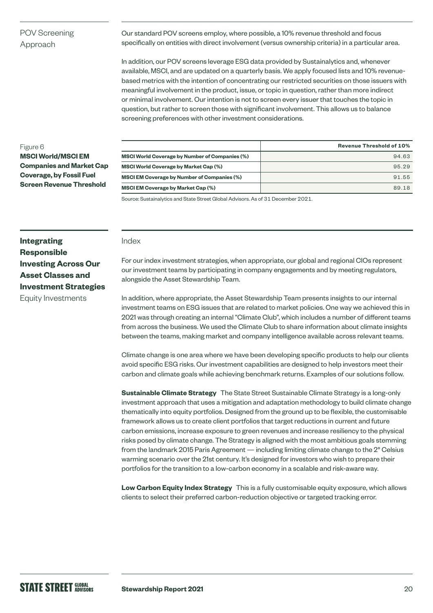#### POV Screening Approach

Our standard POV screens employ, where possible, a 10% revenue threshold and focus specifically on entities with direct involvement (versus ownership criteria) in a particular area.

In addition, our POV screens leverage ESG data provided by Sustainalytics and, whenever available, MSCI, and are updated on a quarterly basis. We apply focused lists and 10% revenuebased metrics with the intention of concentrating our restricted securities on those issuers with meaningful involvement in the product, issue, or topic in question, rather than more indirect or minimal involvement. Our intention is not to screen every issuer that touches the topic in question, but rather to screen those with significant involvement. This allows us to balance screening preferences with other investment considerations.

#### Figure 6

**MSCI World/MSCI EM Companies and Market Cap Coverage, by Fossil Fuel Screen Revenue Threshold**

|                                                       | <b>Revenue Threshold of 10%</b> |
|-------------------------------------------------------|---------------------------------|
| <b>MSCI World Coverage by Number of Companies (%)</b> | 94.63                           |
| <b>MSCI World Coverage by Market Cap (%)</b>          | 95.29                           |
| <b>MSCI EM Coverage by Number of Companies (%)</b>    | 91.55                           |
| <b>MSCI EM Coverage by Market Cap (%)</b>             | 89.18                           |

Source: Sustainalytics and State Street Global Advisors. As of 31 December 2021.

#### **Integrating Responsible Investing Across Our Asset Classes and Investment Strategies**  Equity Investments

#### Index

For our index investment strategies, when appropriate, our global and regional CIOs represent our investment teams by participating in company engagements and by meeting regulators, alongside the Asset Stewardship Team.

In addition, where appropriate, the Asset Stewardship Team presents insights to our internal investment teams on ESG issues that are related to market policies. One way we achieved this in 2021 was through creating an internal "Climate Club", which includes a number of different teams from across the business. We used the Climate Club to share information about climate insights between the teams, making market and company intelligence available across relevant teams.

Climate change is one area where we have been developing specific products to help our clients avoid specific ESG risks. Our investment capabilities are designed to help investors meet their carbon and climate goals while achieving benchmark returns. Examples of our solutions follow.

**Sustainable Climate Strategy** The State Street Sustainable Climate Strategy is a long-only investment approach that uses a mitigation and adaptation methodology to build climate change thematically into equity portfolios. Designed from the ground up to be flexible, the customisable framework allows us to create client portfolios that target reductions in current and future carbon emissions, increase exposure to green revenues and increase resiliency to the physical risks posed by climate change. The Strategy is aligned with the most ambitious goals stemming from the landmark 2015 Paris Agreement — including limiting climate change to the 2° Celsius warming scenario over the 21st century. It's designed for investors who wish to prepare their portfolios for the transition to a low-carbon economy in a scalable and risk-aware way.

**Low Carbon Equity Index Strategy** This is a fully customisable equity exposure, which allows clients to select their preferred carbon-reduction objective or targeted tracking error.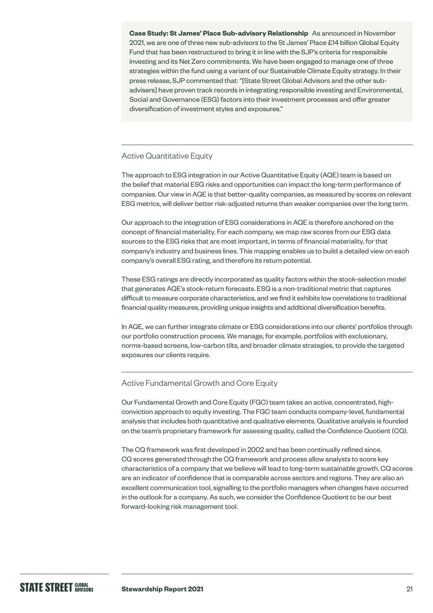**Case Study: St James' Place Sub-advisory Relationship** As announced in November 2021, we are one of three new sub-advisors to the St James' Place £14 billion Global Equity Fund that has been restructured to bring it in line with the SJP's criteria for responsible investing and its Net Zero commitments. We have been engaged to manage one of three strategies within the fund using a variant of our Sustainable Climate Equity strategy. In their press release, SJP commented that: "[State Street Global Advisors and the other subadvisers] have proven track records in integrating responsible investing and Environmental, Social and Governance (ESG) factors into their investment processes and offer greater diversification of investment styles and exposures."

#### Active Quantitative Equity

The approach to ESG integration in our Active Quantitative Equity (AQE) team is based on the belief that material ESG risks and opportunities can impact the long-term performance of companies. Our view in AQE is that better-quality companies, as measured by scores on relevant ESG metrics, will deliver better risk-adjusted returns than weaker companies over the long term.

Our approach to the integration of ESG considerations in AQE is therefore anchored on the concept of financial materiality. For each company, we map raw scores from our ESG data sources to the ESG risks that are most important, in terms of financial materiality, for that company's industry and business lines. This mapping enables us to build a detailed view on each company's overall ESG rating, and therefore its return potential.

These ESG ratings are directly incorporated as quality factors within the stock-selection model that generates AQE's stock-return forecasts. ESG is a non-traditional metric that captures difficult to measure corporate characteristics, and we find it exhibits low correlations to traditional financial quality measures, providing unique insights and additional diversification benefits.

In AQE, we can further integrate climate or ESG considerations into our clients' portfolios through our portfolio construction process. We manage, for example, portfolios with exclusionary, norms-based screens, low-carbon tilts, and broader climate strategies, to provide the targeted exposures our clients require.

#### Active Fundamental Growth and Core Equity

Our Fundamental Growth and Core Equity (FGC) team takes an active, concentrated, highconviction approach to equity investing. The FGC team conducts company-level, fundamental analysis that includes both quantitative and qualitative elements. Qualitative analysis is founded on the team's proprietary framework for assessing quality, called the Confidence Quotient (CQ).

The CQ framework was first developed in 2002 and has been continually refined since. CQ scores generated through the CQ framework and process allow analysts to score key characteristics of a company that we believe will lead to long-term sustainable growth. CQ scores are an indicator of confidence that is comparable across sectors and regions. They are also an excellent communication tool, signalling to the portfolio managers when changes have occurred in the outlook for a company. As such, we consider the Confidence Quotient to be our best forward-looking risk management tool.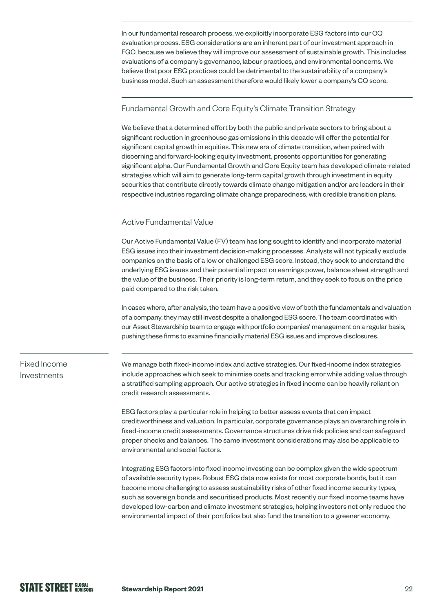In our fundamental research process, we explicitly incorporate ESG factors into our CQ evaluation process. ESG considerations are an inherent part of our investment approach in FGC, because we believe they will improve our assessment of sustainable growth. This includes evaluations of a company's governance, labour practices, and environmental concerns. We believe that poor ESG practices could be detrimental to the sustainability of a company's business model. Such an assessment therefore would likely lower a company's CQ score.

#### Fundamental Growth and Core Equity's Climate Transition Strategy

We believe that a determined effort by both the public and private sectors to bring about a significant reduction in greenhouse gas emissions in this decade will offer the potential for significant capital growth in equities. This new era of climate transition, when paired with discerning and forward-looking equity investment, presents opportunities for generating significant alpha. Our Fundamental Growth and Core Equity team has developed climate-related strategies which will aim to generate long-term capital growth through investment in equity securities that contribute directly towards climate change mitigation and/or are leaders in their respective industries regarding climate change preparedness, with credible transition plans.

#### Active Fundamental Value

Our Active Fundamental Value (FV) team has long sought to identify and incorporate material ESG issues into their investment decision-making processes. Analysts will not typically exclude companies on the basis of a low or challenged ESG score. Instead, they seek to understand the underlying ESG issues and their potential impact on earnings power, balance sheet strength and the value of the business. Their priority is long-term return, and they seek to focus on the price paid compared to the risk taken.

In cases where, after analysis, the team have a positive view of both the fundamentals and valuation of a company, they may still invest despite a challenged ESG score. The team coordinates with our Asset Stewardship team to engage with portfolio companies' management on a regular basis, pushing these firms to examine financially material ESG issues and improve disclosures.

#### Fixed Income Investments

We manage both fixed-income index and active strategies. Our fixed-income index strategies include approaches which seek to minimise costs and tracking error while adding value through a stratified sampling approach. Our active strategies in fixed income can be heavily reliant on credit research assessments.

ESG factors play a particular role in helping to better assess events that can impact creditworthiness and valuation. In particular, corporate governance plays an overarching role in fixed-income credit assessments. Governance structures drive risk policies and can safeguard proper checks and balances. The same investment considerations may also be applicable to environmental and social factors.

Integrating ESG factors into fixed income investing can be complex given the wide spectrum of available security types. Robust ESG data now exists for most corporate bonds, but it can become more challenging to assess sustainability risks of other fixed income security types, such as sovereign bonds and securitised products. Most recently our fixed income teams have developed low-carbon and climate investment strategies, helping investors not only reduce the environmental impact of their portfolios but also fund the transition to a greener economy.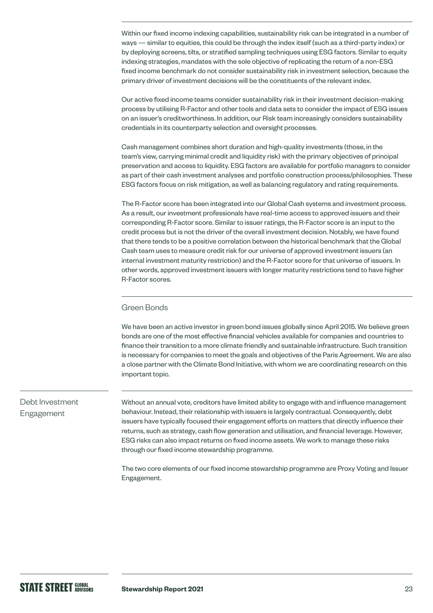Within our fixed income indexing capabilities, sustainability risk can be integrated in a number of ways — similar to equities, this could be through the index itself (such as a third-party index) or by deploying screens, tilts, or stratified sampling techniques using ESG factors. Similar to equity indexing strategies, mandates with the sole objective of replicating the return of a non-ESG fixed income benchmark do not consider sustainability risk in investment selection, because the primary driver of investment decisions will be the constituents of the relevant index.

Our active fixed income teams consider sustainability risk in their investment decision-making process by utilising R-Factor and other tools and data sets to consider the impact of ESG issues on an issuer's creditworthiness. In addition, our Risk team increasingly considers sustainability credentials in its counterparty selection and oversight processes.

Cash management combines short duration and high-quality investments (those, in the team's view, carrying minimal credit and liquidity risk) with the primary objectives of principal preservation and access to liquidity. ESG factors are available for portfolio managers to consider as part of their cash investment analyses and portfolio construction process/philosophies. These ESG factors focus on risk mitigation, as well as balancing regulatory and rating requirements.

The R-Factor score has been integrated into our Global Cash systems and investment process. As a result, our investment professionals have real-time access to approved issuers and their corresponding R-Factor score. Similar to issuer ratings, the R-Factor score is an input to the credit process but is not the driver of the overall investment decision. Notably, we have found that there tends to be a positive correlation between the historical benchmark that the Global Cash team uses to measure credit risk for our universe of approved investment issuers (an internal investment maturity restriction) and the R-Factor score for that universe of issuers. In other words, approved investment issuers with longer maturity restrictions tend to have higher R-Factor scores.

#### Green Bonds

We have been an active investor in green bond issues globally since April 2015. We believe green bonds are one of the most effective financial vehicles available for companies and countries to finance their transition to a more climate friendly and sustainable infrastructure. Such transition is necessary for companies to meet the goals and objectives of the Paris Agreement. We are also a close partner with the Climate Bond Initiative, with whom we are coordinating research on this important topic.

#### Debt Investment Engagement

Without an annual vote, creditors have limited ability to engage with and influence management behaviour. Instead, their relationship with issuers is largely contractual. Consequently, debt issuers have typically focused their engagement efforts on matters that directly influence their returns, such as strategy, cash flow generation and utilisation, and financial leverage. However, ESG risks can also impact returns on fixed income assets. We work to manage these risks through our fixed income stewardship programme.

The two core elements of our fixed income stewardship programme are Proxy Voting and Issuer Engagement.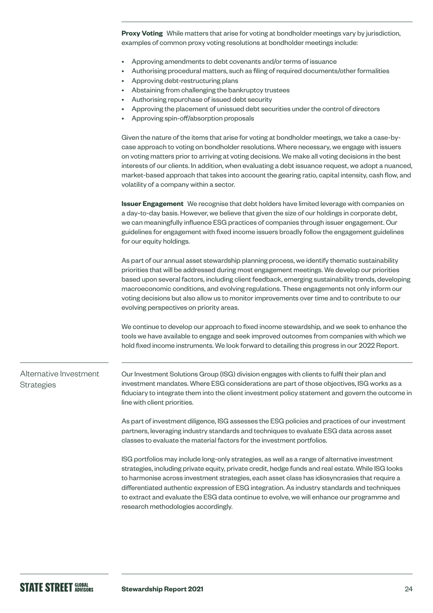**Proxy Voting** While matters that arise for voting at bondholder meetings vary by jurisdiction, examples of common proxy voting resolutions at bondholder meetings include:

- Approving amendments to debt covenants and/or terms of issuance
- Authorising procedural matters, such as filing of required documents/other formalities
- Approving debt-restructuring plans
- Abstaining from challenging the bankruptcy trustees
- Authorising repurchase of issued debt security
- Approving the placement of unissued debt securities under the control of directors
- Approving spin-off/absorption proposals

Given the nature of the items that arise for voting at bondholder meetings, we take a case-bycase approach to voting on bondholder resolutions. Where necessary, we engage with issuers on voting matters prior to arriving at voting decisions. We make all voting decisions in the best interests of our clients. In addition, when evaluating a debt issuance request, we adopt a nuanced, market-based approach that takes into account the gearing ratio, capital intensity, cash flow, and volatility of a company within a sector.

**Issuer Engagement** We recognise that debt holders have limited leverage with companies on a day-to-day basis. However, we believe that given the size of our holdings in corporate debt, we can meaningfully influence ESG practices of companies through issuer engagement. Our guidelines for engagement with fixed income issuers broadly follow the engagement guidelines for our equity holdings.

As part of our annual asset stewardship planning process, we identify thematic sustainability priorities that will be addressed during most engagement meetings. We develop our priorities based upon several factors, including client feedback, emerging sustainability trends, developing macroeconomic conditions, and evolving regulations. These engagements not only inform our voting decisions but also allow us to monitor improvements over time and to contribute to our evolving perspectives on priority areas.

We continue to develop our approach to fixed income stewardship, and we seek to enhance the tools we have available to engage and seek improved outcomes from companies with which we hold fixed income instruments. We look forward to detailing this progress in our 2022 Report.

Alternative Investment **Strategies** 

Our Investment Solutions Group (ISG) division engages with clients to fulfil their plan and investment mandates. Where ESG considerations are part of those objectives, ISG works as a fiduciary to integrate them into the client investment policy statement and govern the outcome in line with client priorities.

As part of investment diligence, ISG assesses the ESG policies and practices of our investment partners, leveraging industry standards and techniques to evaluate ESG data across asset classes to evaluate the material factors for the investment portfolios.

ISG portfolios may include long-only strategies, as well as a range of alternative investment strategies, including private equity, private credit, hedge funds and real estate. While ISG looks to harmonise across investment strategies, each asset class has idiosyncrasies that require a differentiated authentic expression of ESG integration. As industry standards and techniques to extract and evaluate the ESG data continue to evolve, we will enhance our programme and research methodologies accordingly.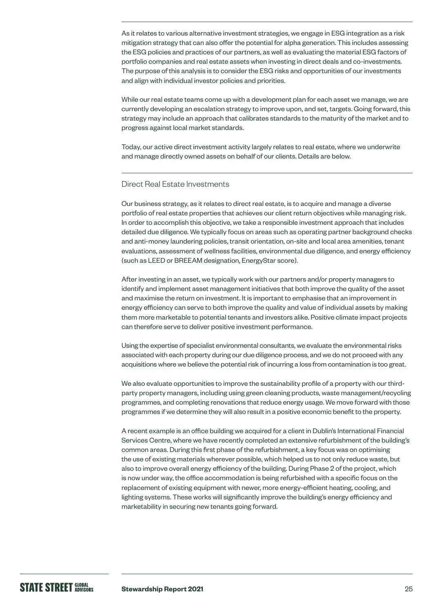As it relates to various alternative investment strategies, we engage in ESG integration as a risk mitigation strategy that can also offer the potential for alpha generation. This includes assessing the ESG policies and practices of our partners, as well as evaluating the material ESG factors of portfolio companies and real estate assets when investing in direct deals and co-investments. The purpose of this analysis is to consider the ESG risks and opportunities of our investments and align with individual investor policies and priorities.

While our real estate teams come up with a development plan for each asset we manage, we are currently developing an escalation strategy to improve upon, and set, targets. Going forward, this strategy may include an approach that calibrates standards to the maturity of the market and to progress against local market standards.

Today, our active direct investment activity largely relates to real estate, where we underwrite and manage directly owned assets on behalf of our clients. Details are below.

#### Direct Real Estate Investments

Our business strategy, as it relates to direct real estate, is to acquire and manage a diverse portfolio of real estate properties that achieves our client return objectives while managing risk. In order to accomplish this objective, we take a responsible investment approach that includes detailed due diligence. We typically focus on areas such as operating partner background checks and anti-money laundering policies, transit orientation, on-site and local area amenities, tenant evaluations, assessment of wellness facilities, environmental due diligence, and energy efficiency (such as LEED or BREEAM designation, EnergyStar score).

After investing in an asset, we typically work with our partners and/or property managers to identify and implement asset management initiatives that both improve the quality of the asset and maximise the return on investment. It is important to emphasise that an improvement in energy efficiency can serve to both improve the quality and value of individual assets by making them more marketable to potential tenants and investors alike. Positive climate impact projects can therefore serve to deliver positive investment performance.

Using the expertise of specialist environmental consultants, we evaluate the environmental risks associated with each property during our due diligence process, and we do not proceed with any acquisitions where we believe the potential risk of incurring a loss from contamination is too great.

We also evaluate opportunities to improve the sustainability profile of a property with our thirdparty property managers, including using green cleaning products, waste management/recycling programmes, and completing renovations that reduce energy usage. We move forward with those programmes if we determine they will also result in a positive economic benefit to the property.

A recent example is an office building we acquired for a client in Dublin's International Financial Services Centre, where we have recently completed an extensive refurbishment of the building's common areas. During this first phase of the refurbishment, a key focus was on optimising the use of existing materials wherever possible, which helped us to not only reduce waste, but also to improve overall energy efficiency of the building. During Phase 2 of the project, which is now under way, the office accommodation is being refurbished with a specific focus on the replacement of existing equipment with newer, more energy-efficient heating, cooling, and lighting systems. These works will significantly improve the building's energy efficiency and marketability in securing new tenants going forward.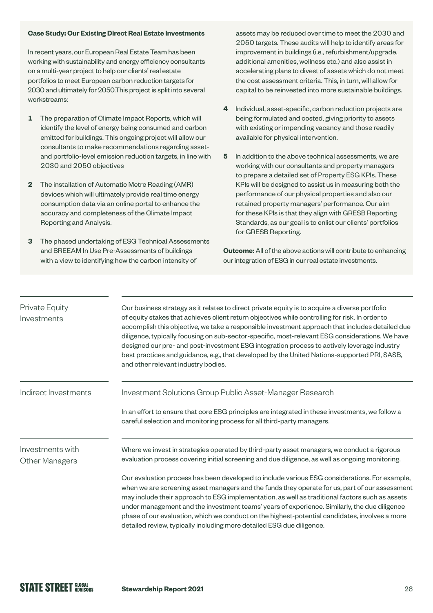#### **Case Study: Our Existing Direct Real Estate Investments**

In recent years, our European Real Estate Team has been working with sustainability and energy efficiency consultants on a multi-year project to help our clients' real estate portfolios to meet European carbon reduction targets for 2030 and ultimately for 2050.This project is split into several workstreams:

- **1** The preparation of Climate Impact Reports, which will identify the level of energy being consumed and carbon emitted for buildings. This ongoing project will allow our consultants to make recommendations regarding assetand portfolio-level emission reduction targets, in line with 2030 and 2050 objectives
- **2** The installation of Automatic Metre Reading (AMR) devices which will ultimately provide real time energy consumption data via an online portal to enhance the accuracy and completeness of the Climate Impact Reporting and Analysis.
- **3** The phased undertaking of ESG Technical Assessments and BREEAM In Use Pre-Assessments of buildings with a view to identifying how the carbon intensity of

assets may be reduced over time to meet the 2030 and 2050 targets. These audits will help to identify areas for improvement in buildings (i.e., refurbishment/upgrade, additional amenities, wellness etc.) and also assist in accelerating plans to divest of assets which do not meet the cost assessment criteria. This, in turn, will allow for capital to be reinvested into more sustainable buildings.

- **4** Individual, asset-specific, carbon reduction projects are being formulated and costed, giving priority to assets with existing or impending vacancy and those readily available for physical intervention.
- **5** In addition to the above technical assessments, we are working with our consultants and property managers to prepare a detailed set of Property ESG KPIs. These KPIs will be designed to assist us in measuring both the performance of our physical properties and also our retained property managers' performance. Our aim for these KPIs is that they align with GRESB Reporting Standards, as our goal is to enlist our clients' portfolios for GRESB Reporting.

**Outcome:** All of the above actions will contribute to enhancing our integration of ESG in our real estate investments.

| Private Equity<br>Investments             | Our business strategy as it relates to direct private equity is to acquire a diverse portfolio<br>of equity stakes that achieves client return objectives while controlling for risk. In order to<br>accomplish this objective, we take a responsible investment approach that includes detailed due<br>diligence, typically focusing on sub-sector-specific, most-relevant ESG considerations. We have<br>designed our pre- and post-investment ESG integration process to actively leverage industry<br>best practices and guidance, e.g., that developed by the United Nations-supported PRI, SASB,<br>and other relevant industry bodies.                                                                                                                                   |
|-------------------------------------------|---------------------------------------------------------------------------------------------------------------------------------------------------------------------------------------------------------------------------------------------------------------------------------------------------------------------------------------------------------------------------------------------------------------------------------------------------------------------------------------------------------------------------------------------------------------------------------------------------------------------------------------------------------------------------------------------------------------------------------------------------------------------------------|
| Indirect Investments                      | Investment Solutions Group Public Asset-Manager Research<br>In an effort to ensure that core ESG principles are integrated in these investments, we follow a<br>careful selection and monitoring process for all third-party managers.                                                                                                                                                                                                                                                                                                                                                                                                                                                                                                                                          |
| Investments with<br><b>Other Managers</b> | Where we invest in strategies operated by third-party asset managers, we conduct a rigorous<br>evaluation process covering initial screening and due diligence, as well as ongoing monitoring.<br>Our evaluation process has been developed to include various ESG considerations. For example,<br>when we are screening asset managers and the funds they operate for us, part of our assessment<br>may include their approach to ESG implementation, as well as traditional factors such as assets<br>under management and the investment teams' years of experience. Similarly, the due diligence<br>phase of our evaluation, which we conduct on the highest-potential candidates, involves a more<br>detailed review, typically including more detailed ESG due diligence. |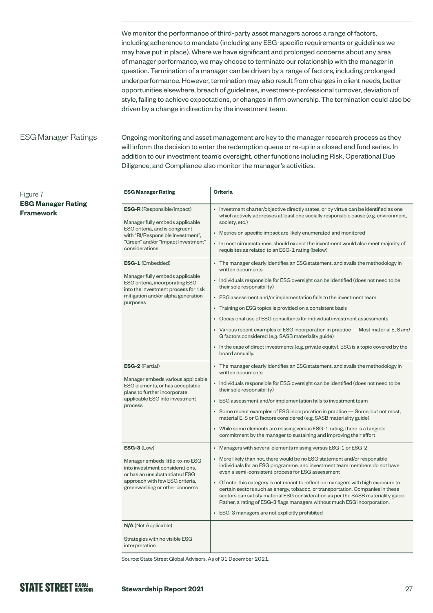We monitor the performance of third-party asset managers across a range of factors, including adherence to mandate (including any ESG-specific requirements or guidelines we may have put in place). Where we have significant and prolonged concerns about any area of manager performance, we may choose to terminate our relationship with the manager in question. Termination of a manager can be driven by a range of factors, including prolonged underperformance. However, termination may also result from changes in client needs, better opportunities elsewhere, breach of guidelines, investment-professional turnover, deviation of style, failing to achieve expectations, or changes in firm ownership. The termination could also be driven by a change in direction by the investment team.

#### ESG Manager Ratings

Ongoing monitoring and asset management are key to the manager research process as they will inform the decision to enter the redemption queue or re-up in a closed end fund series. In addition to our investment team's oversight, other functions including Risk, Operational Due Diligence, and Compliance also monitor the manager's activities.

| <b>ESG Manager Rating</b>                                                                                                                                                                           | <b>Criteria</b>                                                                                                                                                                                                                                                                                                                                                                                                                                                                                                                                                                                                                                                                                         |
|-----------------------------------------------------------------------------------------------------------------------------------------------------------------------------------------------------|---------------------------------------------------------------------------------------------------------------------------------------------------------------------------------------------------------------------------------------------------------------------------------------------------------------------------------------------------------------------------------------------------------------------------------------------------------------------------------------------------------------------------------------------------------------------------------------------------------------------------------------------------------------------------------------------------------|
| <b>ESG-R</b> (Responsible/Impact)<br>Manager fully embeds applicable<br>ESG criteria, and is congruent<br>with "RI/Responsible Investment",<br>"Green" and/or "Impact Investment"<br>considerations | • Investment charter/objective directly states, or by virtue can be identified as one<br>which actively addresses at least one socially responsible cause (e.g. environment,<br>society, etc.)<br>• Metrics on specific impact are likely enumerated and monitored<br>• In most circumstances, should expect the investment would also meet majority of<br>requisites as related to an ESG-1 rating (below)                                                                                                                                                                                                                                                                                             |
| ESG-1 (Embedded)<br>Manager fully embeds applicable<br>ESG criteria, incorporating ESG<br>into the investment process for risk<br>mitigation and/or alpha generation<br>purposes                    | • The manager clearly identifies an ESG statement, and avails the methodology in<br>written documents<br>• Individuals responsible for ESG oversight can be identified (does not need to be<br>their sole responsibility)<br>• ESG assessment and/or implementation falls to the investment team<br>• Training on ESG topics is provided on a consistent basis<br>• Occasional use of ESG consultants for individual investment assessments<br>• Various recent examples of ESG incorporation in practice — Most material E, S and<br>G factors considered (e.g. SASB materiality guide)<br>• In the case of direct investments (e.g. private equity), ESG is a topic covered by the<br>board annually. |
| <b>ESG-2</b> (Partial)<br>Manager embeds various applicable<br>ESG elements, or has acceptable<br>plans to further incorporate<br>applicable ESG into investment<br>process                         | • The manager clearly identifies an ESG statement, and avails the methodology in<br>written documents<br>• Individuals responsible for ESG oversight can be identified (does not need to be<br>their sole responsibility)<br>• ESG assessment and/or implementation falls to investment team<br>• Some recent examples of ESG incorporation in practice - Some, but not most,<br>material E, S or G factors considered (e.g. SASB materiality guide)<br>• While some elements are missing versus ESG-1 rating, there is a tangible<br>commitment by the manager to sustaining and improving their effort                                                                                                |
| $ESG-3$ (Low)<br>Manager embeds little-to-no ESG<br>into investment considerations.<br>or has an unsubstantiated ESG<br>approach with few ESG criteria,<br>greenwashing or other concerns           | • Managers with several elements missing versus ESG-1 or ESG-2<br>• More likely than not, there would be no ESG statement and/or responsible<br>individuals for an ESG programme, and investment team members do not have<br>even a semi-consistent process for ESG assessment<br>• Of note, this category is not meant to reflect on managers with high exposure to<br>certain sectors such as energy, tobacco, or transportation. Companies in these<br>sectors can satisfy material ESG consideration as per the SASB materiality guide.<br>Rather, a rating of ESG-3 flags managers without much ESG incorporation.<br>• ESG-3 managers are not explicitly prohibited                               |
| <b>N/A</b> (Not Applicable)<br>Strategies with no visible ESG<br>interpretation                                                                                                                     |                                                                                                                                                                                                                                                                                                                                                                                                                                                                                                                                                                                                                                                                                                         |

Source: State Street Global Advisors. As of 31 December 2021.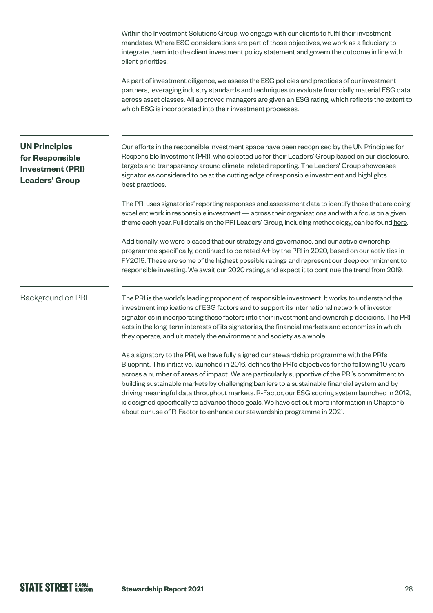Within the Investment Solutions Group, we engage with our clients to fulfil their investment mandates. Where ESG considerations are part of those objectives, we work as a fiduciary to integrate them into the client investment policy statement and govern the outcome in line with client priorities. As part of investment diligence, we assess the ESG policies and practices of our investment partners, leveraging industry standards and techniques to evaluate financially material ESG data across asset classes. All approved managers are given an ESG rating, which reflects the extent to which ESG is incorporated into their investment processes. Our efforts in the responsible investment space have been recognised by the UN Principles for Responsible Investment (PRI), who selected us for their Leaders' Group based on our disclosure, targets and transparency around climate-related reporting. The Leaders' Group showcases signatories considered to be at the cutting edge of responsible investment and highlights best practices. The PRI uses signatories' reporting responses and assessment data to identify those that are doing excellent work in responsible investment — across their organisations and with a focus on a given theme each year. Full details on the PRI Leaders' Group, including methodology, can be found [here.](https://www.unpri.org/showcasing-leadership/the-pri-leaders-group/4771.article) Additionally, we were pleased that our strategy and governance, and our active ownership programme specifically, continued to be rated A+ by the PRI in 2020, based on our activities in FY2019. These are some of the highest possible ratings and represent our deep commitment to responsible investing. We await our 2020 rating, and expect it to continue the trend from 2019. The PRI is the world's leading proponent of responsible investment. It works to understand the investment implications of ESG factors and to support its international network of investor signatories in incorporating these factors into their investment and ownership decisions. The PRI acts in the long-term interests of its signatories, the financial markets and economies in which they operate, and ultimately the environment and society as a whole. As a signatory to the PRI, we have fully aligned our stewardship programme with the PRI's Blueprint. This initiative, launched in 2016, defines the PRI's objectives for the following 10 years across a number of areas of impact. We are particularly supportive of the PRI's commitment to building sustainable markets by challenging barriers to a sustainable financial system and by driving meaningful data throughout markets. R-Factor, our ESG scoring system launched in 2019, is designed specifically to advance these goals. We have set out more information in Chapter 5 about our use of R-Factor to enhance our stewardship programme in 2021. **UN Principles for Responsible Investment (PRI) Leaders' Group** Background on PRI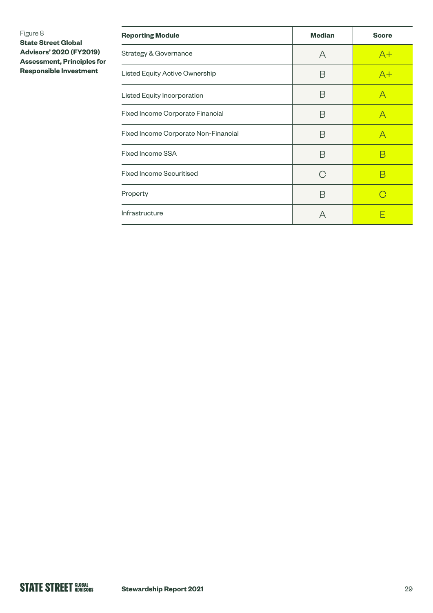#### Figure 8

**State Street Global Advisors' 2020 (FY2019) Assessment, Principles for Responsible Investment**

| <b>Reporting Module</b>              | <b>Median</b> | <b>Score</b> |
|--------------------------------------|---------------|--------------|
| <b>Strategy &amp; Governance</b>     | A             | $A+$         |
| Listed Equity Active Ownership       | B             | $A+$         |
| Listed Equity Incorporation          | B             | A            |
| Fixed Income Corporate Financial     | B             | А            |
| Fixed Income Corporate Non-Financial | B             | А            |
| Fixed Income SSA                     | Β             | В            |
| <b>Fixed Income Securitised</b>      | G             | R            |
| Property                             | B             |              |
| Infrastructure                       | А             |              |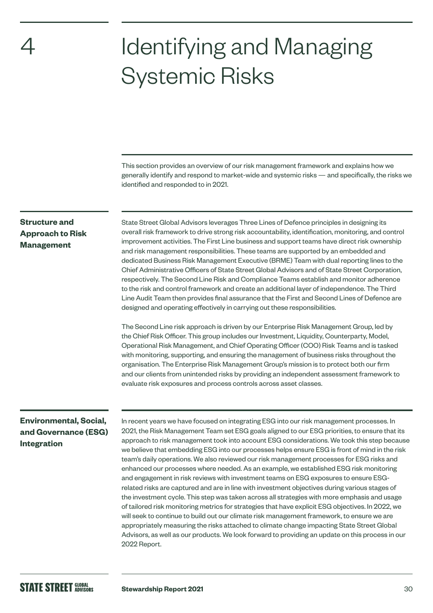# <span id="page-29-0"></span>4

# Identifying and Managing Systemic Risks

This section provides an overview of our risk management framework and explains how we generally identify and respond to market-wide and systemic risks — and specifically, the risks we identified and responded to in 2021.

#### **Structure and Approach to Risk Management**

State Street Global Advisors leverages Three Lines of Defence principles in designing its overall risk framework to drive strong risk accountability, identification, monitoring, and control improvement activities. The First Line business and support teams have direct risk ownership and risk management responsibilities. These teams are supported by an embedded and dedicated Business Risk Management Executive (BRME) Team with dual reporting lines to the Chief Administrative Officers of State Street Global Advisors and of State Street Corporation, respectively. The Second Line Risk and Compliance Teams establish and monitor adherence to the risk and control framework and create an additional layer of independence. The Third Line Audit Team then provides final assurance that the First and Second Lines of Defence are designed and operating effectively in carrying out these responsibilities.

The Second Line risk approach is driven by our Enterprise Risk Management Group, led by the Chief Risk Officer. This group includes our Investment, Liquidity, Counterparty, Model, Operational Risk Management, and Chief Operating Officer (COO) Risk Teams and is tasked with monitoring, supporting, and ensuring the management of business risks throughout the organisation. The Enterprise Risk Management Group's mission is to protect both our firm and our clients from unintended risks by providing an independent assessment framework to evaluate risk exposures and process controls across asset classes.

#### **Environmental, Social, and Governance (ESG) Integration**

In recent years we have focused on integrating ESG into our risk management processes. In 2021, the Risk Management Team set ESG goals aligned to our ESG priorities, to ensure that its approach to risk management took into account ESG considerations. We took this step because we believe that embedding ESG into our processes helps ensure ESG is front of mind in the risk team's daily operations. We also reviewed our risk management processes for ESG risks and enhanced our processes where needed. As an example, we established ESG risk monitoring and engagement in risk reviews with investment teams on ESG exposures to ensure ESGrelated risks are captured and are in line with investment objectives during various stages of the investment cycle. This step was taken across all strategies with more emphasis and usage of tailored risk monitoring metrics for strategies that have explicit ESG objectives. In 2022, we will seek to continue to build out our climate risk management framework, to ensure we are appropriately measuring the risks attached to climate change impacting State Street Global Advisors, as well as our products. We look forward to providing an update on this process in our 2022 Report.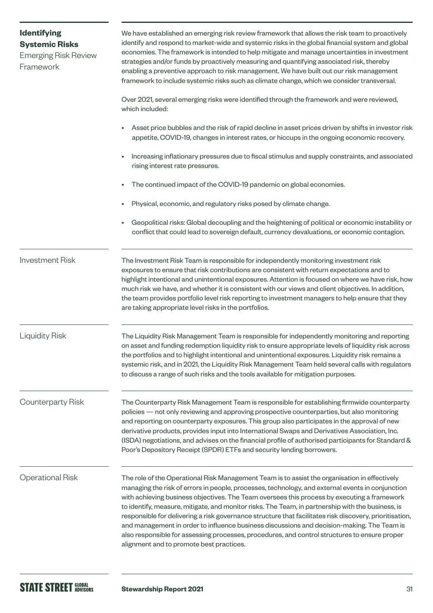<span id="page-30-0"></span>

| <b>Identifying</b><br><b>Systemic Risks</b><br><b>Emerging Risk Review</b><br>Framework | We have established an emerging risk review framework that allows the risk team to proactively<br>identify and respond to market-wide and systemic risks in the global financial system and global<br>economies. The framework is intended to help mitigate and manage uncertainties in investment<br>strategies and/or funds by proactively measuring and quantifying associated risk, thereby<br>enabling a preventive approach to risk management. We have built out our risk management<br>framework to include systemic risks such as climate change, which we consider transversal.                                                                                                                                                                   |
|-----------------------------------------------------------------------------------------|-------------------------------------------------------------------------------------------------------------------------------------------------------------------------------------------------------------------------------------------------------------------------------------------------------------------------------------------------------------------------------------------------------------------------------------------------------------------------------------------------------------------------------------------------------------------------------------------------------------------------------------------------------------------------------------------------------------------------------------------------------------|
|                                                                                         | Over 2021, several emerging risks were identified through the framework and were reviewed,<br>which included:                                                                                                                                                                                                                                                                                                                                                                                                                                                                                                                                                                                                                                               |
|                                                                                         | Asset price bubbles and the risk of rapid decline in asset prices driven by shifts in investor risk<br>appetite, COVID-19, changes in interest rates, or hiccups in the ongoing economic recovery.                                                                                                                                                                                                                                                                                                                                                                                                                                                                                                                                                          |
|                                                                                         | Increasing inflationary pressures due to fiscal stimulus and supply constraints, and associated<br>rising interest rate pressures.                                                                                                                                                                                                                                                                                                                                                                                                                                                                                                                                                                                                                          |
|                                                                                         | The continued impact of the COVID-19 pandemic on global economies.                                                                                                                                                                                                                                                                                                                                                                                                                                                                                                                                                                                                                                                                                          |
|                                                                                         | Physical, economic, and regulatory risks posed by climate change.                                                                                                                                                                                                                                                                                                                                                                                                                                                                                                                                                                                                                                                                                           |
|                                                                                         | Geopolitical risks: Global decoupling and the heightening of political or economic instability or<br>conflict that could lead to sovereign default, currency devaluations, or economic contagion.                                                                                                                                                                                                                                                                                                                                                                                                                                                                                                                                                           |
| <b>Investment Risk</b>                                                                  | The Investment Risk Team is responsible for independently monitoring investment risk<br>exposures to ensure that risk contributions are consistent with return expectations and to<br>highlight intentional and unintentional exposures. Attention is focused on where we have risk, how<br>much risk we have, and whether it is consistent with our views and client objectives. In addition,<br>the team provides portfolio level risk reporting to investment managers to help ensure that they<br>are taking appropriate level risks in the portfolios.                                                                                                                                                                                                 |
| <b>Liquidity Risk</b>                                                                   | The Liquidity Risk Management Team is responsible for independently monitoring and reporting<br>on asset and funding redemption liquidity risk to ensure appropriate levels of liquidity risk across<br>the portfolios and to highlight intentional and unintentional exposures. Liquidity risk remains a<br>systemic risk, and in 2021, the Liquidity Risk Management Team held several calls with regulators<br>to discuss a range of such risks and the tools available for mitigation purposes.                                                                                                                                                                                                                                                         |
| <b>Counterparty Risk</b>                                                                | The Counterparty Risk Management Team is responsible for establishing firmwide counterparty<br>policies - not only reviewing and approving prospective counterparties, but also monitoring<br>and reporting on counterparty exposures. This group also participates in the approval of new<br>derivative products, provides input into International Swaps and Derivatives Association, Inc.<br>(ISDA) negotiations, and advises on the financial profile of authorised participants for Standard &<br>Poor's Depository Receipt (SPDR) ETFs and security lending borrowers.                                                                                                                                                                                |
| <b>Operational Risk</b>                                                                 | The role of the Operational Risk Management Team is to assist the organisation in effectively<br>managing the risk of errors in people, processes, technology, and external events in conjunction<br>with achieving business objectives. The Team oversees this process by executing a framework<br>to identify, measure, mitigate, and monitor risks. The Team, in partnership with the business, is<br>responsible for delivering a risk governance structure that facilitates risk discovery, prioritisation,<br>and management in order to influence business discussions and decision-making. The Team is<br>also responsible for assessing processes, procedures, and control structures to ensure proper<br>alignment and to promote best practices. |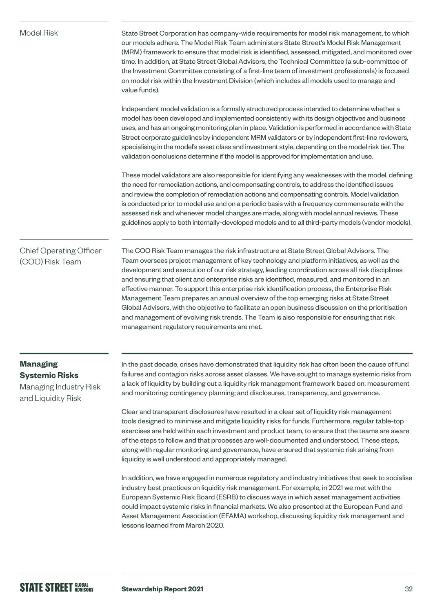| <b>Model Risk</b>                                                                        | State Street Corporation has company-wide requirements for model risk management, to which<br>our models adhere. The Model Risk Team administers State Street's Model Risk Management<br>(MRM) framework to ensure that model risk is identified, assessed, mitigated, and monitored over<br>time. In addition, at State Street Global Advisors, the Technical Committee (a sub-committee of<br>the Investment Committee consisting of a first-line team of investment professionals) is focused<br>on model risk within the Investment Division (which includes all models used to manage and<br>value funds).                                                                                                                                                                                                                         |
|------------------------------------------------------------------------------------------|-----------------------------------------------------------------------------------------------------------------------------------------------------------------------------------------------------------------------------------------------------------------------------------------------------------------------------------------------------------------------------------------------------------------------------------------------------------------------------------------------------------------------------------------------------------------------------------------------------------------------------------------------------------------------------------------------------------------------------------------------------------------------------------------------------------------------------------------|
|                                                                                          | Independent model validation is a formally structured process intended to determine whether a<br>model has been developed and implemented consistently with its design objectives and business<br>uses, and has an ongoing monitoring plan in place. Validation is performed in accordance with State<br>Street corporate guidelines by independent MRM validators or by independent first-line reviewers,<br>specialising in the model's asset class and investment style, depending on the model risk tier. The<br>validation conclusions determine if the model is approved for implementation and use.                                                                                                                                                                                                                              |
|                                                                                          | These model validators are also responsible for identifying any weaknesses with the model, defining<br>the need for remediation actions, and compensating controls, to address the identified issues<br>and review the completion of remediation actions and compensating controls. Model validation<br>is conducted prior to model use and on a periodic basis with a frequency commensurate with the<br>assessed risk and whenever model changes are made, along with model annual reviews. These<br>guidelines apply to both internally-developed models and to all third-party models (vendor models).                                                                                                                                                                                                                              |
| <b>Chief Operating Officer</b><br>(COO) Risk Team                                        | The COO Risk Team manages the risk infrastructure at State Street Global Advisors. The<br>Team oversees project management of key technology and platform initiatives, as well as the<br>development and execution of our risk strategy, leading coordination across all risk disciplines<br>and ensuring that client and enterprise risks are identified, measured, and monitored in an<br>effective manner. To support this enterprise risk identification process, the Enterprise Risk<br>Management Team prepares an annual overview of the top emerging risks at State Street<br>Global Advisors, with the objective to facilitate an open business discussion on the prioritisation<br>and management of evolving risk trends. The Team is also responsible for ensuring that risk<br>management regulatory requirements are met. |
| <b>Managing</b><br><b>Systemic Risks</b><br>Managing Industry Risk<br>and Liquidity Risk | In the past decade, crises have demonstrated that liquidity risk has often been the cause of fund<br>failures and contagion risks across asset classes. We have sought to manage systemic risks from<br>a lack of liquidity by building out a liquidity risk management framework based on: measurement<br>and monitoring; contingency planning; and disclosures, transparency, and governance.<br>Clear and transparent disclosures have resulted in a clear set of liquidity risk management                                                                                                                                                                                                                                                                                                                                          |
|                                                                                          | tools designed to minimise and mitigate liquidity risks for funds. Furthermore, regular table-top<br>exercises are held within each investment and product team, to ensure that the teams are aware<br>of the steps to follow and that processes are well-documented and understood. These steps,<br>along with regular monitoring and governance, have ensured that systemic risk arising from<br>liquidity is well understood and appropriately managed.                                                                                                                                                                                                                                                                                                                                                                              |
|                                                                                          | In addition, we have engaged in numerous regulatory and industry initiatives that seek to socialise<br>industry best practices on liquidity risk management. For example, in 2021 we met with the                                                                                                                                                                                                                                                                                                                                                                                                                                                                                                                                                                                                                                       |

European Systemic Risk Board (ESRB) to discuss ways in which asset management activities could impact systemic risks in financial markets. We also presented at the European Fund and Asset Management Association (EFAMA) workshop, discussing liquidity risk management and lessons learned from March 2020.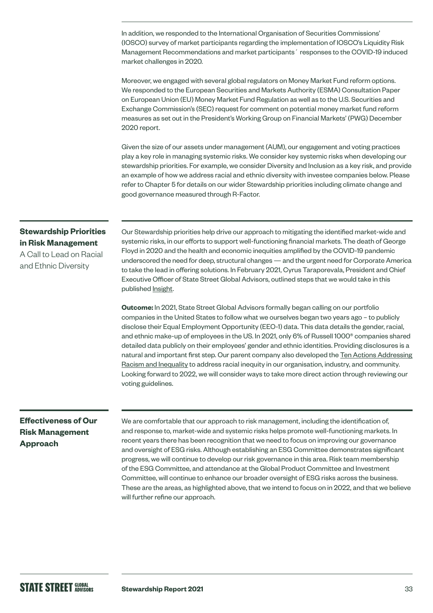In addition, we responded to the International Organisation of Securities Commissions' (IOSCO) survey of market participants regarding the implementation of IOSCO's Liquidity Risk Management Recommendations and market participants´ responses to the COVID-19 induced market challenges in 2020.

Moreover, we engaged with several global regulators on Money Market Fund reform options. We responded to the European Securities and Markets Authority (ESMA) Consultation Paper on European Union (EU) Money Market Fund Regulation as well as to the U.S. Securities and Exchange Commission's (SEC) request for comment on potential money market fund reform measures as set out in the President's Working Group on Financial Markets' (PWG) December 2020 report.

Given the size of our assets under management (AUM), our engagement and voting practices play a key role in managing systemic risks. We consider key systemic risks when developing our stewardship priorities. For example, we consider Diversity and Inclusion as a key risk, and provide an example of how we address racial and ethnic diversity with investee companies below. Please refer to Chapter 5 for details on our wider Stewardship priorities including climate change and good governance measured through R-Factor.

#### **Stewardship Priorities in Risk Management**

A Call to Lead on Racial and Ethnic Diversity

Our Stewardship priorities help drive our approach to mitigating the identified market-wide and systemic risks, in our efforts to support well-functioning financial markets. The death of George Floyd in 2020 and the health and economic inequities amplified by the COVID-19 pandemic underscored the need for deep, structural changes — and the urgent need for Corporate America to take the lead in offering solutions. In February 2021, Cyrus Taraporevala, President and Chief Executive Officer of State Street Global Advisors, outlined steps that we would take in this published **[Insight](https://www.ssga.com/us/en/institutional/etfs/insights/a-call-to-lead-on-racial-and-ethnic-diversity)**.

**Outcome:** In 2021, State Street Global Advisors formally began calling on our portfolio companies in the United States to follow what we ourselves began two years ago – to publicly disclose their Equal Employment Opportunity (EEO-1) data. This data details the gender, racial, and ethnic make-up of employees in the US. In 2021, only 6% of Russell 1000® companies shared detailed data publicly on their employees' gender and ethnic identities. Providing disclosures is a natural and important first step. Our parent company also developed the [Ten Actions Addressing](https://www.statestreet.com/content/dam/statestreet/documents/values/state-street-10-actions-against-racism-inequality-July-2021.pdf)  [Racism and Inequality](https://www.statestreet.com/content/dam/statestreet/documents/values/state-street-10-actions-against-racism-inequality-July-2021.pdf) to address racial inequity in our organisation, industry, and community. Looking forward to 2022, we will consider ways to take more direct action through reviewing our voting guidelines.

#### **Effectiveness of Our Risk Management Approach**

We are comfortable that our approach to risk management, including the identification of, and response to, market-wide and systemic risks helps promote well-functioning markets. In recent years there has been recognition that we need to focus on improving our governance and oversight of ESG risks. Although establishing an ESG Committee demonstrates significant progress, we will continue to develop our risk governance in this area. Risk team membership of the ESG Committee, and attendance at the Global Product Committee and Investment Committee, will continue to enhance our broader oversight of ESG risks across the business. These are the areas, as highlighted above, that we intend to focus on in 2022, and that we believe will further refine our approach.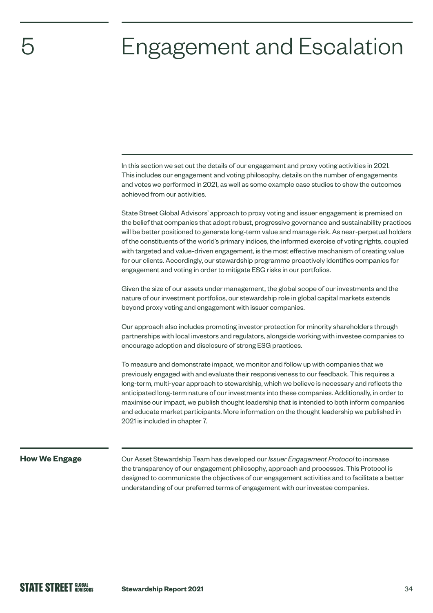# <span id="page-33-0"></span>Engagement and Escalation

In this section we set out the details of our engagement and proxy voting activities in 2021. This includes our engagement and voting philosophy, details on the number of engagements and votes we performed in 2021, as well as some example case studies to show the outcomes achieved from our activities.

State Street Global Advisors' approach to proxy voting and issuer engagement is premised on the belief that companies that adopt robust, progressive governance and sustainability practices will be better positioned to generate long-term value and manage risk. As near-perpetual holders of the constituents of the world's primary indices, the informed exercise of voting rights, coupled with targeted and value-driven engagement, is the most effective mechanism of creating value for our clients. Accordingly, our stewardship programme proactively identifies companies for engagement and voting in order to mitigate ESG risks in our portfolios.

Given the size of our assets under management, the global scope of our investments and the nature of our investment portfolios, our stewardship role in global capital markets extends beyond proxy voting and engagement with issuer companies.

Our approach also includes promoting investor protection for minority shareholders through partnerships with local investors and regulators, alongside working with investee companies to encourage adoption and disclosure of strong ESG practices.

To measure and demonstrate impact, we monitor and follow up with companies that we previously engaged with and evaluate their responsiveness to our feedback. This requires a long-term, multi-year approach to stewardship, which we believe is necessary and reflects the anticipated long-term nature of our investments into these companies. Additionally, in order to maximise our impact, we publish thought leadership that is intended to both inform companies and educate market participants. More information on the thought leadership we published in 2021 is included in chapter 7.

#### **How We Engage**

Our Asset Stewardship Team has developed our *Issuer Engagement Protocol* to increase the transparency of our engagement philosophy, approach and processes. This Protocol is designed to communicate the objectives of our engagement activities and to facilitate a better understanding of our preferred terms of engagement with our investee companies.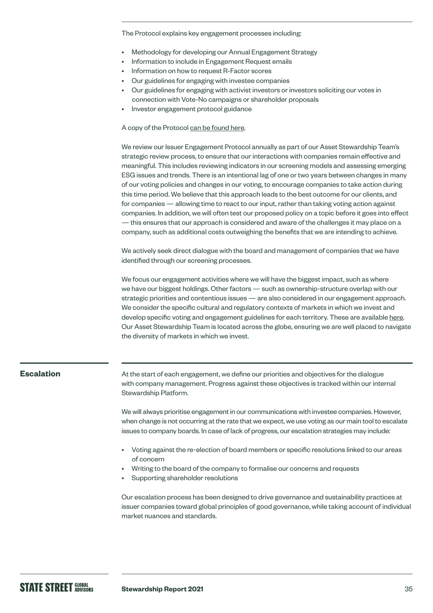<span id="page-34-0"></span>The Protocol explains key engagement processes including:

- Methodology for developing our Annual Engagement Strategy
- Information to include in Engagement Request emails
- Information on how to request R-Factor scores
- Our guidelines for engaging with investee companies
- Our guidelines for engaging with activist investors or investors soliciting our votes in connection with Vote-No campaigns or shareholder proposals
- Investor engagement protocol guidance

#### A copy of the Protocol [can be found here.](https://www.ssga.com/library-content/pdfs/ic/state-street-global-advisors-issuer-engagement-protocol.pdf)

We review our Issuer Engagement Protocol annually as part of our Asset Stewardship Team's strategic review process, to ensure that our interactions with companies remain effective and meaningful. This includes reviewing indicators in our screening models and assessing emerging ESG issues and trends. There is an intentional lag of one or two years between changes in many of our voting policies and changes in our voting, to encourage companies to take action during this time period. We believe that this approach leads to the best outcome for our clients, and for companies — allowing time to react to our input, rather than taking voting action against companies. In addition, we will often test our proposed policy on a topic before it goes into effect — this ensures that our approach is considered and aware of the challenges it may place on a company, such as additional costs outweighing the benefits that we are intending to achieve.

We actively seek direct dialogue with the board and management of companies that we have identified through our screening processes.

We focus our engagement activities where we will have the biggest impact, such as where we have our biggest holdings. Other factors — such as ownership-structure overlap with our strategic priorities and contentious issues — are also considered in our engagement approach. We consider the specific cultural and regulatory contexts of markets in which we invest and develop specific voting and engagement guidelines for each territory. These are available [here](https://www.ssga.com/uk/en_gb/institutional/ic/capabilities/esg/asset-stewardship/asset-stewardship-report-library). Our Asset Stewardship Team is located across the globe, ensuring we are well placed to navigate the diversity of markets in which we invest.

#### **Escalation**

At the start of each engagement, we define our priorities and objectives for the dialogue with company management. Progress against these objectives is tracked within our internal Stewardship Platform.

We will always prioritise engagement in our communications with investee companies. However, when change is not occurring at the rate that we expect, we use voting as our main tool to escalate issues to company boards. In case of lack of progress, our escalation strategies may include:

- Voting against the re-election of board members or specific resolutions linked to our areas of concern
- Writing to the board of the company to formalise our concerns and requests
- Supporting shareholder resolutions

Our escalation process has been designed to drive governance and sustainability practices at issuer companies toward global principles of good governance, while taking account of individual market nuances and standards.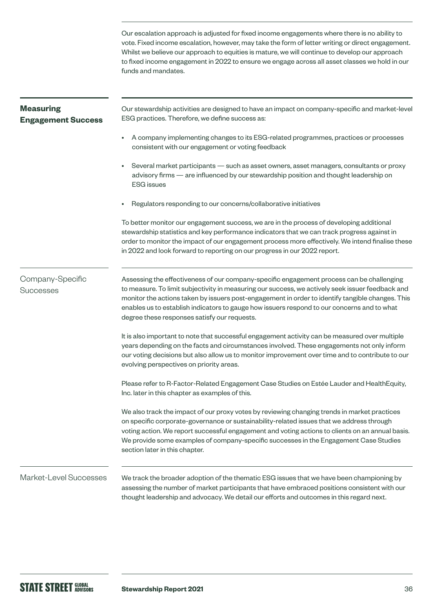Our escalation approach is adjusted for fixed income engagements where there is no ability to vote. Fixed income escalation, however, may take the form of letter writing or direct engagement. Whilst we believe our approach to equities is mature, we will continue to develop our approach to fixed income engagement in 2022 to ensure we engage across all asset classes we hold in our funds and mandates.

| <b>Measuring</b><br><b>Engagement Success</b> | Our stewardship activities are designed to have an impact on company-specific and market-level<br>ESG practices. Therefore, we define success as:                                                                                                                                                                                                                                                                                                |
|-----------------------------------------------|--------------------------------------------------------------------------------------------------------------------------------------------------------------------------------------------------------------------------------------------------------------------------------------------------------------------------------------------------------------------------------------------------------------------------------------------------|
|                                               | A company implementing changes to its ESG-related programmes, practices or processes<br>٠<br>consistent with our engagement or voting feedback                                                                                                                                                                                                                                                                                                   |
|                                               | Several market participants - such as asset owners, asset managers, consultants or proxy<br>$\bullet$<br>advisory firms - are influenced by our stewardship position and thought leadership on<br><b>ESG</b> issues                                                                                                                                                                                                                              |
|                                               | Regulators responding to our concerns/collaborative initiatives                                                                                                                                                                                                                                                                                                                                                                                  |
|                                               | To better monitor our engagement success, we are in the process of developing additional<br>stewardship statistics and key performance indicators that we can track progress against in<br>order to monitor the impact of our engagement process more effectively. We intend finalise these<br>in 2022 and look forward to reporting on our progress in our 2022 report.                                                                         |
| Company-Specific<br><b>Successes</b>          | Assessing the effectiveness of our company-specific engagement process can be challenging<br>to measure. To limit subjectivity in measuring our success, we actively seek issuer feedback and<br>monitor the actions taken by issuers post-engagement in order to identify tangible changes. This<br>enables us to establish indicators to gauge how issuers respond to our concerns and to what<br>degree these responses satisfy our requests. |
|                                               | It is also important to note that successful engagement activity can be measured over multiple<br>years depending on the facts and circumstances involved. These engagements not only inform<br>our voting decisions but also allow us to monitor improvement over time and to contribute to our<br>evolving perspectives on priority areas.                                                                                                     |
|                                               | Please refer to R-Factor-Related Engagement Case Studies on Estée Lauder and HealthEquity,<br>Inc. later in this chapter as examples of this.                                                                                                                                                                                                                                                                                                    |
|                                               | We also track the impact of our proxy votes by reviewing changing trends in market practices<br>on specific corporate-governance or sustainability-related issues that we address through<br>voting action. We report successful engagement and voting actions to clients on an annual basis.<br>We provide some examples of company-specific successes in the Engagement Case Studies<br>section later in this chapter.                         |
| Market-Level Successes                        | We track the broader adoption of the thematic ESG issues that we have been championing by<br>assessing the number of market participants that have embraced positions consistent with our<br>thought leadership and advocacy. We detail our efforts and outcomes in this regard next.                                                                                                                                                            |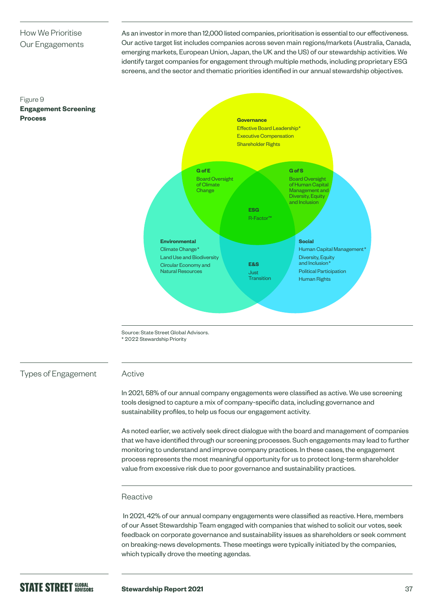## How We Prioritise Our Engagements

**Engagement Screening** 

Figure 9

As an investor in more than 12,000 listed companies, prioritisation is essential to our effectiveness. Our active target list includes companies across seven main regions/markets (Australia, Canada, emerging markets, European Union, Japan, the UK and the US) of our stewardship activities. We identify target companies for engagement through multiple methods, including proprietary ESG screens, and the sector and thematic priorities identified in our annual stewardship objectives.



Source: State Street Global Advisors. \* 2022 Stewardship Priority

Types of Engagement

### Active

In 2021, 58% of our annual company engagements were classified as active. We use screening tools designed to capture a mix of company-specific data, including governance and sustainability profiles, to help us focus our engagement activity.

As noted earlier, we actively seek direct dialogue with the board and management of companies that we have identified through our screening processes. Such engagements may lead to further monitoring to understand and improve company practices. In these cases, the engagement process represents the most meaningful opportunity for us to protect long-term shareholder value from excessive risk due to poor governance and sustainability practices.

### Reactive

 In 2021, 42% of our annual company engagements were classified as reactive. Here, members of our Asset Stewardship Team engaged with companies that wished to solicit our votes, seek feedback on corporate governance and sustainability issues as shareholders or seek comment on breaking-news developments. These meetings were typically initiated by the companies, which typically drove the meeting agendas.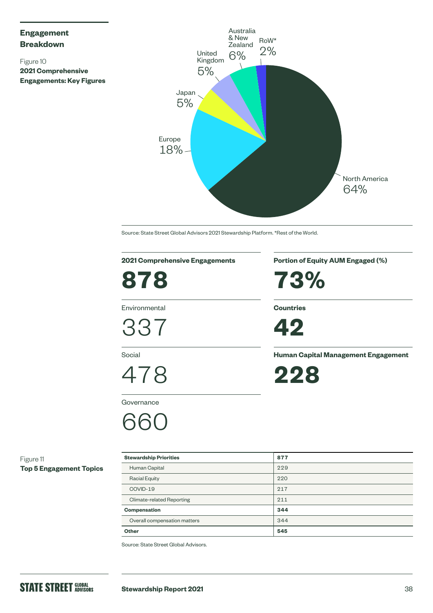## **Engagement Breakdown**

Figure 10 **2021 Comprehensive Engagements: Key Figures**



Source: State Street Global Advisors 2021 Stewardship Platform. \*Rest of the World.

## **2021 Comprehensive Engagements**

**878**

Environmental

337

Social

478

**Governance** 

## 660

**Portion of Equity AUM Engaged (%)**

**73%**

**Countries**



**Human Capital Management Engagement**

**228**

Figure 11 **Top 5 Engagement Topics**

| <b>Stewardship Priorities</b>    | 877 |  |
|----------------------------------|-----|--|
| Human Capital                    | 229 |  |
| <b>Racial Equity</b>             | 220 |  |
| COVID-19                         | 217 |  |
| <b>Climate-related Reporting</b> | 211 |  |
| <b>Compensation</b>              | 344 |  |
| Overall compensation matters     | 344 |  |
| Other                            | 545 |  |

Source: State Street Global Advisors.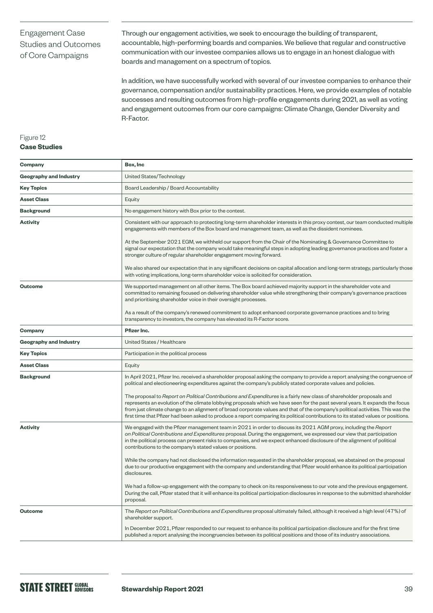## Engagement Case Studies and Outcomes of Core Campaigns

Through our engagement activities, we seek to encourage the building of transparent, accountable, high-performing boards and companies. We believe that regular and constructive communication with our investee companies allows us to engage in an honest dialogue with boards and management on a spectrum of topics.

In addition, we have successfully worked with several of our investee companies to enhance their governance, compensation and/or sustainability practices. Here, we provide examples of notable successes and resulting outcomes from high-profile engagements during 2021, as well as voting and engagement outcomes from our core campaigns: Climate Change, Gender Diversity and R-Factor.

## Figure 12

## **Case Studies**

| Company                       | Box, Inc                                                                                                                                                                                                                                                                                                                                                                                                                                                                                                                        |  |  |
|-------------------------------|---------------------------------------------------------------------------------------------------------------------------------------------------------------------------------------------------------------------------------------------------------------------------------------------------------------------------------------------------------------------------------------------------------------------------------------------------------------------------------------------------------------------------------|--|--|
| <b>Geography and Industry</b> | United States/Technology                                                                                                                                                                                                                                                                                                                                                                                                                                                                                                        |  |  |
| <b>Key Topics</b>             | Board Leadership / Board Accountability                                                                                                                                                                                                                                                                                                                                                                                                                                                                                         |  |  |
| <b>Asset Class</b>            | Equity                                                                                                                                                                                                                                                                                                                                                                                                                                                                                                                          |  |  |
| <b>Background</b>             | No engagement history with Box prior to the contest.                                                                                                                                                                                                                                                                                                                                                                                                                                                                            |  |  |
| <b>Activity</b>               | Consistent with our approach to protecting long-term shareholder interests in this proxy contest, our team conducted multiple<br>engagements with members of the Box board and management team, as well as the dissident nominees.                                                                                                                                                                                                                                                                                              |  |  |
|                               | At the September 2021 EGM, we withheld our support from the Chair of the Nominating & Governance Committee to<br>signal our expectation that the company would take meaningful steps in adopting leading governance practices and foster a<br>stronger culture of regular shareholder engagement moving forward.                                                                                                                                                                                                                |  |  |
|                               | We also shared our expectation that in any significant decisions on capital allocation and long-term strategy, particularly those<br>with voting implications, long-term shareholder voice is solicited for consideration.                                                                                                                                                                                                                                                                                                      |  |  |
| Outcome                       | We supported management on all other items. The Box board achieved majority support in the shareholder vote and<br>committed to remaining focused on delivering shareholder value while strengthening their company's governance practices<br>and prioritising shareholder voice in their oversight processes.                                                                                                                                                                                                                  |  |  |
|                               | As a result of the company's renewed commitment to adopt enhanced corporate governance practices and to bring<br>transparency to investors, the company has elevated its R-Factor score.                                                                                                                                                                                                                                                                                                                                        |  |  |
| Company                       | Pfizer Inc.                                                                                                                                                                                                                                                                                                                                                                                                                                                                                                                     |  |  |
| Geography and Industry        | United States / Healthcare                                                                                                                                                                                                                                                                                                                                                                                                                                                                                                      |  |  |
| <b>Key Topics</b>             | Participation in the political process                                                                                                                                                                                                                                                                                                                                                                                                                                                                                          |  |  |
| <b>Asset Class</b>            | Equity                                                                                                                                                                                                                                                                                                                                                                                                                                                                                                                          |  |  |
| <b>Background</b>             | In April 2021, Pfizer Inc. received a shareholder proposal asking the company to provide a report analysing the congruence of<br>political and electioneering expenditures against the company's publicly stated corporate values and policies.                                                                                                                                                                                                                                                                                 |  |  |
|                               | The proposal to Report on Political Contributions and Expenditures is a fairly new class of shareholder proposals and<br>represents an evolution of the climate lobbying proposals which we have seen for the past several years. It expands the focus<br>from just climate change to an alignment of broad corporate values and that of the company's political activities. This was the<br>first time that Pfizer had been asked to produce a report comparing its political contributions to its stated values or positions. |  |  |
| <b>Activity</b>               | We engaged with the Pfizer management team in 2021 in order to discuss its 2021 AGM proxy, including the Report<br>on Political Contributions and Expenditures proposal. During the engagement, we expressed our view that participation<br>in the political process can present risks to companies, and we expect enhanced disclosure of the alignment of political<br>contributions to the company's stated values or positions.                                                                                              |  |  |
|                               | While the company had not disclosed the information requested in the shareholder proposal, we abstained on the proposal<br>due to our productive engagement with the company and understanding that Pfizer would enhance its political participation<br>disclosures.                                                                                                                                                                                                                                                            |  |  |
|                               | We had a follow-up engagement with the company to check on its responsiveness to our vote and the previous engagement.<br>During the call, Pfizer stated that it will enhance its political participation disclosures in response to the submitted shareholder<br>proposal.                                                                                                                                                                                                                                                     |  |  |
| Outcome                       | The Report on Political Contributions and Expenditures proposal ultimately failed, although it received a high level (47%) of<br>shareholder support.                                                                                                                                                                                                                                                                                                                                                                           |  |  |
|                               | In December 2021, Pfizer responded to our request to enhance its political participation disclosure and for the first time<br>published a report analysing the incongruencies between its political positions and those of its industry associations.                                                                                                                                                                                                                                                                           |  |  |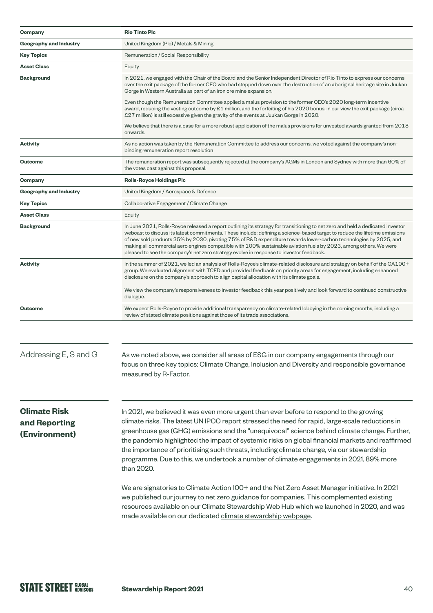| Company                                               | <b>Rio Tinto Plc</b>                                                                                                                                                                                                                                                                                                                                                                                                                                                                                                                                                                                                                                                                                                                                                                                    |  |  |
|-------------------------------------------------------|---------------------------------------------------------------------------------------------------------------------------------------------------------------------------------------------------------------------------------------------------------------------------------------------------------------------------------------------------------------------------------------------------------------------------------------------------------------------------------------------------------------------------------------------------------------------------------------------------------------------------------------------------------------------------------------------------------------------------------------------------------------------------------------------------------|--|--|
| <b>Geography and Industry</b>                         | United Kingdom (Plc) / Metals & Mining                                                                                                                                                                                                                                                                                                                                                                                                                                                                                                                                                                                                                                                                                                                                                                  |  |  |
| <b>Key Topics</b>                                     | Remuneration / Social Responsibility                                                                                                                                                                                                                                                                                                                                                                                                                                                                                                                                                                                                                                                                                                                                                                    |  |  |
| <b>Asset Class</b>                                    | Equity                                                                                                                                                                                                                                                                                                                                                                                                                                                                                                                                                                                                                                                                                                                                                                                                  |  |  |
| <b>Background</b>                                     | In 2021, we engaged with the Chair of the Board and the Senior Independent Director of Rio Tinto to express our concerns<br>over the exit package of the former CEO who had stepped down over the destruction of an aboriginal heritage site in Juukan<br>Gorge in Western Australia as part of an iron ore mine expansion.<br>Even though the Remuneration Committee applied a malus provision to the former CEO's 2020 long-term incentive<br>award, reducing the vesting outcome by £1 million, and the forfeiting of his 2020 bonus, in our view the exit package (circa<br>£27 million) is still excessive given the gravity of the events at Juukan Gorge in 2020.<br>We believe that there is a case for a more robust application of the malus provisions for unvested awards granted from 2018 |  |  |
|                                                       | onwards.                                                                                                                                                                                                                                                                                                                                                                                                                                                                                                                                                                                                                                                                                                                                                                                                |  |  |
| <b>Activity</b>                                       | As no action was taken by the Remuneration Committee to address our concerns, we voted against the company's non-<br>binding remuneration report resolution                                                                                                                                                                                                                                                                                                                                                                                                                                                                                                                                                                                                                                             |  |  |
| <b>Outcome</b>                                        | The remuneration report was subsequently rejected at the company's AGMs in London and Sydney with more than 60% of<br>the votes cast against this proposal.                                                                                                                                                                                                                                                                                                                                                                                                                                                                                                                                                                                                                                             |  |  |
| Company                                               | <b>Rolls-Royce Holdings Plc</b>                                                                                                                                                                                                                                                                                                                                                                                                                                                                                                                                                                                                                                                                                                                                                                         |  |  |
| <b>Geography and Industry</b>                         | United Kingdom / Aerospace & Defence                                                                                                                                                                                                                                                                                                                                                                                                                                                                                                                                                                                                                                                                                                                                                                    |  |  |
| <b>Key Topics</b>                                     | Collaborative Engagement / Climate Change                                                                                                                                                                                                                                                                                                                                                                                                                                                                                                                                                                                                                                                                                                                                                               |  |  |
| <b>Asset Class</b>                                    | Equity                                                                                                                                                                                                                                                                                                                                                                                                                                                                                                                                                                                                                                                                                                                                                                                                  |  |  |
| <b>Background</b>                                     | In June 2021, Rolls-Royce released a report outlining its strategy for transitioning to net zero and held a dedicated investor<br>webcast to discuss its latest commitments. These include: defining a science-based target to reduce the lifetime emissions<br>of new sold products 35% by 2030, pivoting 75% of R&D expenditure towards lower-carbon technologies by 2025, and<br>making all commercial aero engines compatible with 100% sustainable aviation fuels by 2023, among others. We were<br>pleased to see the company's net zero strategy evolve in response to investor feedback.                                                                                                                                                                                                        |  |  |
| <b>Activity</b>                                       | In the summer of 2021, we led an analysis of Rolls-Royce's climate-related disclosure and strategy on behalf of the CA100+<br>group. We evaluated alignment with TCFD and provided feedback on priority areas for engagement, including enhanced<br>disclosure on the company's approach to align capital allocation with its climate goals.<br>We view the company's responsiveness to investor feedback this year positively and look forward to continued constructive<br>dialogue.                                                                                                                                                                                                                                                                                                                  |  |  |
| <b>Outcome</b>                                        | We expect Rolls-Royce to provide additional transparency on climate-related lobbying in the coming months, including a<br>review of stated climate positions against those of its trade associations.                                                                                                                                                                                                                                                                                                                                                                                                                                                                                                                                                                                                   |  |  |
| Addressing E, S and G                                 | As we noted above, we consider all areas of ESG in our company engagements through our<br>focus on three key topics: Climate Change, Inclusion and Diversity and responsible governance<br>measured by R-Factor.                                                                                                                                                                                                                                                                                                                                                                                                                                                                                                                                                                                        |  |  |
| <b>Climate Risk</b><br>and Reporting<br>(Environment) | In 2021, we believed it was even more urgent than ever before to respond to the growing<br>climate risks. The latest UN IPCC report stressed the need for rapid, large-scale reductions in<br>greenhouse gas (GHG) emissions and the "unequivocal" science behind climate change. Further,<br>the pandemic highlighted the impact of systemic risks on global financial markets and reaffirmed<br>the importance of prioritising such threats, including climate change, via our stewardship<br>programme. Due to this, we undertook a number of climate engagements in 2021, 89% more<br>than 2020.<br>We are signatories to Climate Action 100+ and the Net Zero Asset Manager initiative. In 2021<br>we published our journey to net zero guidance for companies. This complemented existing         |  |  |

resources available on our Climate Stewardship Web Hub which we launched in 2020, and was

made available on our dedicated [climate stewardship webpage](https://www.ssga.com/uk/en_gb/institutional/ic/insights/climate-stewardship).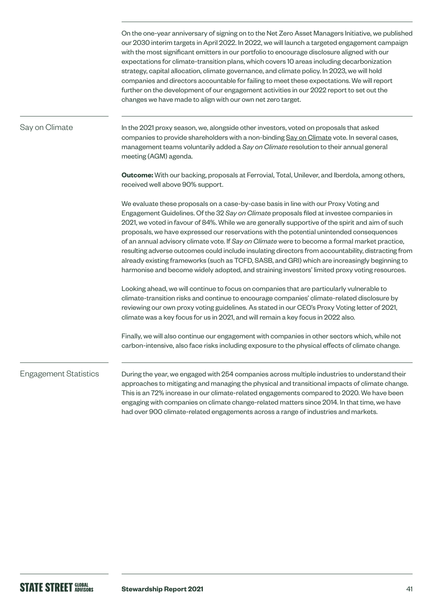|                              | On the one-year anniversary of signing on to the Net Zero Asset Managers Initiative, we published<br>our 2030 interim targets in April 2022. In 2022, we will launch a targeted engagement campaign<br>with the most significant emitters in our portfolio to encourage disclosure aligned with our<br>expectations for climate-transition plans, which covers 10 areas including decarbonization<br>strategy, capital allocation, climate governance, and climate policy. In 2023, we will hold<br>companies and directors accountable for failing to meet these expectations. We will report<br>further on the development of our engagement activities in our 2022 report to set out the<br>changes we have made to align with our own net zero target.                                   |
|------------------------------|----------------------------------------------------------------------------------------------------------------------------------------------------------------------------------------------------------------------------------------------------------------------------------------------------------------------------------------------------------------------------------------------------------------------------------------------------------------------------------------------------------------------------------------------------------------------------------------------------------------------------------------------------------------------------------------------------------------------------------------------------------------------------------------------|
| Say on Climate               | In the 2021 proxy season, we, alongside other investors, voted on proposals that asked<br>companies to provide shareholders with a non-binding Say on Climate vote. In several cases,<br>management teams voluntarily added a Say on Climate resolution to their annual general<br>meeting (AGM) agenda.                                                                                                                                                                                                                                                                                                                                                                                                                                                                                     |
|                              | <b>Outcome:</b> With our backing, proposals at Ferrovial, Total, Unilever, and Iberdola, among others,<br>received well above 90% support.                                                                                                                                                                                                                                                                                                                                                                                                                                                                                                                                                                                                                                                   |
|                              | We evaluate these proposals on a case-by-case basis in line with our Proxy Voting and<br>Engagement Guidelines. Of the 32 Say on Climate proposals filed at investee companies in<br>2021, we voted in favour of 84%. While we are generally supportive of the spirit and aim of such<br>proposals, we have expressed our reservations with the potential unintended consequences<br>of an annual advisory climate vote. If Say on Climate were to become a formal market practice,<br>resulting adverse outcomes could include insulating directors from accountability, distracting from<br>already existing frameworks (such as TCFD, SASB, and GRI) which are increasingly beginning to<br>harmonise and become widely adopted, and straining investors' limited proxy voting resources. |
|                              | Looking ahead, we will continue to focus on companies that are particularly vulnerable to<br>climate-transition risks and continue to encourage companies' climate-related disclosure by<br>reviewing our own proxy voting guidelines. As stated in our CEO's Proxy Voting letter of 2021,<br>climate was a key focus for us in 2021, and will remain a key focus in 2022 also.                                                                                                                                                                                                                                                                                                                                                                                                              |
|                              | Finally, we will also continue our engagement with companies in other sectors which, while not<br>carbon-intensive, also face risks including exposure to the physical effects of climate change.                                                                                                                                                                                                                                                                                                                                                                                                                                                                                                                                                                                            |
| <b>Engagement Statistics</b> | During the year, we engaged with 254 companies across multiple industries to understand their<br>approaches to mitigating and managing the physical and transitional impacts of climate change.<br>This is an 72% increase in our climate-related engagements compared to 2020. We have been<br>engaging with companies on climate change-related matters since 2014. In that time, we have<br>had over 900 climate-related engagements across a range of industries and markets.                                                                                                                                                                                                                                                                                                            |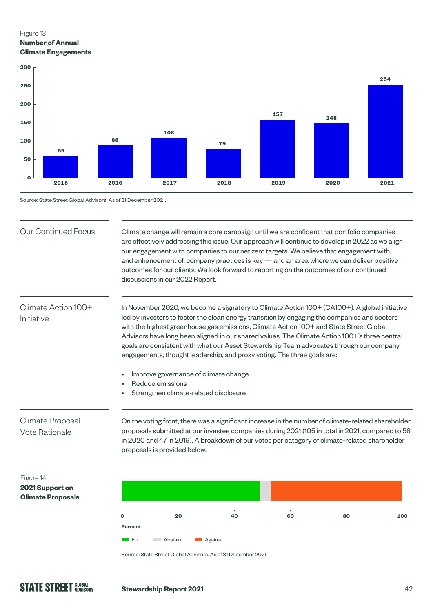## Figure 13 **Number of Annual Climate Engagements**



Source: State Street Global Advisors. As of 31 December 2021.

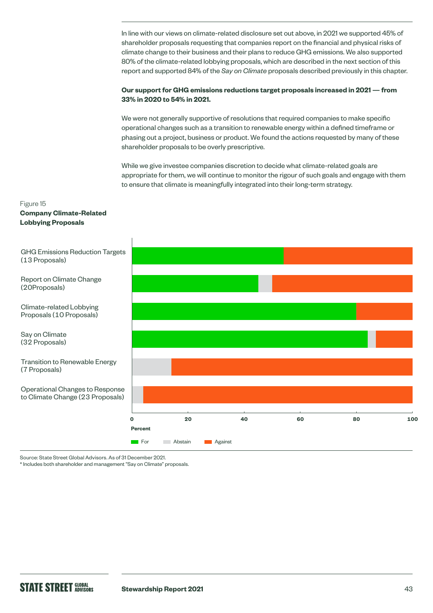In line with our views on climate-related disclosure set out above, in 2021 we supported 45% of shareholder proposals requesting that companies report on the financial and physical risks of climate change to their business and their plans to reduce GHG emissions. We also supported 80% of the climate-related lobbying proposals, which are described in the next section of this report and supported 84% of the *Say on Climate* proposals described previously in this chapter.

### **Our support for GHG emissions reductions target proposals increased in 2021 — from 33% in 2020 to 54% in 2021.**

We were not generally supportive of resolutions that required companies to make specific operational changes such as a transition to renewable energy within a defined timeframe or phasing out a project, business or product. We found the actions requested by many of these shareholder proposals to be overly prescriptive.

While we give investee companies discretion to decide what climate-related goals are appropriate for them, we will continue to monitor the rigour of such goals and engage with them to ensure that climate is meaningfully integrated into their long-term strategy.

### Figure 15

### **Company Climate-Related Lobbying Proposals**



Source: State Street Global Advisors. As of 31 December 2021.

\* Includes both shareholder and management "Say on Climate" proposals.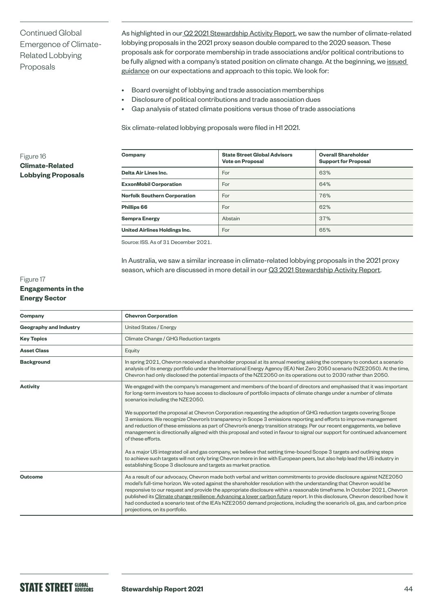Continued Global Emergence of Climate-Related Lobbying Proposals

As highlighted in our [Q2 2021 Stewardship Activity Report](https://www.ssga.com/library-content/products/esg/asset-stewardship-activity-q2-2021.pdf), we saw the number of climate-related lobbying proposals in the 2021 proxy season double compared to the 2020 season. These proposals ask for corporate membership in trade associations and/or political contributions to be fully aligned with a company's stated position on climate change. At the beginning, we [issued](https://www.ssga.com/library-content/pdfs/asset-stewardship/guidance-on-climate-related-disclosures.pdf)  [guidance](https://www.ssga.com/library-content/pdfs/asset-stewardship/guidance-on-climate-related-disclosures.pdf) on our expectations and approach to this topic. We look for:

- Board oversight of lobbying and trade association memberships
- Disclosure of political contributions and trade association dues
- Gap analysis of stated climate positions versus those of trade associations

Six climate-related lobbying proposals were filed in H1 2021.

### Figure 16 **Climate-Related Lobbying Proposals**

| Company                             | <b>State Street Global Advisors</b><br><b>Vote on Proposal</b> | <b>Overall Shareholder</b><br><b>Support for Proposal</b> |
|-------------------------------------|----------------------------------------------------------------|-----------------------------------------------------------|
| Delta Air Lines Inc.                | For                                                            | 63%                                                       |
| <b>ExxonMobil Corporation</b>       | For                                                            | 64%                                                       |
| <b>Norfolk Southern Corporation</b> | For                                                            | 76%                                                       |
| Phillips 66                         | For                                                            | 62%                                                       |
| <b>Sempra Energy</b>                | Abstain                                                        | 37%                                                       |
| United Airlines Holdings Inc.       | For                                                            | 65%                                                       |

Source: ISS. As of 31 December 2021.

In Australia, we saw a similar increase in climate-related lobbying proposals in the 2021 proxy season, which are discussed in more detail in our [Q3 2021 Stewardship Activity Report.](https://www.ssga.com/library-content/products/esg/inst-firm-level-asset-stewardship-report-q3-2021.pdf)

### Figure 17 **Engagements in the Energy Sector**

| Company                       | <b>Chevron Corporation</b>                                                                                                                                                                                                                                                                                                                                                                                                                                                                                                                                                                                                                                              |  |  |
|-------------------------------|-------------------------------------------------------------------------------------------------------------------------------------------------------------------------------------------------------------------------------------------------------------------------------------------------------------------------------------------------------------------------------------------------------------------------------------------------------------------------------------------------------------------------------------------------------------------------------------------------------------------------------------------------------------------------|--|--|
| <b>Geography and Industry</b> | <b>United States / Energy</b>                                                                                                                                                                                                                                                                                                                                                                                                                                                                                                                                                                                                                                           |  |  |
| <b>Key Topics</b>             | Climate Change / GHG Reduction targets                                                                                                                                                                                                                                                                                                                                                                                                                                                                                                                                                                                                                                  |  |  |
| <b>Asset Class</b>            | Equity                                                                                                                                                                                                                                                                                                                                                                                                                                                                                                                                                                                                                                                                  |  |  |
| <b>Background</b>             | In spring 2021, Chevron received a shareholder proposal at its annual meeting asking the company to conduct a scenario<br>analysis of its energy portfolio under the International Energy Agency (IEA) Net Zero 2050 scenario (NZE2050). At the time,<br>Chevron had only disclosed the potential impacts of the NZE2050 on its operations out to 2030 rather than 2050.                                                                                                                                                                                                                                                                                                |  |  |
| <b>Activity</b>               | We engaged with the company's management and members of the board of directors and emphasised that it was important<br>for long-term investors to have access to disclosure of portfolio impacts of climate change under a number of climate<br>scenarios including the NZE2050.                                                                                                                                                                                                                                                                                                                                                                                        |  |  |
|                               | We supported the proposal at Chevron Corporation requesting the adoption of GHG reduction targets covering Scope<br>3 emissions. We recognize Chevron's transparency in Scope 3 emissions reporting and efforts to improve management<br>and reduction of these emissions as part of Chevron's energy transition strategy. Per our recent engagements, we believe<br>management is directionally aligned with this proposal and voted in favour to signal our support for continued advancement<br>of these efforts.                                                                                                                                                    |  |  |
|                               | As a major US integrated oil and gas company, we believe that setting time-bound Scope 3 targets and outlining steps<br>to achieve such targets will not only bring Chevron more in line with European peers, but also help lead the US industry in<br>establishing Scope 3 disclosure and targets as market practice.                                                                                                                                                                                                                                                                                                                                                  |  |  |
| <b>Outcome</b>                | As a result of our advocacy, Chevron made both verbal and written commitments to provide disclosure against NZE2050<br>model's full-time horizon. We voted against the shareholder resolution with the understanding that Chevron would be<br>responsive to our request and provide the appropriate disclosure within a reasonable timeframe. In October 2021, Chevron<br>published its Climate change resilience: Advancing a lower carbon future report. In this disclosure, Chevron described how it<br>had conducted a scenario test of the IEA's NZE2050 demand projections, including the scenario's oil, gas, and carbon price<br>projections, on its portfolio. |  |  |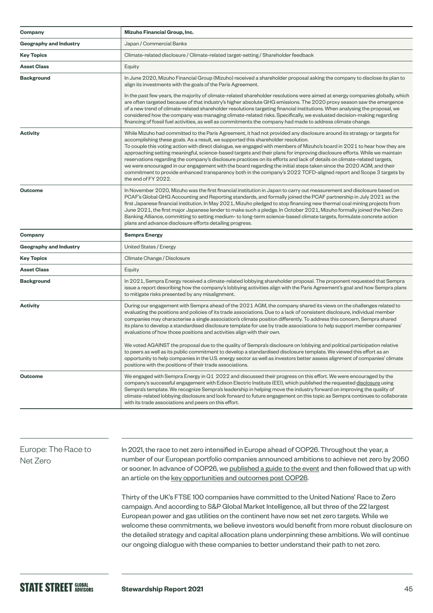| Company                       | Mizuho Financial Group, Inc.                                                                                                                                                                                                                                                                                                                                                                                                                                                                                                                                                                                                                                                                                                                                                                                                                                           |  |  |
|-------------------------------|------------------------------------------------------------------------------------------------------------------------------------------------------------------------------------------------------------------------------------------------------------------------------------------------------------------------------------------------------------------------------------------------------------------------------------------------------------------------------------------------------------------------------------------------------------------------------------------------------------------------------------------------------------------------------------------------------------------------------------------------------------------------------------------------------------------------------------------------------------------------|--|--|
| <b>Geography and Industry</b> | Japan / Commercial Banks                                                                                                                                                                                                                                                                                                                                                                                                                                                                                                                                                                                                                                                                                                                                                                                                                                               |  |  |
| <b>Key Topics</b>             | Climate-related disclosure / Climate-related target-setting / Shareholder feedback                                                                                                                                                                                                                                                                                                                                                                                                                                                                                                                                                                                                                                                                                                                                                                                     |  |  |
| <b>Asset Class</b>            | Equity                                                                                                                                                                                                                                                                                                                                                                                                                                                                                                                                                                                                                                                                                                                                                                                                                                                                 |  |  |
| <b>Background</b>             | In June 2020, Mizuho Financial Group (Mizuho) received a shareholder proposal asking the company to disclose its plan to<br>align its investments with the goals of the Paris Agreement.                                                                                                                                                                                                                                                                                                                                                                                                                                                                                                                                                                                                                                                                               |  |  |
|                               | In the past few years, the majority of climate-related shareholder resolutions were aimed at energy companies globally, which<br>are often targeted because of that industry's higher absolute GHG emissions. The 2020 proxy season saw the emergence<br>of a new trend of climate-related shareholder resolutions targeting financial institutions. When analysing the proposal, we<br>considered how the company was managing climate-related risks. Specifically, we evaluated decision-making regarding<br>financing of fossil fuel activities, as well as commitments the company had made to address climate change.                                                                                                                                                                                                                                             |  |  |
| <b>Activity</b>               | While Mizuho had committed to the Paris Agreement, it had not provided any disclosure around its strategy or targets for<br>accomplishing these goals. As a result, we supported this shareholder resolution.<br>To couple this voting action with direct dialogue, we engaged with members of Mizuho's board in 2021 to hear how they are<br>approaching setting meaningful, science-based targets and their plans for improving disclosure efforts. While we maintain<br>reservations regarding the company's disclosure practices on its efforts and lack of details on climate-related targets,<br>we were encouraged in our engagement with the board regarding the initial steps taken since the 2020 AGM, and their<br>commitment to provide enhanced transparency both in the company's 2022 TCFD-aligned report and Scope 3 targets by<br>the end of FY 2022. |  |  |
| <b>Outcome</b>                | In November 2020, Mizuho was the first financial institution in Japan to carry out measurement and disclosure based on<br>PCAF's Global GHG Accounting and Reporting standards, and formally joined the PCAF partnership in July 2021 as the<br>first Japanese financial institution. In May 2021, Mizuho pledged to stop financing new thermal coal mining projects from<br>June 2021, the first major Japanese lender to make such a pledge. In October 2021, Mizuho formally joined the Net-Zero<br>Banking Alliance, committing to setting medium- to long-term science-based climate targets, formulate concrete action<br>plans and advance disclosure efforts detailing progress.                                                                                                                                                                               |  |  |
| Company                       | <b>Sempra Energy</b>                                                                                                                                                                                                                                                                                                                                                                                                                                                                                                                                                                                                                                                                                                                                                                                                                                                   |  |  |
| Geography and Industry        | United States / Energy                                                                                                                                                                                                                                                                                                                                                                                                                                                                                                                                                                                                                                                                                                                                                                                                                                                 |  |  |
| <b>Key Topics</b>             | Climate Change / Disclosure                                                                                                                                                                                                                                                                                                                                                                                                                                                                                                                                                                                                                                                                                                                                                                                                                                            |  |  |
| <b>Asset Class</b>            | Equity                                                                                                                                                                                                                                                                                                                                                                                                                                                                                                                                                                                                                                                                                                                                                                                                                                                                 |  |  |
| <b>Background</b>             | In 2021, Sempra Energy received a climate-related lobbying shareholder proposal. The proponent requested that Sempra<br>issue a report describing how the company's lobbying activities align with the Paris Agreement's goal and how Sempra plans<br>to mitigate risks presented by any misalignment.                                                                                                                                                                                                                                                                                                                                                                                                                                                                                                                                                                 |  |  |
| <b>Activity</b>               | During our engagement with Sempra ahead of the 2021 AGM, the company shared its views on the challenges related to<br>evaluating the positions and policies of its trade associations. Due to a lack of consistent disclosure, individual member<br>companies may characterise a single association's climate position differently. To address this concern, Sempra shared<br>its plans to develop a standardised disclosure template for use by trade associations to help support member companies'<br>evaluations of how those positions and activities align with their own.<br>We voted AGAINST the proposal due to the quality of Sempra's disclosure on lobbying and political participation relative                                                                                                                                                           |  |  |
|                               | to peers as well as its public commitment to develop a standardised disclosure template. We viewed this effort as an<br>opportunity to help companies in the U.S. energy sector as well as investors better assess alignment of companies' climate<br>positions with the positions of their trade associations.                                                                                                                                                                                                                                                                                                                                                                                                                                                                                                                                                        |  |  |
| <b>Outcome</b>                | We engaged with Sempra Energy in Q1 2022 and discussed their progress on this effort. We were encouraged by the<br>company's successful engagement with Edison Electric Institute (EEI), which published the requested disclosure using<br>Sempra's template. We recognize Sempra's leadership in helping move the industry forward on improving the quality of<br>climate-related lobbying disclosure and look forward to future engagement on this topic as Sempra continues to collaborate<br>with its trade associations and peers on this effort.                                                                                                                                                                                                                                                                                                                 |  |  |

## Europe: The Race to Net Zero

In 2021, the race to net zero intensified in Europe ahead of COP26. Throughout the year, a number of our European portfolio companies announced ambitions to achieve net zero by 2050 or sooner. In advance of COP26, we [published a guide to the event](https://www.ssga.com/library-content/pdfs/global/understanding-cop26.pdf) and then followed that up with an article on the [key opportunities and outcomes post COP26.](https://www.ssga.com/uk/en_gb/institutional/ic/insights/post-cop26)

Thirty of the UK's FTSE 100 companies have committed to the United Nations' Race to Zero campaign. And according to S&P Global Market Intelligence, all but three of the 22 largest European power and gas utilities on the continent have now set net zero targets. While we welcome these commitments, we believe investors would benefit from more robust disclosure on the detailed strategy and capital allocation plans underpinning these ambitions. We will continue our ongoing dialogue with these companies to better understand their path to net zero.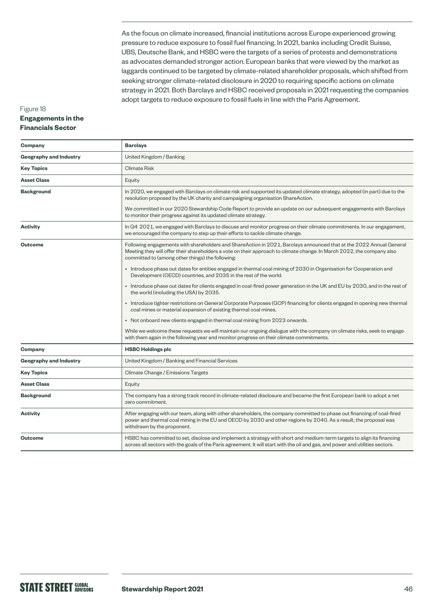As the focus on climate increased, financial institutions across Europe experienced growing pressure to reduce exposure to fossil fuel financing. In 2021, banks including Credit Suisse, UBS, Deutsche Bank, and HSBC were the targets of a series of protests and demonstrations as advocates demanded stronger action. European banks that were viewed by the market as laggards continued to be targeted by climate-related shareholder proposals, which shifted from seeking stronger climate-related disclosure in 2020 to requiring specific actions on climate strategy in 2021. Both Barclays and HSBC received proposals in 2021 requesting the companies adopt targets to reduce exposure to fossil fuels in line with the Paris Agreement.

### Figure 18 **Engagements in the Financials Sector**

| Company                       | <b>Barclays</b>                                                                                                                                                                                                                                                                                   |  |  |
|-------------------------------|---------------------------------------------------------------------------------------------------------------------------------------------------------------------------------------------------------------------------------------------------------------------------------------------------|--|--|
| <b>Geography and Industry</b> | United Kingdom / Banking                                                                                                                                                                                                                                                                          |  |  |
| <b>Key Topics</b>             | <b>Climate Risk</b>                                                                                                                                                                                                                                                                               |  |  |
| <b>Asset Class</b>            | Equity                                                                                                                                                                                                                                                                                            |  |  |
| <b>Background</b>             | In 2020, we engaged with Barclays on climate risk and supported its updated climate strategy, adopted (in part) due to the<br>resolution proposed by the UK charity and campaigning organisation ShareAction.                                                                                     |  |  |
|                               | We committed in our 2020 Stewardship Code Report to provide an update on our subsequent engagements with Barclays<br>to monitor their progress against its updated climate strategy.                                                                                                              |  |  |
| <b>Activity</b>               | In Q4 2021, we engaged with Barclays to discuss and monitor progress on their climate commitments. In our engagement,<br>we encouraged the company to step up their efforts to tackle climate change.                                                                                             |  |  |
| <b>Outcome</b>                | Following engagements with shareholders and ShareAction in 2021, Barclays announced that at the 2022 Annual General<br>Meeting they will offer their shareholders a vote on their approach to climate change. In March 2022, the company also<br>committed to (among other things) the following: |  |  |
|                               | • Introduce phase out dates for entities engaged in thermal coal mining of 2030 in Organisation for Cooperation and<br>Development (OECD) countries, and 2035 in the rest of the world.                                                                                                           |  |  |
|                               | • Introduce phase out dates for clients engaged in coal-fired power generation in the UK and EU by 2030, and in the rest of<br>the world (including the USA) by 2035.                                                                                                                             |  |  |
|                               | • Introduce tighter restrictions on General Corporate Purposes (GCP) financing for clients engaged in opening new thermal<br>coal mines or material expansion of existing thermal coal mines.                                                                                                     |  |  |
|                               | • Not onboard new clients engaged in thermal coal mining from 2023 onwards.                                                                                                                                                                                                                       |  |  |
|                               | While we welcome these requests we will maintain our ongoing dialogue with the company on climate risks, seek to engage<br>with them again in the following year and monitor progress on their climate commitments.                                                                               |  |  |
| Company                       | <b>HSBC Holdings plc</b>                                                                                                                                                                                                                                                                          |  |  |
| <b>Geography and Industry</b> | United Kingdom / Banking and Financial Services                                                                                                                                                                                                                                                   |  |  |
| <b>Key Topics</b>             | Climate Change / Emissions Targets                                                                                                                                                                                                                                                                |  |  |
| <b>Asset Class</b>            | Equity                                                                                                                                                                                                                                                                                            |  |  |
| <b>Background</b>             | The company has a strong track record in climate-related disclosure and became the first European bank to adopt a net<br>zero commitment.                                                                                                                                                         |  |  |
| <b>Activity</b>               | After engaging with our team, along with other shareholders, the company committed to phase out financing of coal-fired<br>power and thermal coal mining in the EU and OECD by 2030 and other regions by 2040. As a result, the proposal was<br>withdrawn by the proponent.                       |  |  |
| <b>Outcome</b>                | HSBC has committed to set, disclose and implement a strategy with short and medium-term targets to align its financing<br>across all sectors with the goals of the Paris agreement. It will start with the oil and gas, and power and utilities sectors.                                          |  |  |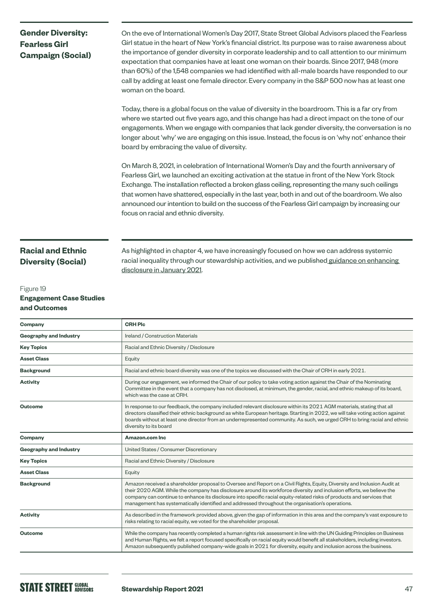## **Gender Diversity: Fearless Girl Campaign (Social)**

On the eve of International Women's Day 2017, State Street Global Advisors placed the Fearless Girl statue in the heart of New York's financial district. Its purpose was to raise awareness about the importance of gender diversity in corporate leadership and to call attention to our minimum expectation that companies have at least one woman on their boards. Since 2017, 948 (more than 60%) of the 1,548 companies we had identified with all-male boards have responded to our call by adding at least one female director. Every company in the S&P 500 now has at least one woman on the board.

Today, there is a global focus on the value of diversity in the boardroom. This is a far cry from where we started out five years ago, and this change has had a direct impact on the tone of our engagements. When we engage with companies that lack gender diversity, the conversation is no longer about 'why' we are engaging on this issue. Instead, the focus is on 'why not' enhance their board by embracing the value of diversity.

On March 8, 2021, in celebration of International Women's Day and the fourth anniversary of Fearless Girl, we launched an exciting activation at the statue in front of the New York Stock Exchange. The installation reflected a broken glass ceiling, representing the many such ceilings that women have shattered, especially in the last year, both in and out of the boardroom. We also announced our intention to build on the success of the Fearless Girl campaign by increasing our focus on racial and ethnic diversity.

## **Racial and Ethnic Diversity (Social)**

### Figure 19 **Engagement Case Studies and Outcomes**

As highlighted in chapter 4, we have increasingly focused on how we can address systemic racial inequality through our stewardship activities, and we published guidance on enhancing [disclosure in January 2021](https://www.ssga.com/library-content/pdfs/asset-stewardship/racial-diversity-guidance-article.pdf).

| Company                       | <b>CRH Plc</b>                                                                                                                                                                                                                                                                                                                                                                                                                                                                  |  |
|-------------------------------|---------------------------------------------------------------------------------------------------------------------------------------------------------------------------------------------------------------------------------------------------------------------------------------------------------------------------------------------------------------------------------------------------------------------------------------------------------------------------------|--|
| <b>Geography and Industry</b> | Ireland / Construction Materials                                                                                                                                                                                                                                                                                                                                                                                                                                                |  |
| <b>Key Topics</b>             | Racial and Ethnic Diversity / Disclosure                                                                                                                                                                                                                                                                                                                                                                                                                                        |  |
| <b>Asset Class</b>            | Equity                                                                                                                                                                                                                                                                                                                                                                                                                                                                          |  |
| <b>Background</b>             | Racial and ethnic board diversity was one of the topics we discussed with the Chair of CRH in early 2021.                                                                                                                                                                                                                                                                                                                                                                       |  |
| <b>Activity</b>               | During our engagement, we informed the Chair of our policy to take voting action against the Chair of the Nominating<br>Committee in the event that a company has not disclosed, at minimum, the gender, racial, and ethnic makeup of its board,<br>which was the case at CRH.                                                                                                                                                                                                  |  |
| <b>Outcome</b>                | In response to our feedback, the company included relevant disclosure within its 2021 AGM materials, stating that all<br>directors classified their ethnic background as white European heritage. Starting in 2022, we will take voting action against<br>boards without at least one director from an underrepresented community. As such, we urged CRH to bring racial and ethnic<br>diversity to its board                                                                   |  |
| Company                       | Amazon.com Inc.                                                                                                                                                                                                                                                                                                                                                                                                                                                                 |  |
| <b>Geography and Industry</b> | United States / Consumer Discretionary                                                                                                                                                                                                                                                                                                                                                                                                                                          |  |
| <b>Key Topics</b>             | Racial and Ethnic Diversity / Disclosure                                                                                                                                                                                                                                                                                                                                                                                                                                        |  |
| <b>Asset Class</b>            | Equity                                                                                                                                                                                                                                                                                                                                                                                                                                                                          |  |
| <b>Background</b>             | Amazon received a shareholder proposal to Oversee and Report on a Civil Rights, Equity, Diversity and Inclusion Audit at<br>their 2020 AGM. While the company has disclosure around its workforce diversity and inclusion efforts, we believe the<br>company can continue to enhance its disclosure into specific racial equity-related risks of products and services that<br>management has systematically identified and addressed throughout the organisation's operations. |  |
| <b>Activity</b>               | As described in the framework provided above, given the gap of information in this area and the company's vast exposure to<br>risks relating to racial equity, we voted for the shareholder proposal.                                                                                                                                                                                                                                                                           |  |
| <b>Outcome</b>                | While the company has recently completed a human rights risk assessment in line with the UN Guiding Principles on Business<br>and Human Rights, we felt a report focused specifically on racial equity would benefit all stakeholders, including investors.<br>Amazon subsequently published company-wide goals in 2021 for diversity, equity and inclusion across the business.                                                                                                |  |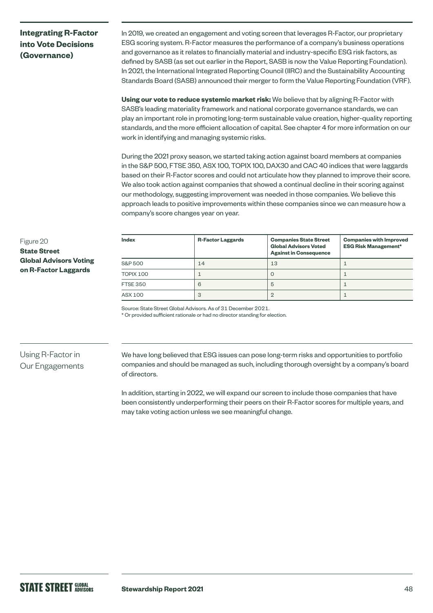## **Integrating R-Factor into Vote Decisions (Governance)**

In 2019, we created an engagement and voting screen that leverages R-Factor, our proprietary ESG scoring system. R-Factor measures the performance of a company's business operations and governance as it relates to financially material and industry-specific ESG risk factors, as defined by SASB (as set out earlier in the Report, SASB is now the Value Reporting Foundation). In 2021, the International Integrated Reporting Council (IIRC) and the Sustainability Accounting Standards Board (SASB) announced their merger to form the Value Reporting Foundation (VRF).

**Using our vote to reduce systemic market risk:** We believe that by aligning R-Factor with SASB's leading materiality framework and national corporate governance standards, we can play an important role in promoting long-term sustainable value creation, higher-quality reporting standards, and the more efficient allocation of capital. See chapter 4 for more information on our work in identifying and managing systemic risks.

During the 2021 proxy season, we started taking action against board members at companies in the S&P 500, FTSE 350, ASX 100, TOPIX 100, DAX30 and CAC 40 indices that were laggards based on their R-Factor scores and could not articulate how they planned to improve their score. We also took action against companies that showed a continual decline in their scoring against our methodology, suggesting improvement was needed in those companies. We believe this approach leads to positive improvements within these companies since we can measure how a company's score changes year on year.

### Figure 20 **State Street Global Advisors Voting on R-Factor Laggards**

| <b>Index</b>    | <b>R-Factor Laggards</b> | <b>Companies State Street</b><br><b>Global Advisors Voted</b><br><b>Against in Consequence</b> | <b>Companies with Improved</b><br><b>ESG Risk Management*</b> |
|-----------------|--------------------------|------------------------------------------------------------------------------------------------|---------------------------------------------------------------|
| S&P 500         | 14                       | 13                                                                                             |                                                               |
| TOPIX 100       |                          | Ü                                                                                              |                                                               |
| <b>FTSE 350</b> | 6                        | b                                                                                              |                                                               |
| ASX 100         | 3                        |                                                                                                |                                                               |

Source: State Street Global Advisors. As of 31 December 2021.

\* Or provided sufficient rationale or had no director standing for election.

## Using R-Factor in Our Engagements

We have long believed that ESG issues can pose long-term risks and opportunities to portfolio companies and should be managed as such, including thorough oversight by a company's board of directors.

In addition, starting in 2022, we will expand our screen to include those companies that have been consistently underperforming their peers on their R-Factor scores for multiple years, and may take voting action unless we see meaningful change.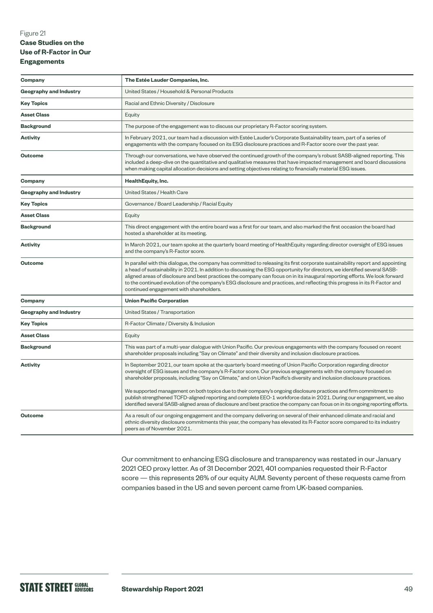### Figure 21 **Case Studies on the Use of R-Factor in Our Engagements**

| Company                       | The Estée Lauder Companies, Inc.                                                                                                                                                                                                                                                                                                                                                                                                                                                                                                                                                                                                                                                                                                                |  |  |
|-------------------------------|-------------------------------------------------------------------------------------------------------------------------------------------------------------------------------------------------------------------------------------------------------------------------------------------------------------------------------------------------------------------------------------------------------------------------------------------------------------------------------------------------------------------------------------------------------------------------------------------------------------------------------------------------------------------------------------------------------------------------------------------------|--|--|
| <b>Geography and Industry</b> | United States / Household & Personal Products                                                                                                                                                                                                                                                                                                                                                                                                                                                                                                                                                                                                                                                                                                   |  |  |
| <b>Key Topics</b>             | Racial and Ethnic Diversity / Disclosure                                                                                                                                                                                                                                                                                                                                                                                                                                                                                                                                                                                                                                                                                                        |  |  |
| <b>Asset Class</b>            | Equity                                                                                                                                                                                                                                                                                                                                                                                                                                                                                                                                                                                                                                                                                                                                          |  |  |
| <b>Background</b>             | The purpose of the engagement was to discuss our proprietary R-Factor scoring system.                                                                                                                                                                                                                                                                                                                                                                                                                                                                                                                                                                                                                                                           |  |  |
| <b>Activity</b>               | In February 2021, our team had a discussion with Estée Lauder's Corporate Sustainability team, part of a series of<br>engagements with the company focused on its ESG disclosure practices and R-Factor score over the past year.                                                                                                                                                                                                                                                                                                                                                                                                                                                                                                               |  |  |
| <b>Outcome</b>                | Through our conversations, we have observed the continued growth of the company's robust SASB-aligned reporting. This<br>included a deep-dive on the quantitative and qualitative measures that have impacted management and board discussions<br>when making capital allocation decisions and setting objectives relating to financially material ESG issues.                                                                                                                                                                                                                                                                                                                                                                                  |  |  |
| Company                       | HealthEquity, Inc.                                                                                                                                                                                                                                                                                                                                                                                                                                                                                                                                                                                                                                                                                                                              |  |  |
| <b>Geography and Industry</b> | United States / Health Care                                                                                                                                                                                                                                                                                                                                                                                                                                                                                                                                                                                                                                                                                                                     |  |  |
| <b>Key Topics</b>             | Governance / Board Leadership / Racial Equity                                                                                                                                                                                                                                                                                                                                                                                                                                                                                                                                                                                                                                                                                                   |  |  |
| <b>Asset Class</b>            | Equity                                                                                                                                                                                                                                                                                                                                                                                                                                                                                                                                                                                                                                                                                                                                          |  |  |
| <b>Background</b>             | This direct engagement with the entire board was a first for our team, and also marked the first occasion the board had<br>hosted a shareholder at its meeting.                                                                                                                                                                                                                                                                                                                                                                                                                                                                                                                                                                                 |  |  |
| <b>Activity</b>               | In March 2021, our team spoke at the quarterly board meeting of HealthEquity regarding director oversight of ESG issues<br>and the company's R-Factor score.                                                                                                                                                                                                                                                                                                                                                                                                                                                                                                                                                                                    |  |  |
| <b>Outcome</b>                | In parallel with this dialogue, the company has committed to releasing its first corporate sustainability report and appointing<br>a head of sustainability in 2021. In addition to discussing the ESG opportunity for directors, we identified several SASB-<br>aligned areas of disclosure and best practices the company can focus on in its inaugural reporting efforts. We look forward<br>to the continued evolution of the company's ESG disclosure and practices, and reflecting this progress in its R-Factor and<br>continued engagement with shareholders.                                                                                                                                                                           |  |  |
| Company                       | <b>Union Pacific Corporation</b>                                                                                                                                                                                                                                                                                                                                                                                                                                                                                                                                                                                                                                                                                                                |  |  |
| <b>Geography and Industry</b> | United States / Transportation                                                                                                                                                                                                                                                                                                                                                                                                                                                                                                                                                                                                                                                                                                                  |  |  |
| <b>Key Topics</b>             | R-Factor Climate / Diversity & Inclusion                                                                                                                                                                                                                                                                                                                                                                                                                                                                                                                                                                                                                                                                                                        |  |  |
| <b>Asset Class</b>            | Equity                                                                                                                                                                                                                                                                                                                                                                                                                                                                                                                                                                                                                                                                                                                                          |  |  |
| <b>Background</b>             | This was part of a multi-year dialogue with Union Pacific. Our previous engagements with the company focused on recent<br>shareholder proposals including "Say on Climate" and their diversity and inclusion disclosure practices.                                                                                                                                                                                                                                                                                                                                                                                                                                                                                                              |  |  |
| <b>Activity</b>               | In September 2021, our team spoke at the quarterly board meeting of Union Pacific Corporation regarding director<br>oversight of ESG issues and the company's R-Factor score. Our previous engagements with the company focused on<br>shareholder proposals, including "Say on Climate," and on Union Pacific's diversity and inclusion disclosure practices.<br>We supported management on both topics due to their company's ongoing disclosure practices and firm commitment to<br>publish strengthened TCFD-aligned reporting and complete EEO-1 workforce data in 2021. During our engagement, we also<br>identified several SASB-aligned areas of disclosure and best practice the company can focus on in its ongoing reporting efforts. |  |  |
| <b>Outcome</b>                | As a result of our ongoing engagement and the company delivering on several of their enhanced climate and racial and<br>ethnic diversity disclosure commitments this year, the company has elevated its R-Factor score compared to its industry<br>peers as of November 2021.                                                                                                                                                                                                                                                                                                                                                                                                                                                                   |  |  |

Our commitment to enhancing ESG disclosure and transparency was restated in our January 2021 CEO proxy letter. As of 31 December 2021, 401 companies requested their R-Factor score — this represents 26% of our equity AUM. Seventy percent of these requests came from companies based in the US and seven percent came from UK-based companies.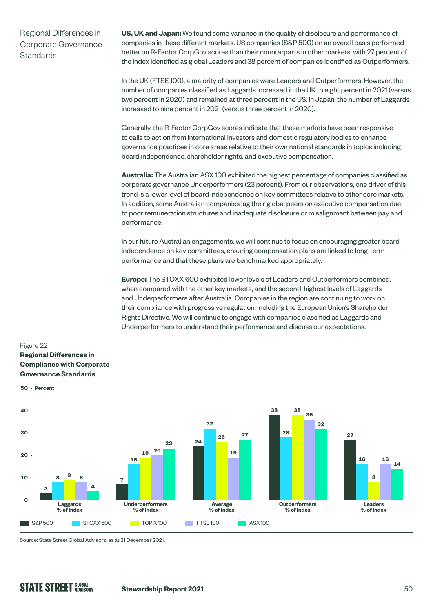Regional Differences in Corporate Governance **Standards** 

**US, UK and Japan:** We found some variance in the quality of disclosure and performance of companies in these different markets. US companies (S&P 500) on an overall basis performed better on R-Factor CorpGov scores than their counterparts in other markets, with 27 percent of the index identified as global Leaders and 38 percent of companies identified as Outperformers.

In the UK (FTSE 100), a majority of companies were Leaders and Outperformers. However, the number of companies classified as Laggards increased in the UK to eight percent in 2021 (versus two percent in 2020) and remained at three percent in the US. In Japan, the number of Laggards increased to nine percent in 2021 (versus three percent in 2020).

Generally, the R-Factor CorpGov scores indicate that these markets have been responsive to calls to action from international investors and domestic regulatory bodies to enhance governance practices in core areas relative to their own national standards in topics including board independence, shareholder rights, and executive compensation.

**Australia:** The Australian ASX 100 exhibited the highest percentage of companies classified as corporate governance Underperformers (23 percent). From our observations, one driver of this trend is a lower level of board independence on key committees relative to other core markets. In addition, some Australian companies lag their global peers on executive compensation due to poor remuneration structures and inadequate disclosure or misalignment between pay and performance.

In our future Australian engagements, we will continue to focus on encouraging greater board independence on key committees, ensuring compensation plans are linked to long-term performance and that these plans are benchmarked appropriately.

**Europe:** The STOXX 600 exhibited lower levels of Leaders and Outperformers combined, when compared with the other key markets, and the second-highest levels of Laggards and Underperformers after Australia. Companies in the region are continuing to work on their compliance with progressive regulation, including the European Union's Shareholder Rights Directive. We will continue to engage with companies classified as Laggards and Underperformers to understand their performance and discuss our expectations.

## Figure 22 **Regional Differences in Compliance with Corporate Governance Standards**



Source: State Street Global Advisors, as at 31 December 2021.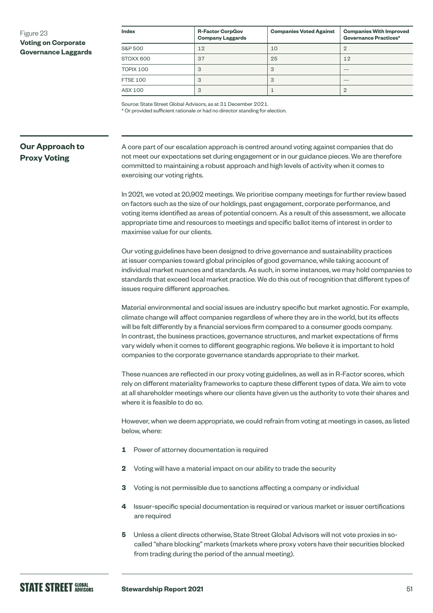### Figure 23 **Voting on Corporate Governance Laggards**

| <b>Index</b>    | <b>R-Factor CorpGov</b><br><b>Company Laggards</b> | <b>Companies Voted Against</b> | <b>Companies With Improved</b><br><b>Governance Practices*</b> |
|-----------------|----------------------------------------------------|--------------------------------|----------------------------------------------------------------|
| S&P 500         | 12                                                 | 10                             |                                                                |
| STOXX 600       | 37                                                 | 25                             | 12                                                             |
| TOPIX 100       | 3                                                  | 3                              |                                                                |
| <b>FTSE 100</b> | 3                                                  | 3                              |                                                                |
| ASX 100         | 3                                                  |                                | 2                                                              |

Source: State Street Global Advisors, as at 31 December 2021.

\* Or provided sufficient rationale or had no director standing for election.

## **Our Approach to Proxy Voting**

A core part of our escalation approach is centred around voting against companies that do not meet our expectations set during engagement or in our guidance pieces. We are therefore committed to maintaining a robust approach and high levels of activity when it comes to exercising our voting rights.

In 2021, we voted at 20,902 meetings. We prioritise company meetings for further review based on factors such as the size of our holdings, past engagement, corporate performance, and voting items identified as areas of potential concern. As a result of this assessment, we allocate appropriate time and resources to meetings and specific ballot items of interest in order to maximise value for our clients.

Our voting guidelines have been designed to drive governance and sustainability practices at issuer companies toward global principles of good governance, while taking account of individual market nuances and standards. As such, in some instances, we may hold companies to standards that exceed local market practice. We do this out of recognition that different types of issues require different approaches.

Material environmental and social issues are industry specific but market agnostic. For example, climate change will affect companies regardless of where they are in the world, but its effects will be felt differently by a financial services firm compared to a consumer goods company. In contrast, the business practices, governance structures, and market expectations of firms vary widely when it comes to different geographic regions. We believe it is important to hold companies to the corporate governance standards appropriate to their market.

These nuances are reflected in our proxy voting guidelines, as well as in R-Factor scores, which rely on different materiality frameworks to capture these different types of data. We aim to vote at all shareholder meetings where our clients have given us the authority to vote their shares and where it is feasible to do so.

However, when we deem appropriate, we could refrain from voting at meetings in cases, as listed below, where:

- **1** Power of attorney documentation is required
- **2** Voting will have a material impact on our ability to trade the security
- **3** Voting is not permissible due to sanctions affecting a company or individual
- **4** Issuer-specific special documentation is required or various market or issuer certifications are required
- **5** Unless a client directs otherwise, State Street Global Advisors will not vote proxies in socalled "share blocking" markets (markets where proxy voters have their securities blocked from trading during the period of the annual meeting).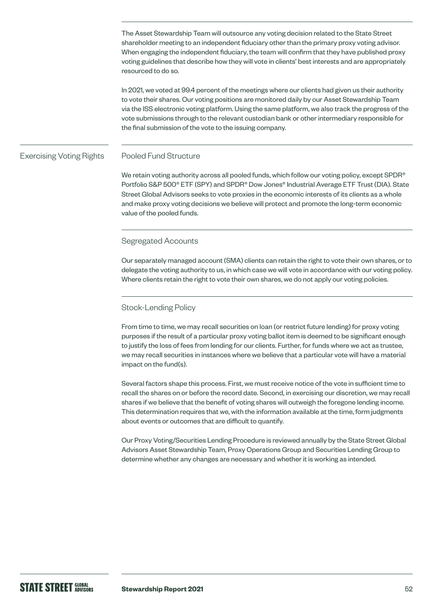The Asset Stewardship Team will outsource any voting decision related to the State Street shareholder meeting to an independent fiduciary other than the primary proxy voting advisor. When engaging the independent fiduciary, the team will confirm that they have published proxy voting guidelines that describe how they will vote in clients' best interests and are appropriately resourced to do so.

In 2021, we voted at 99.4 percent of the meetings where our clients had given us their authority to vote their shares. Our voting positions are monitored daily by our Asset Stewardship Team via the ISS electronic voting platform. Using the same platform, we also track the progress of the vote submissions through to the relevant custodian bank or other intermediary responsible for the final submission of the vote to the issuing company.

#### Pooled Fund Structure Exercising Voting Rights

We retain voting authority across all pooled funds, which follow our voting policy, except SPDR® Portfolio S&P 500® ETF (SPY) and SPDR® Dow Jones® Industrial Average ETF Trust (DIA). State Street Global Advisors seeks to vote proxies in the economic interests of its clients as a whole and make proxy voting decisions we believe will protect and promote the long-term economic value of the pooled funds.

### Segregated Accounts

Our separately managed account (SMA) clients can retain the right to vote their own shares, or to delegate the voting authority to us, in which case we will vote in accordance with our voting policy. Where clients retain the right to vote their own shares, we do not apply our voting policies.

### Stock-Lending Policy

From time to time, we may recall securities on loan (or restrict future lending) for proxy voting purposes if the result of a particular proxy voting ballot item is deemed to be significant enough to justify the loss of fees from lending for our clients. Further, for funds where we act as trustee, we may recall securities in instances where we believe that a particular vote will have a material impact on the fund(s).

Several factors shape this process. First, we must receive notice of the vote in sufficient time to recall the shares on or before the record date. Second, in exercising our discretion, we may recall shares if we believe that the benefit of voting shares will outweigh the foregone lending income. This determination requires that we, with the information available at the time, form judgments about events or outcomes that are difficult to quantify.

Our Proxy Voting/Securities Lending Procedure is reviewed annually by the State Street Global Advisors Asset Stewardship Team, Proxy Operations Group and Securities Lending Group to determine whether any changes are necessary and whether it is working as intended.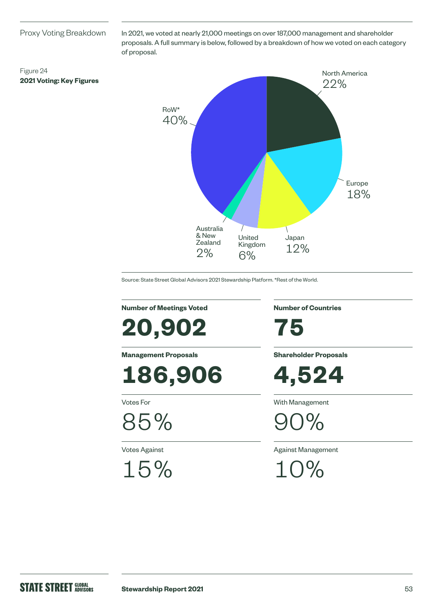### Proxy Voting Breakdown

**2021 Voting: Key Figures**

Figure 24

In 2021, we voted at nearly 21,000 meetings on over 187,000 management and shareholder proposals. A full summary is below, followed by a breakdown of how we voted on each category of proposal.



Source: State Street Global Advisors 2021 Stewardship Platform. \*Rest of the World.

**Number of Meetings Voted**

**20,902**

**Management Proposals**

**186,906**

Votes For

85%

Votes Against

15%

**Number of Countries**

**75**

**Shareholder Proposals**

**4,524**

With Management

 $7%$ 

Against Management

10%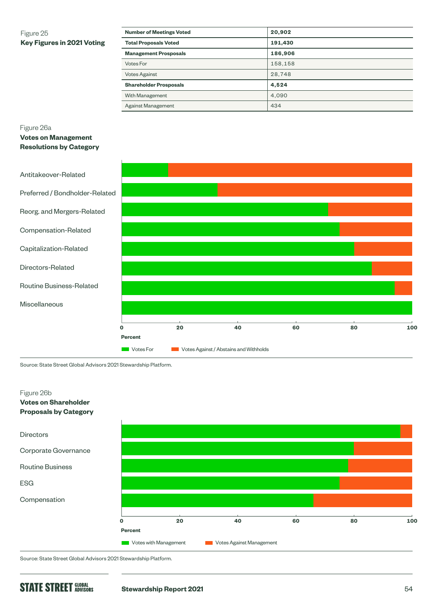## Figure 25 **Key Figures in 2021 Voting**

| <b>Number of Meetings Voted</b> | 20,902  |
|---------------------------------|---------|
| <b>Total Proposals Voted</b>    | 191,430 |
| <b>Management Prosposals</b>    | 186,906 |
| Votes For                       | 158.158 |
| <b>Votes Against</b>            | 28,748  |
| <b>Shareholder Prosposals</b>   | 4,524   |
| With Management                 | 4.090   |
| Against Management              | 434     |

### Figure 26a

**Votes on Management Resolutions by Category**



Source: State Street Global Advisors 2021 Stewardship Platform.



Source: State Street Global Advisors 2021 Stewardship Platform.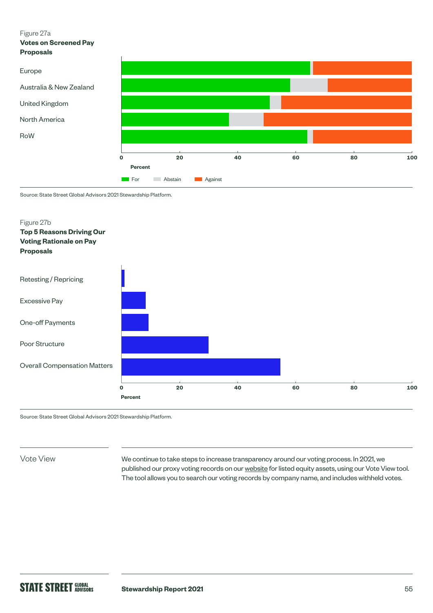### Figure 27a

**Votes on Screened Pay Proposals**



Source: State Street Global Advisors 2021 Stewardship Platform.



Source: State Street Global Advisors 2021 Stewardship Platform.

Vote View

We continue to take steps to increase transparency around our voting process. In 2021, we published our proxy voting records on our [website](https://vds.issgovernance.com/vds/#/MTA1/) for listed equity assets, using our Vote View tool. The tool allows you to search our voting records by company name, and includes withheld votes.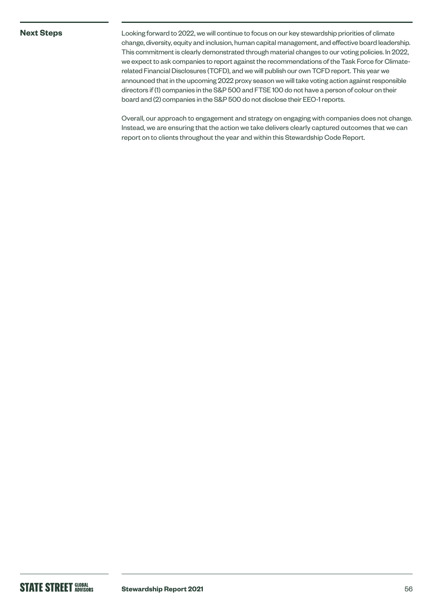### **Next Steps**

Looking forward to 2022, we will continue to focus on our key stewardship priorities of climate change, diversity, equity and inclusion, human capital management, and effective board leadership. This commitment is clearly demonstrated through material changes to our voting policies. In 2022, we expect to ask companies to report against the recommendations of the Task Force for Climaterelated Financial Disclosures (TCFD), and we will publish our own TCFD report. This year we announced that in the upcoming 2022 proxy season we will take voting action against responsible directors if (1) companies in the S&P 500 and FTSE 100 do not have a person of colour on their board and (2) companies in the S&P 500 do not disclose their EEO-1 reports.

Overall, our approach to engagement and strategy on engaging with companies does not change. Instead, we are ensuring that the action we take delivers clearly captured outcomes that we can report on to clients throughout the year and within this Stewardship Code Report.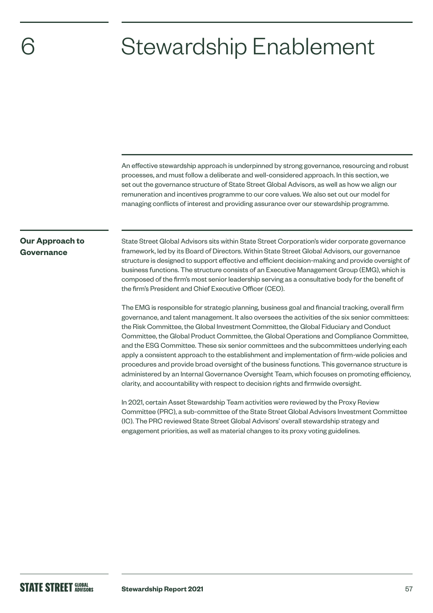## Stewardship Enablement

An effective stewardship approach is underpinned by strong governance, resourcing and robust processes, and must follow a deliberate and well-considered approach. In this section, we set out the governance structure of State Street Global Advisors, as well as how we align our remuneration and incentives programme to our core values. We also set out our model for managing conflicts of interest and providing assurance over our stewardship programme.

## **Our Approach to Governance**

State Street Global Advisors sits within State Street Corporation's wider corporate governance framework, led by its Board of Directors. Within State Street Global Advisors, our governance structure is designed to support effective and efficient decision-making and provide oversight of business functions. The structure consists of an Executive Management Group (EMG), which is composed of the firm's most senior leadership serving as a consultative body for the benefit of the firm's President and Chief Executive Officer (CEO).

The EMG is responsible for strategic planning, business goal and financial tracking, overall firm governance, and talent management. It also oversees the activities of the six senior committees: the Risk Committee, the Global Investment Committee, the Global Fiduciary and Conduct Committee, the Global Product Committee, the Global Operations and Compliance Committee, and the ESG Committee. These six senior committees and the subcommittees underlying each apply a consistent approach to the establishment and implementation of firm-wide policies and procedures and provide broad oversight of the business functions. This governance structure is administered by an Internal Governance Oversight Team, which focuses on promoting efficiency, clarity, and accountability with respect to decision rights and firmwide oversight.

In 2021, certain Asset Stewardship Team activities were reviewed by the Proxy Review Committee (PRC), a sub-committee of the State Street Global Advisors Investment Committee (IC). The PRC reviewed State Street Global Advisors' overall stewardship strategy and engagement priorities, as well as material changes to its proxy voting guidelines.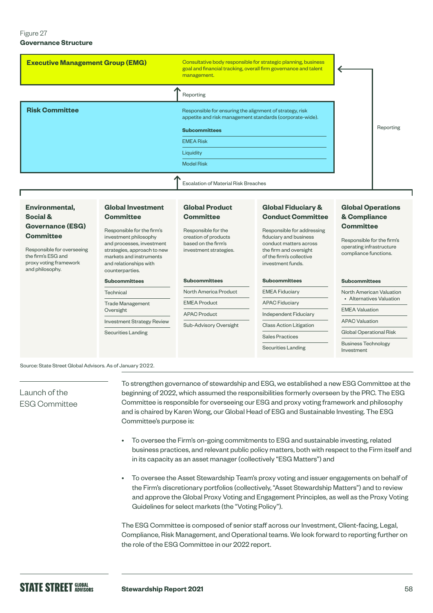### Figure 27 **Governance Structure**

| <b>Executive Management Group (EMG)</b> | Consultative body responsible for strategic planning, business<br>goal and financial tracking, overall firm governance and talent<br>management. |           |
|-----------------------------------------|--------------------------------------------------------------------------------------------------------------------------------------------------|-----------|
|                                         | Reporting                                                                                                                                        |           |
| <b>Risk Committee</b>                   | Responsible for ensuring the alignment of strategy, risk<br>appetite and risk management standards (corporate-wide).                             |           |
|                                         | <b>Subcommittees</b>                                                                                                                             | Reporting |
|                                         | <b>EMEA Risk</b>                                                                                                                                 |           |
|                                         | Liquidity                                                                                                                                        |           |
|                                         | <b>Model Risk</b>                                                                                                                                |           |
|                                         | <b>Escalation of Material Risk Breaches</b>                                                                                                      |           |

### **Environmental, Social & Governance (ESG) Committee**

Responsible for overseeing the firm's ESG and proxy voting framework and philosophy.

## **Committee** Responsible for the firm's investment philosophy

and processes, investment strategies, approach to new markets and instruments and relationships with counterparties.

### **Subcommittees**

**Global Investment** 

Technical Trade Management Oversight Investment Strategy Review

Securities Landing

### **Global Product Committee**

Responsible for the creation of products based on the firm's investment strategies.

### **Subcommittees**

| North America Product  |  |
|------------------------|--|
| <b>EMEA Product</b>    |  |
| <b>APAC Product</b>    |  |
| Sub-Advisory Oversight |  |

### **Global Fiduciary & Conduct Committee**

Responsible for addressing fiduciary and business conduct matters across the firm and oversight of the firm's collective investment funds.

## **Subcommittees** EMEA Fiduciary APAC Fiduciary Independent Fiduciary Class Action Litigation Sales Practices

Securities Landing

### **Global Operations & Compliance Committee**

Responsible for the firm's operating infrastructure compliance functions.

## **Subcommittees**

North American Valuation • Alternatives Valuation

EMEA Valuation

APAC Valuation

Global Operational Risk

Business Technology Investment

### Source: State Street Global Advisors. As of January 2022.

## Launch of the ESG Committee

To strengthen governance of stewardship and ESG, we established a new ESG Committee at the beginning of 2022, which assumed the responsibilities formerly overseen by the PRC. The ESG Committee is responsible for overseeing our ESG and proxy voting framework and philosophy and is chaired by Karen Wong, our Global Head of ESG and Sustainable Investing. The ESG Committee's purpose is:

- To oversee the Firm's on-going commitments to ESG and sustainable investing, related business practices, and relevant public policy matters, both with respect to the Firm itself and in its capacity as an asset manager (collectively "ESG Matters") and
- To oversee the Asset Stewardship Team's proxy voting and issuer engagements on behalf of the Firm's discretionary portfolios (collectively, "Asset Stewardship Matters") and to review and approve the Global Proxy Voting and Engagement Principles, as well as the Proxy Voting Guidelines for select markets (the "Voting Policy").

The ESG Committee is composed of senior staff across our Investment, Client-facing, Legal, Compliance, Risk Management, and Operational teams. We look forward to reporting further on the role of the ESG Committee in our 2022 report.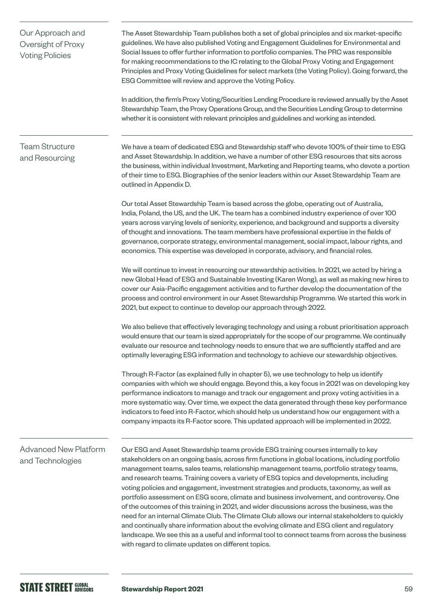| Our Approach and<br>Oversight of Proxy<br><b>Voting Policies</b> | The Asset Stewardship Team publishes both a set of global principles and six market-specific<br>guidelines. We have also published Voting and Engagement Guidelines for Environmental and<br>Social Issues to offer further information to portfolio companies. The PRC was responsible<br>for making recommendations to the IC relating to the Global Proxy Voting and Engagement<br>Principles and Proxy Voting Guidelines for select markets (the Voting Policy). Going forward, the<br>ESG Committee will review and approve the Voting Policy.<br>In addition, the firm's Proxy Voting/Securities Lending Procedure is reviewed annually by the Asset                                                                                                                                                                                                                                                                                                                                                                      |
|------------------------------------------------------------------|---------------------------------------------------------------------------------------------------------------------------------------------------------------------------------------------------------------------------------------------------------------------------------------------------------------------------------------------------------------------------------------------------------------------------------------------------------------------------------------------------------------------------------------------------------------------------------------------------------------------------------------------------------------------------------------------------------------------------------------------------------------------------------------------------------------------------------------------------------------------------------------------------------------------------------------------------------------------------------------------------------------------------------|
|                                                                  | Stewardship Team, the Proxy Operations Group, and the Securities Lending Group to determine<br>whether it is consistent with relevant principles and guidelines and working as intended.                                                                                                                                                                                                                                                                                                                                                                                                                                                                                                                                                                                                                                                                                                                                                                                                                                        |
| <b>Team Structure</b><br>and Resourcing                          | We have a team of dedicated ESG and Stewardship staff who devote 100% of their time to ESG<br>and Asset Stewardship. In addition, we have a number of other ESG resources that sits across<br>the business, within individual Investment, Marketing and Reporting teams, who devote a portion<br>of their time to ESG. Biographies of the senior leaders within our Asset Stewardship Team are<br>outlined in Appendix D.                                                                                                                                                                                                                                                                                                                                                                                                                                                                                                                                                                                                       |
|                                                                  | Our total Asset Stewardship Team is based across the globe, operating out of Australia,<br>India, Poland, the US, and the UK. The team has a combined industry experience of over 100<br>years across varying levels of seniority, experience, and background and supports a diversity<br>of thought and innovations. The team members have professional expertise in the fields of<br>governance, corporate strategy, environmental management, social impact, labour rights, and<br>economics. This expertise was developed in corporate, advisory, and financial roles.                                                                                                                                                                                                                                                                                                                                                                                                                                                      |
|                                                                  | We will continue to invest in resourcing our stewardship activities. In 2021, we acted by hiring a<br>new Global Head of ESG and Sustainable Investing (Karen Wong), as well as making new hires to<br>cover our Asia-Pacific engagement activities and to further develop the documentation of the<br>process and control environment in our Asset Stewardship Programme. We started this work in<br>2021, but expect to continue to develop our approach through 2022.                                                                                                                                                                                                                                                                                                                                                                                                                                                                                                                                                        |
|                                                                  | We also believe that effectively leveraging technology and using a robust prioritisation approach<br>would ensure that our team is sized appropriately for the scope of our programme. We continually<br>evaluate our resource and technology needs to ensure that we are sufficiently staffed and are<br>optimally leveraging ESG information and technology to achieve our stewardship objectives.                                                                                                                                                                                                                                                                                                                                                                                                                                                                                                                                                                                                                            |
|                                                                  | Through R-Factor (as explained fully in chapter 5), we use technology to help us identify<br>companies with which we should engage. Beyond this, a key focus in 2021 was on developing key<br>performance indicators to manage and track our engagement and proxy voting activities in a<br>more systematic way. Over time, we expect the data generated through these key performance<br>indicators to feed into R-Factor, which should help us understand how our engagement with a<br>company impacts its R-Factor score. This updated approach will be implemented in 2022.                                                                                                                                                                                                                                                                                                                                                                                                                                                 |
| <b>Advanced New Platform</b><br>and Technologies                 | Our ESG and Asset Stewardship teams provide ESG training courses internally to key<br>stakeholders on an ongoing basis, across firm functions in global locations, including portfolio<br>management teams, sales teams, relationship management teams, portfolio strategy teams,<br>and research teams. Training covers a variety of ESG topics and developments, including<br>voting policies and engagement, investment strategies and products, taxonomy, as well as<br>portfolio assessment on ESG score, climate and business involvement, and controversy. One<br>of the outcomes of this training in 2021, and wider discussions across the business, was the<br>need for an internal Climate Club. The Climate Club allows our internal stakeholders to quickly<br>and continually share information about the evolving climate and ESG client and regulatory<br>landscape. We see this as a useful and informal tool to connect teams from across the business<br>with regard to climate updates on different topics. |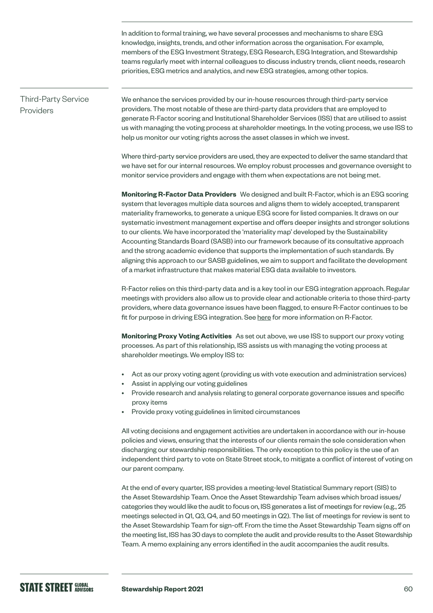In addition to formal training, we have several processes and mechanisms to share ESG knowledge, insights, trends, and other information across the organisation. For example, members of the ESG Investment Strategy, ESG Research, ESG Integration, and Stewardship teams regularly meet with internal colleagues to discuss industry trends, client needs, research priorities, ESG metrics and analytics, and new ESG strategies, among other topics.

### Third-Party Service Providers

We enhance the services provided by our in-house resources through third-party service providers. The most notable of these are third-party data providers that are employed to generate R-Factor scoring and Institutional Shareholder Services (ISS) that are utilised to assist us with managing the voting process at shareholder meetings. In the voting process, we use ISS to help us monitor our voting rights across the asset classes in which we invest.

Where third-party service providers are used, they are expected to deliver the same standard that we have set for our internal resources. We employ robust processes and governance oversight to monitor service providers and engage with them when expectations are not being met.

**Monitoring R-Factor Data Providers** We designed and built R-Factor, which is an ESG scoring system that leverages multiple data sources and aligns them to widely accepted, transparent materiality frameworks, to generate a unique ESG score for listed companies. It draws on our systematic investment management expertise and offers deeper insights and stronger solutions to our clients. We have incorporated the 'materiality map' developed by the Sustainability Accounting Standards Board (SASB) into our framework because of its consultative approach and the strong academic evidence that supports the implementation of such standards. By aligning this approach to our SASB guidelines, we aim to support and facilitate the development of a market infrastructure that makes material ESG data available to investors.

R-Factor relies on this third-party data and is a key tool in our ESG integration approach. Regular meetings with providers also allow us to provide clear and actionable criteria to those third-party providers, where data governance issues have been flagged, to ensure R-Factor continues to be fit for purpose in driving ESG integration. See [here](https://www.ssga.com/international/en/institutional/ic/capabilities/esg/data-scoring) for more information on R-Factor.

**Monitoring Proxy Voting Activities** As set out above, we use ISS to support our proxy voting processes. As part of this relationship, ISS assists us with managing the voting process at shareholder meetings. We employ ISS to:

- Act as our proxy voting agent (providing us with vote execution and administration services)
- Assist in applying our voting guidelines
- Provide research and analysis relating to general corporate governance issues and specific proxy items
- Provide proxy voting guidelines in limited circumstances

All voting decisions and engagement activities are undertaken in accordance with our in-house policies and views, ensuring that the interests of our clients remain the sole consideration when discharging our stewardship responsibilities. The only exception to this policy is the use of an independent third party to vote on State Street stock, to mitigate a conflict of interest of voting on our parent company.

At the end of every quarter, ISS provides a meeting-level Statistical Summary report (SIS) to the Asset Stewardship Team. Once the Asset Stewardship Team advises which broad issues/ categories they would like the audit to focus on, ISS generates a list of meetings for review (e.g., 25 meetings selected in Q1, Q3, Q4, and 50 meetings in Q2). The list of meetings for review is sent to the Asset Stewardship Team for sign-off. From the time the Asset Stewardship Team signs off on the meeting list, ISS has 30 days to complete the audit and provide results to the Asset Stewardship Team. A memo explaining any errors identified in the audit accompanies the audit results.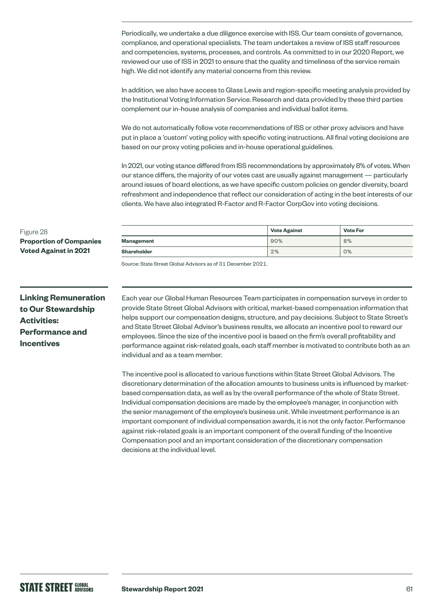Periodically, we undertake a due diligence exercise with ISS. Our team consists of governance, compliance, and operational specialists. The team undertakes a review of ISS staff resources and competencies, systems, processes, and controls. As committed to in our 2020 Report, we reviewed our use of ISS in 2021 to ensure that the quality and timeliness of the service remain high. We did not identify any material concerns from this review.

In addition, we also have access to Glass Lewis and region-specific meeting analysis provided by the Institutional Voting Information Service. Research and data provided by these third parties complement our in-house analysis of companies and individual ballot items.

We do not automatically follow vote recommendations of ISS or other proxy advisors and have put in place a 'custom' voting policy with specific voting instructions. All final voting decisions are based on our proxy voting policies and in-house operational guidelines.

In 2021, our voting stance differed from ISS recommendations by approximately 8% of votes. When our stance differs, the majority of our votes cast are usually against management — particularly around issues of board elections, as we have specific custom policies on gender diversity, board refreshment and independence that reflect our consideration of acting in the best interests of our clients. We have also integrated R-Factor and R-Factor CorpGov into voting decisions.

|             | <b>Vote Against</b> | <b>Vote For</b> |
|-------------|---------------------|-----------------|
| Management  | 90%                 | 8%              |
| Shareholder | 2%                  | 0%              |

Source: State Street Global Advisors as of 31 December 2021.

**Linking Remuneration to Our Stewardship Activities: Performance and Incentives**

**Proportion of Companies Voted Against in 2021**

Figure 28

Each year our Global Human Resources Team participates in compensation surveys in order to provide State Street Global Advisors with critical, market-based compensation information that helps support our compensation designs, structure, and pay decisions. Subject to State Street's and State Street Global Advisor's business results, we allocate an incentive pool to reward our employees. Since the size of the incentive pool is based on the firm's overall profitability and performance against risk-related goals, each staff member is motivated to contribute both as an individual and as a team member.

The incentive pool is allocated to various functions within State Street Global Advisors. The discretionary determination of the allocation amounts to business units is influenced by marketbased compensation data, as well as by the overall performance of the whole of State Street. Individual compensation decisions are made by the employee's manager, in conjunction with the senior management of the employee's business unit. While investment performance is an important component of individual compensation awards, it is not the only factor. Performance against risk-related goals is an important component of the overall funding of the Incentive Compensation pool and an important consideration of the discretionary compensation decisions at the individual level.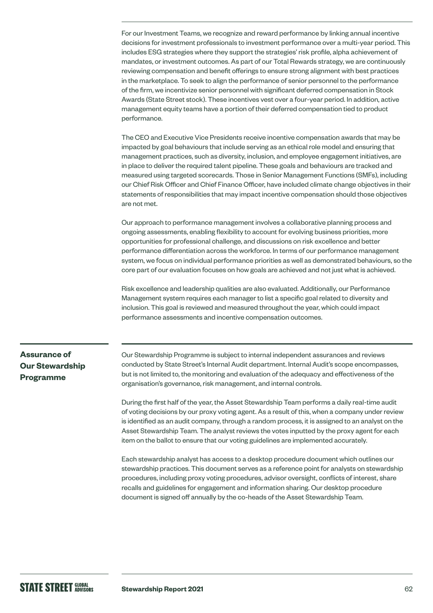For our Investment Teams, we recognize and reward performance by linking annual incentive decisions for investment professionals to investment performance over a multi-year period. This includes ESG strategies where they support the strategies' risk profile, alpha achievement of mandates, or investment outcomes. As part of our Total Rewards strategy, we are continuously reviewing compensation and benefit offerings to ensure strong alignment with best practices in the marketplace. To seek to align the performance of senior personnel to the performance of the firm, we incentivize senior personnel with significant deferred compensation in Stock Awards (State Street stock). These incentives vest over a four-year period. In addition, active management equity teams have a portion of their deferred compensation tied to product performance.

The CEO and Executive Vice Presidents receive incentive compensation awards that may be impacted by goal behaviours that include serving as an ethical role model and ensuring that management practices, such as diversity, inclusion, and employee engagement initiatives, are in place to deliver the required talent pipeline. These goals and behaviours are tracked and measured using targeted scorecards. Those in Senior Management Functions (SMFs), including our Chief Risk Officer and Chief Finance Officer, have included climate change objectives in their statements of responsibilities that may impact incentive compensation should those objectives are not met.

Our approach to performance management involves a collaborative planning process and ongoing assessments, enabling flexibility to account for evolving business priorities, more opportunities for professional challenge, and discussions on risk excellence and better performance differentiation across the workforce. In terms of our performance management system, we focus on individual performance priorities as well as demonstrated behaviours, so the core part of our evaluation focuses on how goals are achieved and not just what is achieved.

Risk excellence and leadership qualities are also evaluated. Additionally, our Performance Management system requires each manager to list a specific goal related to diversity and inclusion. This goal is reviewed and measured throughout the year, which could impact performance assessments and incentive compensation outcomes.

## **Assurance of Our Stewardship Programme**

Our Stewardship Programme is subject to internal independent assurances and reviews conducted by State Street's Internal Audit department. Internal Audit's scope encompasses, but is not limited to, the monitoring and evaluation of the adequacy and effectiveness of the organisation's governance, risk management, and internal controls.

During the first half of the year, the Asset Stewardship Team performs a daily real-time audit of voting decisions by our proxy voting agent. As a result of this, when a company under review is identified as an audit company, through a random process, it is assigned to an analyst on the Asset Stewardship Team. The analyst reviews the votes inputted by the proxy agent for each item on the ballot to ensure that our voting guidelines are implemented accurately.

Each stewardship analyst has access to a desktop procedure document which outlines our stewardship practices. This document serves as a reference point for analysts on stewardship procedures, including proxy voting procedures, advisor oversight, conflicts of interest, share recalls and guidelines for engagement and information sharing. Our desktop procedure document is signed off annually by the co-heads of the Asset Stewardship Team.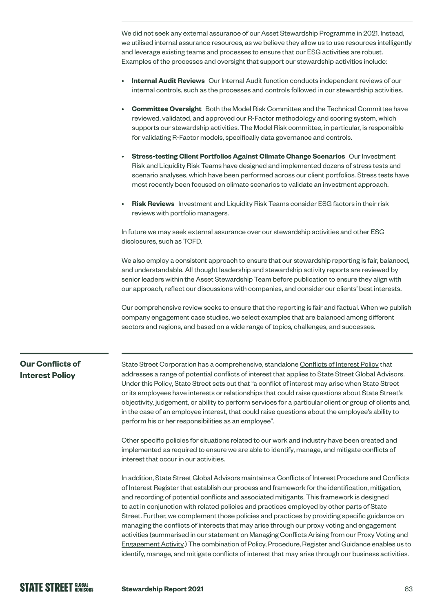We did not seek any external assurance of our Asset Stewardship Programme in 2021. Instead, we utilised internal assurance resources, as we believe they allow us to use resources intelligently and leverage existing teams and processes to ensure that our ESG activities are robust. Examples of the processes and oversight that support our stewardship activities include:

- **Internal Audit Reviews** Our Internal Audit function conducts independent reviews of our internal controls, such as the processes and controls followed in our stewardship activities.
- **Committee Oversight** Both the Model Risk Committee and the Technical Committee have reviewed, validated, and approved our R-Factor methodology and scoring system, which supports our stewardship activities. The Model Risk committee, in particular, is responsible for validating R-Factor models, specifically data governance and controls.
- **Stress-testing Client Portfolios Against Climate Change Scenarios** Our Investment Risk and Liquidity Risk Teams have designed and implemented dozens of stress tests and scenario analyses, which have been performed across our client portfolios. Stress tests have most recently been focused on climate scenarios to validate an investment approach.
- **Risk Reviews** Investment and Liquidity Risk Teams consider ESG factors in their risk reviews with portfolio managers.

In future we may seek external assurance over our stewardship activities and other ESG disclosures, such as TCFD.

We also employ a consistent approach to ensure that our stewardship reporting is fair, balanced, and understandable. All thought leadership and stewardship activity reports are reviewed by senior leaders within the Asset Stewardship Team before publication to ensure they align with our approach, reflect our discussions with companies, and consider our clients' best interests.

Our comprehensive review seeks to ensure that the reporting is fair and factual. When we publish company engagement case studies, we select examples that are balanced among different sectors and regions, and based on a wide range of topics, challenges, and successes.

## **Our Conflicts of Interest Policy**

State Street Corporation has a comprehensive, standalone [Conflicts of Interest Policy](https://www.ssga.com/library-content/pdfs/ic/ssga-conflict-mitigation-guidelines.pdf) that addresses a range of potential conflicts of interest that applies to State Street Global Advisors. Under this Policy, State Street sets out that "a conflict of interest may arise when State Street or its employees have interests or relationships that could raise questions about State Street's objectivity, judgement, or ability to perform services for a particular client or group of clients and, in the case of an employee interest, that could raise questions about the employee's ability to perform his or her responsibilities as an employee".

Other specific policies for situations related to our work and industry have been created and implemented as required to ensure we are able to identify, manage, and mitigate conflicts of interest that occur in our activities.

In addition, State Street Global Advisors maintains a Conflicts of Interest Procedure and Conflicts of Interest Register that establish our process and framework for the identification, mitigation, and recording of potential conflicts and associated mitigants. This framework is designed to act in conjunction with related policies and practices employed by other parts of State Street. Further, we complement those policies and practices by providing specific guidance on managing the conflicts of interests that may arise through our proxy voting and engagement activities (summarised in our statement on [Managing Conflicts Arising from our Proxy Voting and](https://www.ssga.com/library-content/pdfs/ic/ssga-conflict-mitigation-guidelines.pdf)  [Engagement Activity](https://www.ssga.com/library-content/pdfs/ic/ssga-conflict-mitigation-guidelines.pdf).) The combination of Policy, Procedure, Register and Guidance enables us to identify, manage, and mitigate conflicts of interest that may arise through our business activities.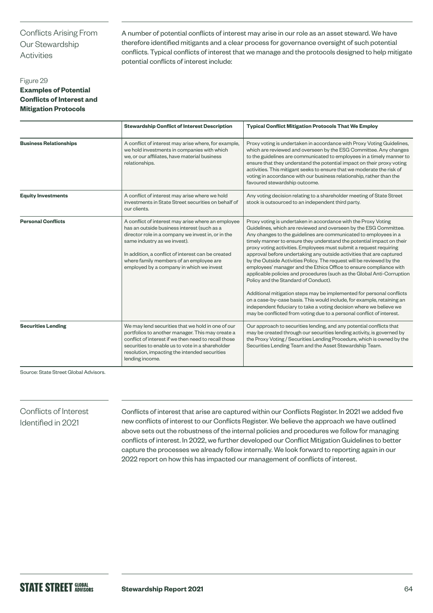## Conflicts Arising From Our Stewardship Activities

A number of potential conflicts of interest may arise in our role as an asset steward. We have therefore identified mitigants and a clear process for governance oversight of such potential conflicts. Typical conflicts of interest that we manage and the protocols designed to help mitigate potential conflicts of interest include:

## Figure 29 **Examples of Potential Conflicts of Interest and Mitigation Protocols**

|                               | <b>Stewardship Conflict of Interest Description</b>                                                                                                                                                                                                                                                                                  | <b>Typical Conflict Mitigation Protocols That We Employ</b>                                                                                                                                                                                                                                                                                                                                                                                                                                                                                                                                                                                                                                                                                                                                                                                                                                                                                                                                        |
|-------------------------------|--------------------------------------------------------------------------------------------------------------------------------------------------------------------------------------------------------------------------------------------------------------------------------------------------------------------------------------|----------------------------------------------------------------------------------------------------------------------------------------------------------------------------------------------------------------------------------------------------------------------------------------------------------------------------------------------------------------------------------------------------------------------------------------------------------------------------------------------------------------------------------------------------------------------------------------------------------------------------------------------------------------------------------------------------------------------------------------------------------------------------------------------------------------------------------------------------------------------------------------------------------------------------------------------------------------------------------------------------|
| <b>Business Relationships</b> | A conflict of interest may arise where, for example,<br>we hold investments in companies with which<br>we, or our affiliates, have material business<br>relationships.                                                                                                                                                               | Proxy voting is undertaken in accordance with Proxy Voting Guidelines,<br>which are reviewed and overseen by the ESG Committee. Any changes<br>to the guidelines are communicated to employees in a timely manner to<br>ensure that they understand the potential impact on their proxy voting<br>activities. This mitigant seeks to ensure that we moderate the risk of<br>voting in accordance with our business relationship, rather than the<br>favoured stewardship outcome.                                                                                                                                                                                                                                                                                                                                                                                                                                                                                                                  |
| <b>Equity Investments</b>     | A conflict of interest may arise where we hold<br>investments in State Street securities on behalf of<br>our clients.                                                                                                                                                                                                                | Any voting decision relating to a shareholder meeting of State Street<br>stock is outsourced to an independent third party.                                                                                                                                                                                                                                                                                                                                                                                                                                                                                                                                                                                                                                                                                                                                                                                                                                                                        |
| <b>Personal Conflicts</b>     | A conflict of interest may arise where an employee<br>has an outside business interest (such as a<br>director role in a company we invest in, or in the<br>same industry as we invest).<br>In addition, a conflict of interest can be created<br>where family members of an employee are<br>employed by a company in which we invest | Proxy voting is undertaken in accordance with the Proxy Voting<br>Guidelines, which are reviewed and overseen by the ESG Committee.<br>Any changes to the guidelines are communicated to employees in a<br>timely manner to ensure they understand the potential impact on their<br>proxy voting activities. Employees must submit a request requiring<br>approval before undertaking any outside activities that are captured<br>by the Outside Activities Policy. The request will be reviewed by the<br>employees' manager and the Ethics Office to ensure compliance with<br>applicable policies and procedures (such as the Global Anti-Corruption<br>Policy and the Standard of Conduct).<br>Additional mitigation steps may be implemented for personal conflicts<br>on a case-by-case basis. This would include, for example, retaining an<br>independent fiduciary to take a voting decision where we believe we<br>may be conflicted from voting due to a personal conflict of interest. |
| <b>Securities Lending</b>     | We may lend securities that we hold in one of our<br>portfolios to another manager. This may create a<br>conflict of interest if we then need to recall those<br>securities to enable us to vote in a shareholder<br>resolution, impacting the intended securities<br>lending income.                                                | Our approach to securities lending, and any potential conflicts that<br>may be created through our securities lending activity, is governed by<br>the Proxy Voting / Securities Lending Procedure, which is owned by the<br>Securities Lending Team and the Asset Stewardship Team.                                                                                                                                                                                                                                                                                                                                                                                                                                                                                                                                                                                                                                                                                                                |

Source: State Street Global Advisors.

### Conflicts of Interest Identified in 2021

Conflicts of interest that arise are captured within our Conflicts Register. In 2021 we added five new conflicts of interest to our Conflicts Register. We believe the approach we have outlined above sets out the robustness of the internal policies and procedures we follow for managing conflicts of interest. In 2022, we further developed our Conflict Mitigation Guidelines to better capture the processes we already follow internally. We look forward to reporting again in our 2022 report on how this has impacted our management of conflicts of interest.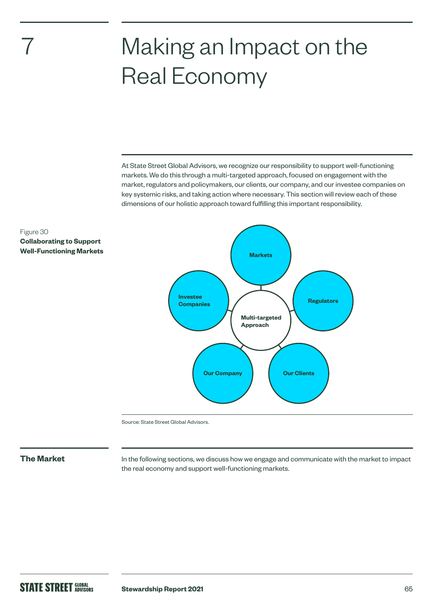# Making an Impact on the Real Economy

At State Street Global Advisors, we recognize our responsibility to support well-functioning markets. We do this through a multi-targeted approach, focused on engagement with the market, regulators and policymakers, our clients, our company, and our investee companies on key systemic risks, and taking action where necessary. This section will review each of these dimensions of our holistic approach toward fulfilling this important responsibility.



Source: State Street Global Advisors.

7

Figure 30

**Collaborating to Support Well-Functioning Markets**

**The Market** In the following sections, we discuss how we engage and communicate with the market to impact the real economy and support well-functioning markets.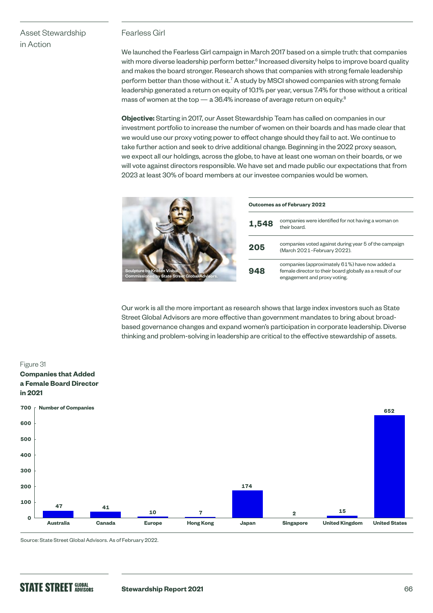## Asset Stewardship in Action

## Fearless Girl

We launched the Fearless Girl campaign in March 2017 based on a simple truth: that companies with more diverse leadership perform better. $^6$  Increased diversity helps to improve board quality and makes the board stronger. Research shows that companies with strong female leadership perform better than those without it.<sup>7</sup> A study by MSCI showed companies with strong female leadership generated a return on equity of 10.1% per year, versus 7.4% for those without a critical mass of women at the top  $-$  a 36.4% increase of average return on equity.<sup>8</sup>

**Objective:** Starting in 2017, our Asset Stewardship Team has called on companies in our investment portfolio to increase the number of women on their boards and has made clear that we would use our proxy voting power to effect change should they fail to act. We continue to take further action and seek to drive additional change. Beginning in the 2022 proxy season, we expect all our holdings, across the globe, to have at least one woman on their boards, or we will vote against directors responsible. We have set and made public our expectations that from 2023 at least 30% of board members at our investee companies would be women.

|                                                                                      | Outcomes as of February 2022 |                                                                                                                                              |  |
|--------------------------------------------------------------------------------------|------------------------------|----------------------------------------------------------------------------------------------------------------------------------------------|--|
|                                                                                      | 1,548                        | companies were identified for not having a woman on<br>their board.                                                                          |  |
|                                                                                      | 205                          | companies voted against during year 5 of the campaign<br>(March 2021-February 2022).                                                         |  |
| Sculpture by Kristen Visbal.<br><b>Commissioned by State Street Global Advisors.</b> | 948                          | companies (approximately 61%) have now added a<br>female director to their board globally as a result of our<br>engagement and proxy voting. |  |

Our work is all the more important as research shows that large index investors such as State Street Global Advisors are more effective than government mandates to bring about broadbased governance changes and expand women's participation in corporate leadership. Diverse thinking and problem-solving in leadership are critical to the effective stewardship of assets.



Source: State Street Global Advisors. As of February 2022.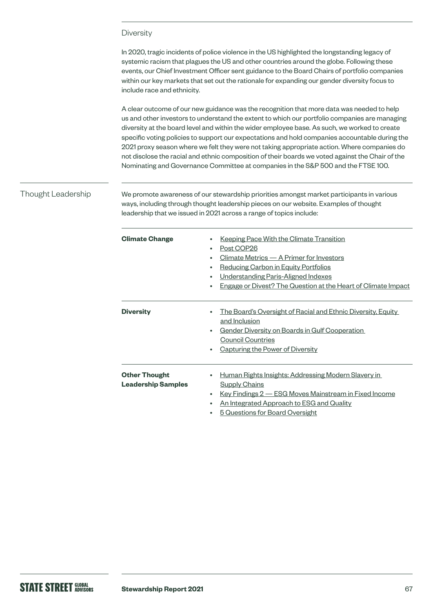### **Diversity**

In 2020, tragic incidents of police violence in the US highlighted the longstanding legacy of systemic racism that plagues the US and other countries around the globe. Following these events, our Chief Investment Officer sent guidance to the Board Chairs of portfolio companies within our key markets that set out the rationale for expanding our gender diversity focus to include race and ethnicity.

A clear outcome of our new guidance was the recognition that more data was needed to help us and other investors to understand the extent to which our portfolio companies are managing diversity at the board level and within the wider employee base. As such, we worked to create specific voting policies to support our expectations and hold companies accountable during the 2021 proxy season where we felt they were not taking appropriate action. Where companies do not disclose the racial and ethnic composition of their boards we voted against the Chair of the Nominating and Governance Committee at companies in the S&P 500 and the FTSE 100.

### Thought Leadership

We promote awareness of our stewardship priorities amongst market participants in various ways, including through thought leadership pieces on our website. Examples of thought leadership that we issued in 2021 across a range of topics include:

| <b>Climate Change</b>                             | <b>Keeping Pace With the Climate Transition</b><br>Post COP26<br>٠<br>Climate Metrics - A Primer for Investors<br>٠<br>Reducing Carbon in Equity Portfolios<br>٠<br>Understanding Paris-Aligned Indexes<br>٠<br>Engage or Divest? The Question at the Heart of Climate Impact<br>٠ |
|---------------------------------------------------|------------------------------------------------------------------------------------------------------------------------------------------------------------------------------------------------------------------------------------------------------------------------------------|
| <b>Diversity</b>                                  | <u>The Board's Oversight of Racial and Ethnic Diversity, Equity</u><br>٠<br>and Inclusion<br>Gender Diversity on Boards in Gulf Cooperation<br>٠<br><b>Council Countries</b><br>Capturing the Power of Diversity<br>٠                                                              |
| <b>Other Thought</b><br><b>Leadership Samples</b> | Human Rights Insights: Addressing Modern Slavery in<br>٠<br><b>Supply Chains</b><br><u>Key Findings 2 – ESG Moves Mainstream in Fixed Income</u><br>$\bullet$<br>An Integrated Approach to ESG and Quality<br>٠<br>5 Questions for Board Oversight<br>٠                            |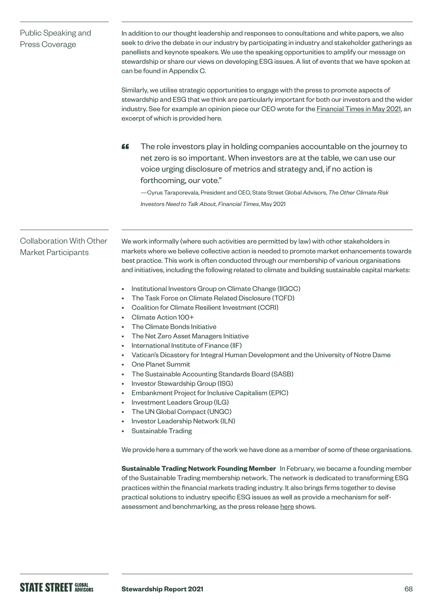| Public Speaking and<br>Press Coverage                         | In addition to our thought leadership and responses to consultations and white papers, we also<br>seek to drive the debate in our industry by participating in industry and stakeholder gatherings as<br>panellists and keynote speakers. We use the speaking opportunities to amplify our message on<br>stewardship or share our views on developing ESG issues. A list of events that we have spoken at<br>can be found in Appendix C.<br>Similarly, we utilise strategic opportunities to engage with the press to promote aspects of<br>stewardship and ESG that we think are particularly important for both our investors and the wider<br>industry. See for example an opinion piece our CEO wrote for the <b>Financial Times in May 2021</b> , an<br>excerpt of which is provided here.                                                                                                                                                                                                                                                                                                                                                                                                                                                                                                                                                                                                                                                                                                                                                                                                                                                                                                         |
|---------------------------------------------------------------|---------------------------------------------------------------------------------------------------------------------------------------------------------------------------------------------------------------------------------------------------------------------------------------------------------------------------------------------------------------------------------------------------------------------------------------------------------------------------------------------------------------------------------------------------------------------------------------------------------------------------------------------------------------------------------------------------------------------------------------------------------------------------------------------------------------------------------------------------------------------------------------------------------------------------------------------------------------------------------------------------------------------------------------------------------------------------------------------------------------------------------------------------------------------------------------------------------------------------------------------------------------------------------------------------------------------------------------------------------------------------------------------------------------------------------------------------------------------------------------------------------------------------------------------------------------------------------------------------------------------------------------------------------------------------------------------------------|
|                                                               | The role investors play in holding companies accountable on the journey to<br>"<br>net zero is so important. When investors are at the table, we can use our<br>voice urging disclosure of metrics and strategy and, if no action is<br>forthcoming, our vote."<br>- Cyrus Taraporevala, President and CEO, State Street Global Advisors, The Other Climate Risk<br>Investors Need to Talk About, Financial Times, May 2021                                                                                                                                                                                                                                                                                                                                                                                                                                                                                                                                                                                                                                                                                                                                                                                                                                                                                                                                                                                                                                                                                                                                                                                                                                                                             |
| <b>Collaboration With Other</b><br><b>Market Participants</b> | We work informally (where such activities are permitted by law) with other stakeholders in<br>markets where we believe collective action is needed to promote market enhancements towards<br>best practice. This work is often conducted through our membership of various organisations<br>and initiatives, including the following related to climate and building sustainable capital markets:<br>Institutional Investors Group on Climate Change (IIGCC)<br>The Task Force on Climate Related Disclosure (TCFD)<br>Coalition for Climate Resilient Investment (CCRI)<br>Climate Action 100+<br>The Climate Bonds Initiative<br>The Net Zero Asset Managers Initiative<br>International Institute of Finance (IIF)<br>Vatican's Dicastery for Integral Human Development and the University of Notre Dame<br><b>One Planet Summit</b><br>The Sustainable Accounting Standards Board (SASB)<br>Investor Stewardship Group (ISG)<br>Embankment Project for Inclusive Capitalism (EPIC)<br>$\bullet$<br>Investment Leaders Group (ILG)<br>The UN Global Compact (UNGC)<br>Investor Leadership Network (ILN)<br><b>Sustainable Trading</b><br>We provide here a summary of the work we have done as a member of some of these organisations.<br>Sustainable Trading Network Founding Member In February, we became a founding member<br>of the Sustainable Trading membership network. The network is dedicated to transforming ESG<br>practices within the financial markets trading industry. It also brings firms together to devise<br>practical solutions to industry specific ESG issues as well as provide a mechanism for self-<br>assessment and benchmarking, as the press release here shows. |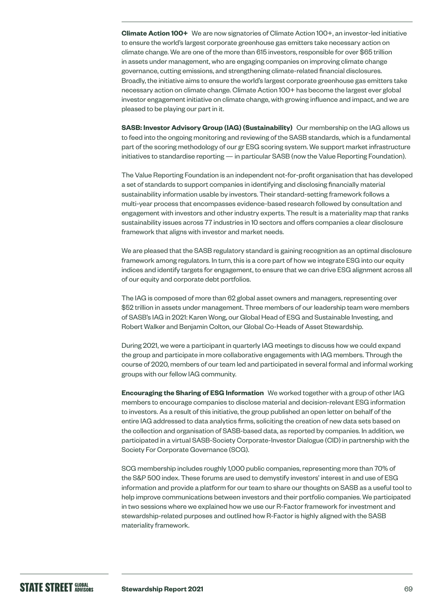**Climate Action 100+** We are now signatories of Climate Action 100+, an investor-led initiative to ensure the world's largest corporate greenhouse gas emitters take necessary action on climate change. We are one of the more than 615 investors, responsible for over \$65 trillion in assets under management, who are engaging companies on improving climate change governance, cutting emissions, and strengthening climate-related financial disclosures. Broadly, the initiative aims to ensure the world's largest corporate greenhouse gas emitters take necessary action on climate change. Climate Action 100+ has become the largest ever global investor engagement initiative on climate change, with growing influence and impact, and we are pleased to be playing our part in it.

**SASB: Investor Advisory Group (IAG) (Sustainability)** Our membership on the IAG allows us to feed into the ongoing monitoring and reviewing of the SASB standards, which is a fundamental part of the scoring methodology of our gr ESG scoring system. We support market infrastructure initiatives to standardise reporting — in particular SASB (now the Value Reporting Foundation).

The Value Reporting Foundation is an independent not-for-profit organisation that has developed a set of standards to support companies in identifying and disclosing financially material sustainability information usable by investors. Their standard-setting framework follows a multi-year process that encompasses evidence-based research followed by consultation and engagement with investors and other industry experts. The result is a materiality map that ranks sustainability issues across 77 industries in 10 sectors and offers companies a clear disclosure framework that aligns with investor and market needs.

We are pleased that the SASB regulatory standard is gaining recognition as an optimal disclosure framework among regulators. In turn, this is a core part of how we integrate ESG into our equity indices and identify targets for engagement, to ensure that we can drive ESG alignment across all of our equity and corporate debt portfolios.

The IAG is composed of more than 62 global asset owners and managers, representing over \$52 trillion in assets under management. Three members of our leadership team were members of SASB's IAG in 2021: Karen Wong, our Global Head of ESG and Sustainable Investing, and Robert Walker and Benjamin Colton, our Global Co-Heads of Asset Stewardship.

During 2021, we were a participant in quarterly IAG meetings to discuss how we could expand the group and participate in more collaborative engagements with IAG members. Through the course of 2020, members of our team led and participated in several formal and informal working groups with our fellow IAG community.

**Encouraging the Sharing of ESG Information** We worked together with a group of other IAG members to encourage companies to disclose material and decision-relevant ESG information to investors. As a result of this initiative, the group published an open letter on behalf of the entire IAG addressed to data analytics firms, soliciting the creation of new data sets based on the collection and organisation of SASB-based data, as reported by companies. In addition, we participated in a virtual SASB-Society Corporate-Investor Dialogue (CID) in partnership with the Society For Corporate Governance (SCG).

SCG membership includes roughly 1,000 public companies, representing more than 70% of the S&P 500 index. These forums are used to demystify investors' interest in and use of ESG information and provide a platform for our team to share our thoughts on SASB as a useful tool to help improve communications between investors and their portfolio companies. We participated in two sessions where we explained how we use our R-Factor framework for investment and stewardship-related purposes and outlined how R-Factor is highly aligned with the SASB materiality framework.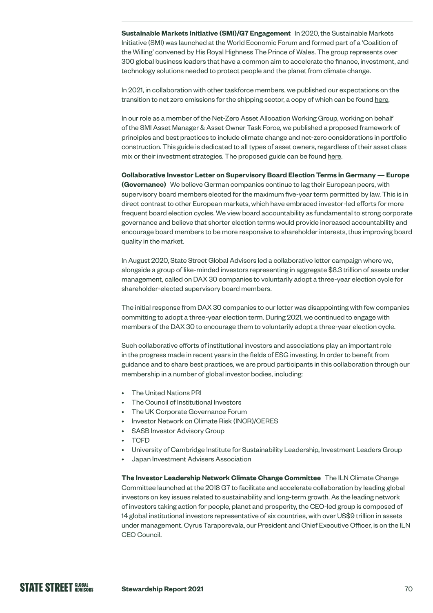**Sustainable Markets Initiative (SMI)/G7 Engagement** In 2020, the Sustainable Markets Initiative (SMI) was launched at the World Economic Forum and formed part of a 'Coalition of the Willing' convened by His Royal Highness The Prince of Wales. The group represents over 300 global business leaders that have a common aim to accelerate the finance, investment, and technology solutions needed to protect people and the planet from climate change.

In 2021, in collaboration with other taskforce members, we published our expectations on the transition to net zero emissions for the shipping sector, a copy of which can be found [here](https://www.sustainable-markets.org/taskforces/asset-manager-and-asset-owner-taskforce/).

In our role as a member of the Net-Zero Asset Allocation Working Group, working on behalf of the SMI Asset Manager & Asset Owner Task Force, we published a proposed framework of principles and best practices to include climate change and net-zero considerations in portfolio construction. This guide is dedicated to all types of asset owners, regardless of their asset class mix or their investment strategies. The proposed guide can be found [here](https://a.storyblok.com/f/109506/x/6fc6e71e0a/portfolio-construction-in-a-net-zero-world.pdf).

**Collaborative Investor Letter on Supervisory Board Election Terms in Germany — Europe (Governance)** We believe German companies continue to lag their European peers, with supervisory board members elected for the maximum five-year term permitted by law. This is in direct contrast to other European markets, which have embraced investor-led efforts for more frequent board election cycles. We view board accountability as fundamental to strong corporate governance and believe that shorter election terms would provide increased accountability and encourage board members to be more responsive to shareholder interests, thus improving board quality in the market.

In August 2020, State Street Global Advisors led a collaborative letter campaign where we, alongside a group of like-minded investors representing in aggregate \$8.3 trillion of assets under management, called on DAX 30 companies to voluntarily adopt a three-year election cycle for shareholder-elected supervisory board members.

The initial response from DAX 30 companies to our letter was disappointing with few companies committing to adopt a three-year election term. During 2021, we continued to engage with members of the DAX 30 to encourage them to voluntarily adopt a three-year election cycle.

Such collaborative efforts of institutional investors and associations play an important role in the progress made in recent years in the fields of ESG investing. In order to benefit from guidance and to share best practices, we are proud participants in this collaboration through our membership in a number of global investor bodies, including:

- The United Nations PRI
- The Council of Institutional Investors
- The UK Corporate Governance Forum
- Investor Network on Climate Risk (INCR)/CERES
- SASB Investor Advisory Group
- TCFD
- University of Cambridge Institute for Sustainability Leadership, Investment Leaders Group
- Japan Investment Advisers Association

**The Investor Leadership Network Climate Change Committee** The ILN Climate Change Committee launched at the 2018 G7 to facilitate and accelerate collaboration by leading global investors on key issues related to sustainability and long-term growth. As the leading network of investors taking action for people, planet and prosperity, the CEO-led group is composed of 14 global institutional investors representative of six countries, with over US\$9 trillion in assets under management. Cyrus Taraporevala, our President and Chief Executive Officer, is on the ILN CEO Council.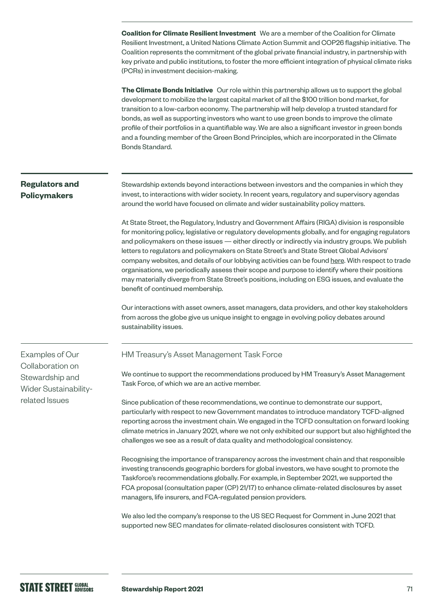**Coalition for Climate Resilient Investment** We are a member of the Coalition for Climate Resilient Investment, a United Nations Climate Action Summit and COP26 flagship initiative. The Coalition represents the commitment of the global private financial industry, in partnership with key private and public institutions, to foster the more efficient integration of physical climate risks (PCRs) in investment decision-making.

**The Climate Bonds Initiative** Our role within this partnership allows us to support the global development to mobilize the largest capital market of all the \$100 trillion bond market, for transition to a low-carbon economy. The partnership will help develop a trusted standard for bonds, as well as supporting investors who want to use green bonds to improve the climate profile of their portfolios in a quantifiable way. We are also a significant investor in green bonds and a founding member of the Green Bond Principles, which are incorporated in the Climate Bonds Standard.

## **Regulators and Policymakers**

Stewardship extends beyond interactions between investors and the companies in which they invest, to interactions with wider society. In recent years, regulatory and supervisory agendas around the world have focused on climate and wider sustainability policy matters.

At State Street, the Regulatory, Industry and Government Affairs (RIGA) division is responsible for monitoring policy, legislative or regulatory developments globally, and for engaging regulators and policymakers on these issues — either directly or indirectly via industry groups. We publish letters to regulators and policymakers on State Street's and State Street Global Advisors' company websites, and details of our lobbying activities can be found [here](https://investors.statestreet.com/corporate-governance/lobbying-activities/default.aspx). With respect to trade organisations, we periodically assess their scope and purpose to identify where their positions may materially diverge from State Street's positions, including on ESG issues, and evaluate the benefit of continued membership.

Our interactions with asset owners, asset managers, data providers, and other key stakeholders from across the globe give us unique insight to engage in evolving policy debates around sustainability issues.

Examples of Our Collaboration on Stewardship and Wider Sustainabilityrelated Issues

### HM Treasury's Asset Management Task Force

We continue to support the recommendations produced by HM Treasury's Asset Management Task Force, of which we are an active member.

Since publication of these recommendations, we continue to demonstrate our support, particularly with respect to new Government mandates to introduce mandatory TCFD-aligned reporting across the investment chain. We engaged in the TCFD consultation on forward looking climate metrics in January 2021, where we not only exhibited our support but also highlighted the challenges we see as a result of data quality and methodological consistency.

Recognising the importance of transparency across the investment chain and that responsible investing transcends geographic borders for global investors, we have sought to promote the Taskforce's recommendations globally. For example, in September 2021, we supported the FCA proposal (consultation paper (CP) 21/17) to enhance climate-related disclosures by asset managers, life insurers, and FCA-regulated pension providers.

We also led the company's response to the US SEC Request for Comment in June 2021 that supported new SEC mandates for climate-related disclosures consistent with TCFD.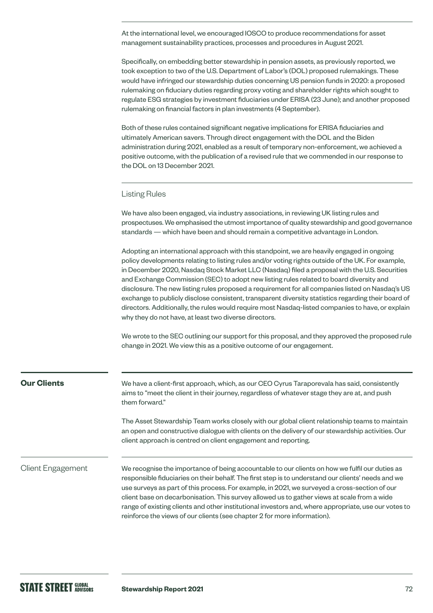At the international level, we encouraged IOSCO to produce recommendations for asset management sustainability practices, processes and procedures in August 2021.

Specifically, on embedding better stewardship in pension assets, as previously reported, we took exception to two of the U.S. Department of Labor's (DOL) proposed rulemakings. These would have infringed our stewardship duties concerning US pension funds in 2020: a proposed rulemaking on fiduciary duties regarding proxy voting and shareholder rights which sought to regulate ESG strategies by investment fiduciaries under ERISA (23 June); and another proposed rulemaking on financial factors in plan investments (4 September).

Both of these rules contained significant negative implications for ERISA fiduciaries and ultimately American savers. Through direct engagement with the DOL and the Biden administration during 2021, enabled as a result of temporary non-enforcement, we achieved a positive outcome, with the publication of a revised rule that we commended in our response to the DOL on 13 December 2021.

### Listing Rules

We have also been engaged, via industry associations, in reviewing UK listing rules and prospectuses. We emphasised the utmost importance of quality stewardship and good governance standards — which have been and should remain a competitive advantage in London.

Adopting an international approach with this standpoint, we are heavily engaged in ongoing policy developments relating to listing rules and/or voting rights outside of the UK. For example, in December 2020, Nasdaq Stock Market LLC (Nasdaq) filed a proposal with the U.S. Securities and Exchange Commission (SEC) to adopt new listing rules related to board diversity and disclosure. The new listing rules proposed a requirement for all companies listed on Nasdaq's US exchange to publicly disclose consistent, transparent diversity statistics regarding their board of directors. Additionally, the rules would require most Nasdaq-listed companies to have, or explain why they do not have, at least two diverse directors.

We wrote to the SEC outlining our support for this proposal, and they approved the proposed rule change in 2021. We view this as a positive outcome of our engagement.

range of existing clients and other institutional investors and, where appropriate, use our votes to

reinforce the views of our clients (see chapter 2 for more information).

| <b>Our Clients</b>       | We have a client-first approach, which, as our CEO Cyrus Taraporevala has said, consistently<br>aims to "meet the client in their journey, regardless of whatever stage they are at, and push<br>them forward."                                                                                                                                                                                      |
|--------------------------|------------------------------------------------------------------------------------------------------------------------------------------------------------------------------------------------------------------------------------------------------------------------------------------------------------------------------------------------------------------------------------------------------|
|                          | The Asset Stewardship Team works closely with our global client relationship teams to maintain<br>an open and constructive dialogue with clients on the delivery of our stewardship activities. Our<br>client approach is centred on client engagement and reporting.                                                                                                                                |
| <b>Client Engagement</b> | We recognise the importance of being accountable to our clients on how we fulfil our duties as<br>responsible fiduciaries on their behalf. The first step is to understand our clients' needs and we<br>use surveys as part of this process. For example, in 2021, we surveyed a cross-section of our<br>client base on decarbonisation. This survey allowed us to gather views at scale from a wide |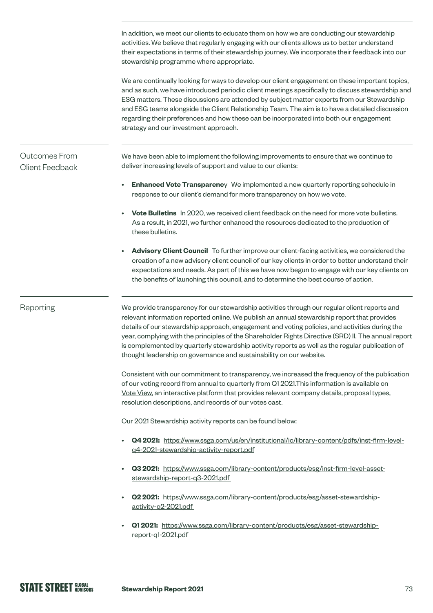In addition, we meet our clients to educate them on how we are conducting our stewardship activities. We believe that regularly engaging with our clients allows us to better understand their expectations in terms of their stewardship journey. We incorporate their feedback into our stewardship programme where appropriate. We are continually looking for ways to develop our client engagement on these important topics, and as such, we have introduced periodic client meetings specifically to discuss stewardship and ESG matters. These discussions are attended by subject matter experts from our Stewardship and ESG teams alongside the Client Relationship Team. The aim is to have a detailed discussion regarding their preferences and how these can be incorporated into both our engagement strategy and our investment approach. We have been able to implement the following improvements to ensure that we continue to deliver increasing levels of support and value to our clients: **Enhanced Vote Transparenc**y We implemented a new quarterly reporting schedule in response to our client's demand for more transparency on how we vote. • **Vote Bulletins** In 2020, we received client feedback on the need for more vote bulletins. As a result, in 2021, we further enhanced the resources dedicated to the production of these bulletins. • **Advisory Client Council** To further improve our client-facing activities, we considered the creation of a new advisory client council of our key clients in order to better understand their expectations and needs. As part of this we have now begun to engage with our key clients on the benefits of launching this council, and to determine the best course of action. We provide transparency for our stewardship activities through our regular client reports and relevant information reported online. We publish an annual stewardship report that provides details of our stewardship approach, engagement and voting policies, and activities during the year, complying with the principles of the Shareholder Rights Directive (SRD) II. The annual report is complemented by quarterly stewardship activity reports as well as the regular publication of thought leadership on governance and sustainability on our website. Consistent with our commitment to transparency, we increased the frequency of the publication of our voting record from annual to quarterly from Q1 2021.This information is available on Vote [View,](https://vds.issgovernance.com/vds/#/MTA1/) an interactive platform that provides relevant company details, proposal types, resolution descriptions, and records of our votes cast. Our 2021 Stewardship activity reports can be found below: • **Q4 2021:** [https://www.ssga.com/us/en/institutional/ic/library-content/pdfs/inst-firm-level](https://www.ssga.com/us/en/institutional/ic/library-content/pdfs/inst-firm-level-q4-2021-stewardship-activity-report.pdf)[q4-2021-stewardship-activity-report.pdf](https://www.ssga.com/us/en/institutional/ic/library-content/pdfs/inst-firm-level-q4-2021-stewardship-activity-report.pdf) • **Q3 2021:** [https://www.ssga.com/library-content/products/esg/inst-firm-level-asset](https://www.ssga.com/library-content/products/esg/inst-firm-level-asset-stewardship-report-q3-2021.pdf)[stewardship-report-q3-2021.pdf](https://www.ssga.com/library-content/products/esg/inst-firm-level-asset-stewardship-report-q3-2021.pdf)  • **Q2 2021:** [https://www.ssga.com/library-content/products/esg/asset-stewardship](https://www.ssga.com/library-content/products/esg/asset-stewardship-activity-q2-2021.pdf)[activity-q2-2021.pdf](https://www.ssga.com/library-content/products/esg/asset-stewardship-activity-q2-2021.pdf)  • **Q1 2021:** [https://www.ssga.com/library-content/products/esg/asset-stewardship](https://www.ssga.com/library-content/products/esg/asset-stewardship-report-q1-2021.pdf)[report-q1-2021.pdf](https://www.ssga.com/library-content/products/esg/asset-stewardship-report-q1-2021.pdf)  Outcomes From Client Feedback Reporting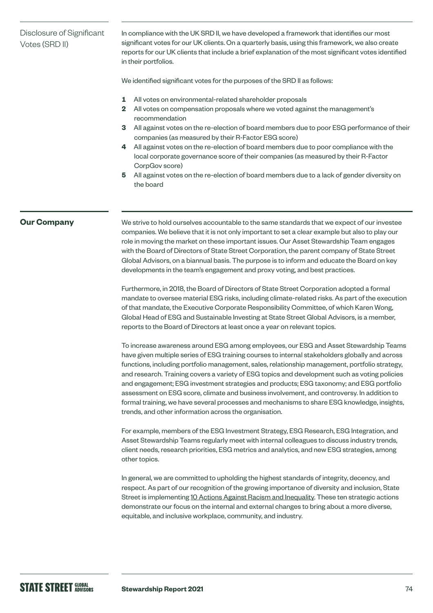# Disclosure of Significant Votes (SRD II)

In compliance with the UK SRD II, we have developed a framework that identifies our most significant votes for our UK clients. On a quarterly basis, using this framework, we also create reports for our UK clients that include a brief explanation of the most significant votes identified in their portfolios.

We identified significant votes for the purposes of the SRD II as follows:

- **1** All votes on environmental-related shareholder proposals
- **2** All votes on compensation proposals where we voted against the management's recommendation
- **3** All against votes on the re-election of board members due to poor ESG performance of their companies (as measured by their R-Factor ESG score)
- **4** All against votes on the re-election of board members due to poor compliance with the local corporate governance score of their companies (as measured by their R-Factor CorpGov score)
- **5** All against votes on the re-election of board members due to a lack of gender diversity on the board

### **Our Company**

We strive to hold ourselves accountable to the same standards that we expect of our investee companies. We believe that it is not only important to set a clear example but also to play our role in moving the market on these important issues. Our Asset Stewardship Team engages with the Board of Directors of State Street Corporation, the parent company of State Street Global Advisors, on a biannual basis. The purpose is to inform and educate the Board on key developments in the team's engagement and proxy voting, and best practices.

Furthermore, in 2018, the Board of Directors of State Street Corporation adopted a formal mandate to oversee material ESG risks, including climate-related risks. As part of the execution of that mandate, the Executive Corporate Responsibility Committee, of which Karen Wong, Global Head of ESG and Sustainable Investing at State Street Global Advisors, is a member, reports to the Board of Directors at least once a year on relevant topics.

To increase awareness around ESG among employees, our ESG and Asset Stewardship Teams have given multiple series of ESG training courses to internal stakeholders globally and across functions, including portfolio management, sales, relationship management, portfolio strategy, and research. Training covers a variety of ESG topics and development such as voting policies and engagement; ESG investment strategies and products; ESG taxonomy; and ESG portfolio assessment on ESG score, climate and business involvement, and controversy. In addition to formal training, we have several processes and mechanisms to share ESG knowledge, insights, trends, and other information across the organisation.

For example, members of the ESG Investment Strategy, ESG Research, ESG Integration, and Asset Stewardship Teams regularly meet with internal colleagues to discuss industry trends, client needs, research priorities, ESG metrics and analytics, and new ESG strategies, among other topics.

In general, we are committed to upholding the highest standards of integrity, decency, and respect. As part of our recognition of the growing importance of diversity and inclusion, State Street is implementing [10 Actions Against Racism and Inequality](https://www.statestreet.com/values/inclusion-diversity/10-actions-to-address-racism-and-inequality.html). These ten strategic actions demonstrate our focus on the internal and external changes to bring about a more diverse, equitable, and inclusive workplace, community, and industry.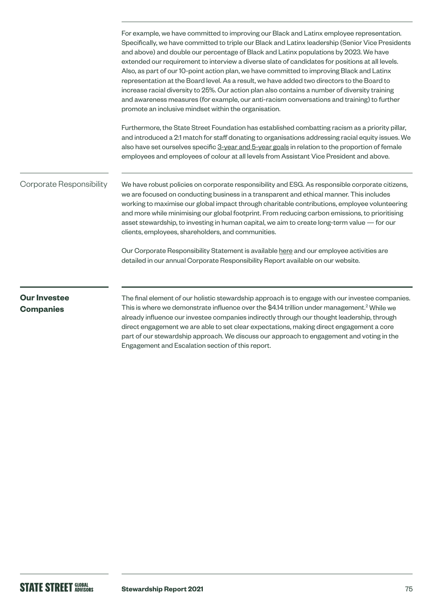|                                         | For example, we have committed to improving our Black and Latinx employee representation.<br>Specifically, we have committed to triple our Black and Latinx leadership (Senior Vice Presidents<br>and above) and double our percentage of Black and Latinx populations by 2023. We have<br>extended our requirement to interview a diverse slate of candidates for positions at all levels.<br>Also, as part of our 10-point action plan, we have committed to improving Black and Latinx<br>representation at the Board level. As a result, we have added two directors to the Board to<br>increase racial diversity to 25%. Our action plan also contains a number of diversity training<br>and awareness measures (for example, our anti-racism conversations and training) to further<br>promote an inclusive mindset within the organisation. |
|-----------------------------------------|----------------------------------------------------------------------------------------------------------------------------------------------------------------------------------------------------------------------------------------------------------------------------------------------------------------------------------------------------------------------------------------------------------------------------------------------------------------------------------------------------------------------------------------------------------------------------------------------------------------------------------------------------------------------------------------------------------------------------------------------------------------------------------------------------------------------------------------------------|
|                                         | Furthermore, the State Street Foundation has established combatting racism as a priority pillar,<br>and introduced a 2:1 match for staff donating to organisations addressing racial equity issues. We<br>also have set ourselves specific 3-year and 5-year goals in relation to the proportion of female<br>employees and employees of colour at all levels from Assistant Vice President and above.                                                                                                                                                                                                                                                                                                                                                                                                                                             |
| Corporate Responsibility                | We have robust policies on corporate responsibility and ESG. As responsible corporate citizens,<br>we are focused on conducting business in a transparent and ethical manner. This includes<br>working to maximise our global impact through charitable contributions, employee volunteering<br>and more while minimising our global footprint. From reducing carbon emissions, to prioritising<br>asset stewardship, to investing in human capital, we aim to create long-term value - for our<br>clients, employees, shareholders, and communities.                                                                                                                                                                                                                                                                                              |
|                                         | Our Corporate Responsibility Statement is available here and our employee activities are<br>detailed in our annual Corporate Responsibility Report available on our website.                                                                                                                                                                                                                                                                                                                                                                                                                                                                                                                                                                                                                                                                       |
| <b>Our Investee</b><br><b>Companies</b> | The final element of our holistic stewardship approach is to engage with our investee companies.<br>This is where we demonstrate influence over the \$4.14 trillion under management. <sup>2</sup> While we<br>already influence our investee companies indirectly through our thought leadership, through<br>direct engagement we are able to set clear expectations, making direct engagement a core                                                                                                                                                                                                                                                                                                                                                                                                                                             |

Engagement and Escalation section of this report.

part of our stewardship approach. We discuss our approach to engagement and voting in the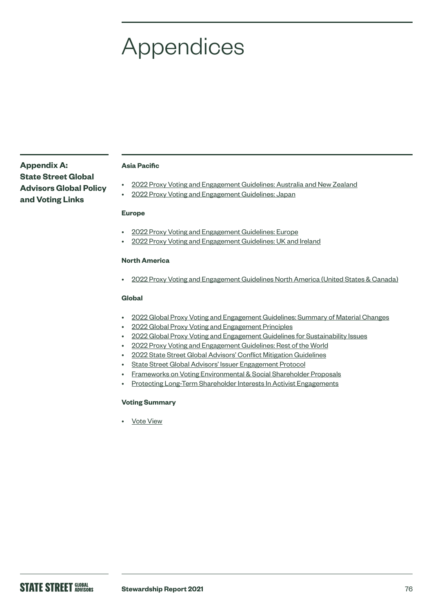# **Appendices**

**Appendix A: State Street Global Advisors Global Policy and Voting Links**

#### **Asia Pacific**

- [2022 Proxy Voting and Engagement Guidelines: Australia and New Zealand](https://www.ssga.com/us/en/institutional/ic/library-content/pdfs/ic/proxy-Voting-and-engagement-guidelines-anz.pdf)
- [2022 Proxy Voting and Engagement Guidelines: Japan](https://www.ssga.com/us/en/institutional/ic/library-content/pdfs/ic/proxy-Voting-and-engagement-guidelines-ja.pdf)

#### **Europe**

- [2022 Proxy Voting and Engagement Guidelines: Europe](https://www.ssga.com/us/en/institutional/ic/library-content/pdfs/ic/proxy-Voting-and-engagement-guidelines-europe.pdf)
- [2022 Proxy Voting and Engagement Guidelines: UK and Ireland](https://www.ssga.com/us/en/institutional/ic/library-content/pdfs/ic/proxy-Voting-and-engagement-guidelines-uk-ie.pdf)

#### **North America**

• [2022 Proxy Voting and Engagement Guidelines North America \(United States & Canada\)](https://www.ssga.com/us/en/institutional/ic/library-content/pdfs/ic/proxy-voting-and-engagement-guidelines-us-canada.pdf)

#### **Global**

- [2022 Global Proxy Voting and Engagement Guidelines: Summary of Material Changes](https://www.ssga.com/us/en/institutional/ic/library-content/pdfs/ic/proxy-voting-and-engagement-summary-of-material-changes.pdf)
- [2022 Global Proxy Voting and Engagement Principles](https://www.ssga.com/us/en/institutional/ic/library-content/pdfs/ic/proxy-voting-and-engagement-guidelines-principle.pdf)
- [2022 Global Proxy Voting and Engagement Guidelines for Sustainability Issues](https://www.ssga.com/us/en/institutional/ic/library-content/pdfs/ic/proxy-voting-and-engagement-sustainability-issues.pdf)
- [2022 Proxy Voting and Engagement Guidelines: Rest of the World](https://www.ssga.com/us/en/institutional/ic/library-content/pdfs/ic/proxy-voting-and-engagement-guidelines-rest-of-the-world.pdf)
- [2022 State Street Global Advisors' Conflict Mitigation Guidelines](https://www.ssga.com/us/en/institutional/ic/library-content/pdfs/ic/ssga-conflict-mitigation-guidelines.pdf)
- [State Street Global Advisors' Issuer Engagement Protocol](https://www.ssga.com/us/en/institutional/ic/library-content/pdfs/ic/state-street-global-advisors-issuer-engagement-protocol.pdf)
- [Frameworks on Voting Environmental & Social Shareholder Proposals](https://www.ssga.com/us/en/institutional/ic/library-content/pdfs/ic/frameworks-voting-social-shareholder-proposals.pdf)
- [Protecting Long-Term Shareholder Interests In Activist Engagements](https://www.ssga.com/us/en/institutional/ic/library-content/pdfs/ic/protecting-long-term-shareholder-interests-03.31.20.pdf)

#### **Voting Summary**

• [Vote View](https://vds.issgovernance.com/vds/#/MTA1/)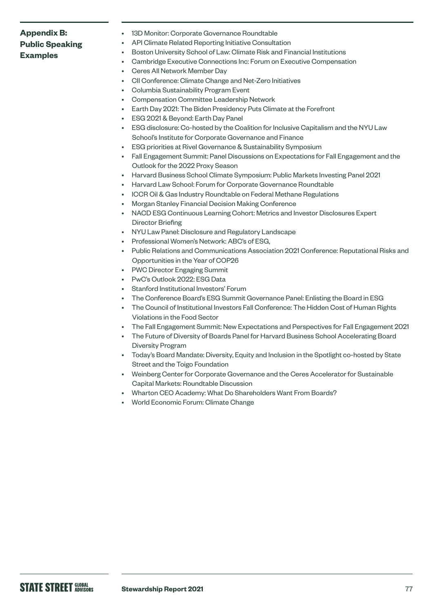# **Appendix B: Public Speaking Examples**

- 13D Monitor: Corporate Governance Roundtable
- API Climate Related Reporting Initiative Consultation
	- Boston University School of Law: Climate Risk and Financial Institutions
- Cambridge Executive Connections Inc: Forum on Executive Compensation
- Ceres All Network Member Day
- CII Conference: Climate Change and Net-Zero Initiatives
- Columbia Sustainability Program Event
- Compensation Committee Leadership Network
- Earth Day 2021: The Biden Presidency Puts Climate at the Forefront
- ESG 2021 & Beyond: Earth Day Panel
- ESG disclosure: Co-hosted by the Coalition for Inclusive Capitalism and the NYU Law School's Institute for Corporate Governance and Finance
- ESG priorities at Rivel Governance & Sustainability Symposium
- Fall Engagement Summit: Panel Discussions on Expectations for Fall Engagement and the Outlook for the 2022 Proxy Season
- Harvard Business School Climate Symposium: Public Markets Investing Panel 2021
- Harvard Law School: Forum for Corporate Governance Roundtable
- ICCR Oil & Gas Industry Roundtable on Federal Methane Regulations
- Morgan Stanley Financial Decision Making Conference
- NACD ESG Continuous Learning Cohort: Metrics and Investor Disclosures Expert Director Briefing
- NYU Law Panel: Disclosure and Regulatory Landscape
- Professional Women's Network: ABC's of ESG,
- Public Relations and Communications Association 2021 Conference: Reputational Risks and Opportunities in the Year of COP26
- PWC Director Engaging Summit
- PwC's Outlook 2022: ESG Data
- Stanford Institutional Investors' Forum
- The Conference Board's ESG Summit Governance Panel: Enlisting the Board in ESG
- The Council of Institutional Investors Fall Conference: The Hidden Cost of Human Rights Violations in the Food Sector
- The Fall Engagement Summit: New Expectations and Perspectives for Fall Engagement 2021
- The Future of Diversity of Boards Panel for Harvard Business School Accelerating Board Diversity Program
- Today's Board Mandate: Diversity, Equity and Inclusion in the Spotlight co-hosted by State Street and the Toigo Foundation
- Weinberg Center for Corporate Governance and the Ceres Accelerator for Sustainable Capital Markets: Roundtable Discussion
- Wharton CEO Academy: What Do Shareholders Want From Boards?
- World Economic Forum: Climate Change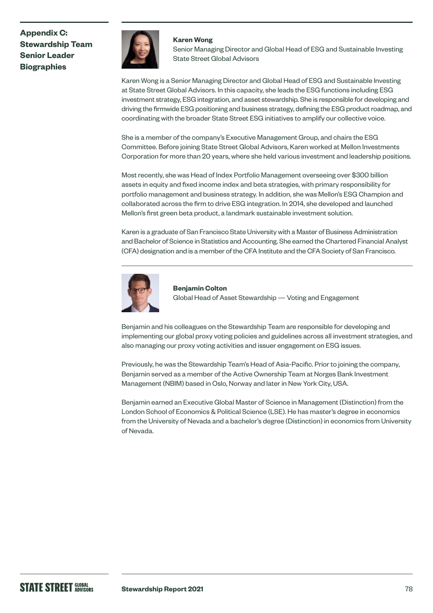

#### **Karen Wong**

Senior Managing Director and Global Head of ESG and Sustainable Investing State Street Global Advisors

Karen Wong is a Senior Managing Director and Global Head of ESG and Sustainable Investing at State Street Global Advisors. In this capacity, she leads the ESG functions including ESG investment strategy, ESG integration, and asset stewardship. She is responsible for developing and driving the firmwide ESG positioning and business strategy, defining the ESG product roadmap, and coordinating with the broader State Street ESG initiatives to amplify our collective voice.

She is a member of the company's Executive Management Group, and chairs the ESG Committee. Before joining State Street Global Advisors, Karen worked at Mellon Investments Corporation for more than 20 years, where she held various investment and leadership positions.

Most recently, she was Head of Index Portfolio Management overseeing over \$300 billion assets in equity and fixed income index and beta strategies, with primary responsibility for portfolio management and business strategy. In addition, she was Mellon's ESG Champion and collaborated across the firm to drive ESG integration. In 2014, she developed and launched Mellon's first green beta product, a landmark sustainable investment solution.

Karen is a graduate of San Francisco State University with a Master of Business Administration and Bachelor of Science in Statistics and Accounting. She earned the Chartered Financial Analyst (CFA) designation and is a member of the CFA Institute and the CFA Society of San Francisco.



**Benjamin Colton**  Global Head of Asset Stewardship — Voting and Engagement

Benjamin and his colleagues on the Stewardship Team are responsible for developing and implementing our global proxy voting policies and guidelines across all investment strategies, and also managing our proxy voting activities and issuer engagement on ESG issues.

Previously, he was the Stewardship Team's Head of Asia-Pacific. Prior to joining the company, Benjamin served as a member of the Active Ownership Team at Norges Bank Investment Management (NBIM) based in Oslo, Norway and later in New York City, USA.

Benjamin earned an Executive Global Master of Science in Management (Distinction) from the London School of Economics & Political Science (LSE). He has master's degree in economics from the University of Nevada and a bachelor's degree (Distinction) in economics from University of Nevada.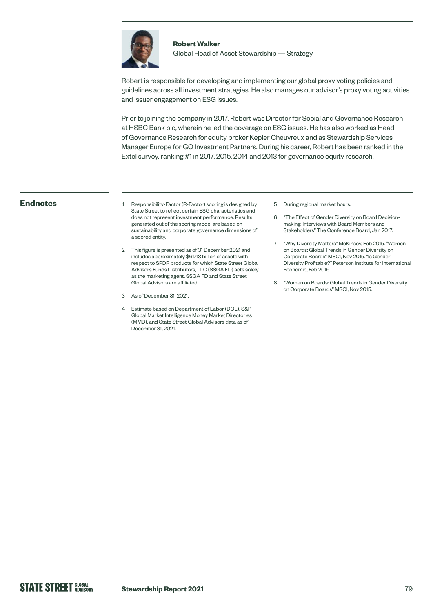

# **Robert Walker**

Global Head of Asset Stewardship — Strategy

Robert is responsible for developing and implementing our global proxy voting policies and guidelines across all investment strategies. He also manages our advisor's proxy voting activities and issuer engagement on ESG issues.

Prior to joining the company in 2017, Robert was Director for Social and Governance Research at HSBC Bank plc, wherein he led the coverage on ESG issues. He has also worked as Head of Governance Research for equity broker Kepler Cheuvreux and as Stewardship Services Manager Europe for GO Investment Partners. During his career, Robert has been ranked in the Extel survey, ranking #1 in 2017, 2015, 2014 and 2013 for governance equity research.

- **Endnotes** 1 Responsibility-Factor (R-Factor) scoring is designed by State Street to reflect certain ESG characteristics and does not represent investment performance. Results generated out of the scoring model are based on sustainability and corporate governance dimensions of a scored entity.
	- 2 This figure is presented as of 31 December 2021 and includes approximately \$61.43 billion of assets with respect to SPDR products for which State Street Global Advisors Funds Distributors, LLC (SSGA FD) acts solely as the marketing agent. SSGA FD and State Street Global Advisors are affiliated.
	- 3 As of December 31, 2021.
	- 4 Estimate based on Department of Labor (DOL), S&P Global Market Intelligence Money Market Directories (MMD), and State Street Global Advisors data as of December 31, 2021.
- 5 During regional market hours.
- 6 "The Effect of Gender Diversity on Board Decisionmaking: Interviews with Board Members and Stakeholders" The Conference Board, Jan 2017.
- 7 "Why Diversity Matters" McKinsey, Feb 2015. "Women on Boards: Global Trends in Gender Diversity on Corporate Boards" MSCI, Nov 2015. "Is Gender Diversity Profitable?" Peterson Institute for International Economic, Feb 2016.
- 8 "Women on Boards: Global Trends in Gender Diversity on Corporate Boards" MSCI, Nov 2015.